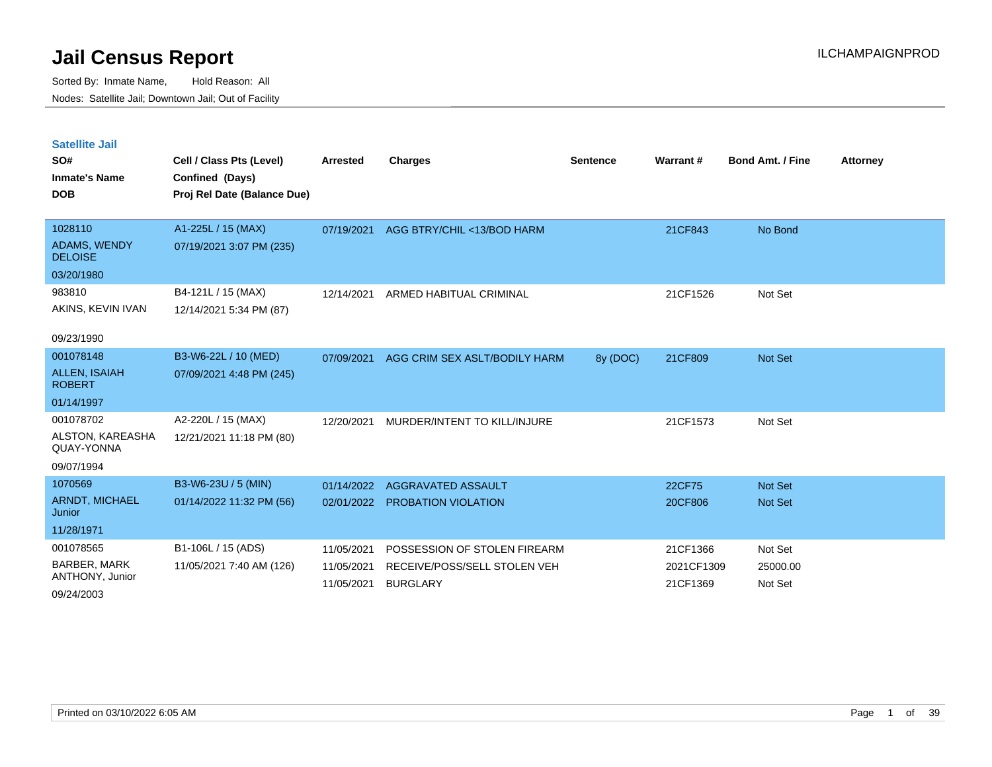Sorted By: Inmate Name, Hold Reason: All Nodes: Satellite Jail; Downtown Jail; Out of Facility

| <b>Satellite Jail</b><br>SO#<br><b>Inmate's Name</b><br><b>DOB</b> | Cell / Class Pts (Level)<br>Confined (Days)<br>Proj Rel Date (Balance Due) | <b>Arrested</b> | <b>Charges</b>                | <b>Sentence</b> | Warrant#   | <b>Bond Amt. / Fine</b> | <b>Attorney</b> |
|--------------------------------------------------------------------|----------------------------------------------------------------------------|-----------------|-------------------------------|-----------------|------------|-------------------------|-----------------|
| 1028110                                                            | A1-225L / 15 (MAX)                                                         | 07/19/2021      | AGG BTRY/CHIL <13/BOD HARM    |                 | 21CF843    | No Bond                 |                 |
| <b>ADAMS, WENDY</b><br><b>DELOISE</b>                              | 07/19/2021 3:07 PM (235)                                                   |                 |                               |                 |            |                         |                 |
| 03/20/1980                                                         |                                                                            |                 |                               |                 |            |                         |                 |
| 983810                                                             | B4-121L / 15 (MAX)                                                         | 12/14/2021      | ARMED HABITUAL CRIMINAL       |                 | 21CF1526   | Not Set                 |                 |
| AKINS, KEVIN IVAN                                                  | 12/14/2021 5:34 PM (87)                                                    |                 |                               |                 |            |                         |                 |
| 09/23/1990                                                         |                                                                            |                 |                               |                 |            |                         |                 |
| 001078148                                                          | B3-W6-22L / 10 (MED)                                                       | 07/09/2021      | AGG CRIM SEX ASLT/BODILY HARM | 8y (DOC)        | 21CF809    | Not Set                 |                 |
| <b>ALLEN, ISAIAH</b><br><b>ROBERT</b>                              | 07/09/2021 4:48 PM (245)                                                   |                 |                               |                 |            |                         |                 |
| 01/14/1997                                                         |                                                                            |                 |                               |                 |            |                         |                 |
| 001078702                                                          | A2-220L / 15 (MAX)                                                         | 12/20/2021      | MURDER/INTENT TO KILL/INJURE  |                 | 21CF1573   | Not Set                 |                 |
| ALSTON, KAREASHA<br>QUAY-YONNA                                     | 12/21/2021 11:18 PM (80)                                                   |                 |                               |                 |            |                         |                 |
| 09/07/1994                                                         |                                                                            |                 |                               |                 |            |                         |                 |
| 1070569                                                            | B3-W6-23U / 5 (MIN)                                                        | 01/14/2022      | AGGRAVATED ASSAULT            |                 | 22CF75     | <b>Not Set</b>          |                 |
| ARNDT, MICHAEL<br>Junior                                           | 01/14/2022 11:32 PM (56)                                                   | 02/01/2022      | <b>PROBATION VIOLATION</b>    |                 | 20CF806    | Not Set                 |                 |
| 11/28/1971                                                         |                                                                            |                 |                               |                 |            |                         |                 |
| 001078565                                                          | B1-106L / 15 (ADS)                                                         | 11/05/2021      | POSSESSION OF STOLEN FIREARM  |                 | 21CF1366   | Not Set                 |                 |
| <b>BARBER, MARK</b>                                                | 11/05/2021 7:40 AM (126)                                                   | 11/05/2021      | RECEIVE/POSS/SELL STOLEN VEH  |                 | 2021CF1309 | 25000.00                |                 |
| ANTHONY, Junior                                                    |                                                                            | 11/05/2021      | <b>BURGLARY</b>               |                 | 21CF1369   | Not Set                 |                 |

09/24/2003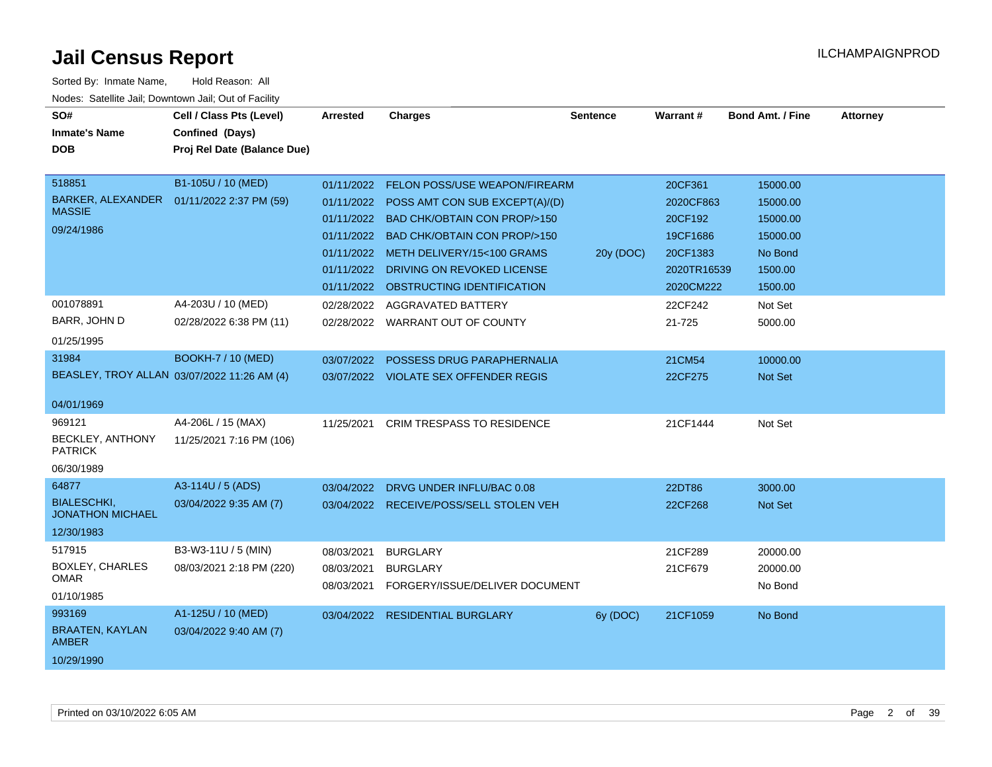| SO#<br><b>Inmate's Name</b><br><b>DOB</b>     | Cell / Class Pts (Level)<br>Confined (Days)<br>Proj Rel Date (Balance Due) | <b>Arrested</b> | <b>Charges</b>                            | <b>Sentence</b> | <b>Warrant#</b> | <b>Bond Amt. / Fine</b> | <b>Attorney</b> |
|-----------------------------------------------|----------------------------------------------------------------------------|-----------------|-------------------------------------------|-----------------|-----------------|-------------------------|-----------------|
|                                               |                                                                            |                 |                                           |                 |                 |                         |                 |
| 518851                                        | B1-105U / 10 (MED)                                                         | 01/11/2022      | <b>FELON POSS/USE WEAPON/FIREARM</b>      |                 | 20CF361         | 15000.00                |                 |
| <b>BARKER, ALEXANDER</b>                      | 01/11/2022 2:37 PM (59)                                                    |                 | 01/11/2022 POSS AMT CON SUB EXCEPT(A)/(D) |                 | 2020CF863       | 15000.00                |                 |
| <b>MASSIE</b>                                 |                                                                            |                 | 01/11/2022 BAD CHK/OBTAIN CON PROP/>150   |                 | 20CF192         | 15000.00                |                 |
| 09/24/1986                                    |                                                                            | 01/11/2022      | <b>BAD CHK/OBTAIN CON PROP/&gt;150</b>    |                 | 19CF1686        | 15000.00                |                 |
|                                               |                                                                            |                 | 01/11/2022 METH DELIVERY/15<100 GRAMS     | 20y (DOC)       | 20CF1383        | No Bond                 |                 |
|                                               |                                                                            | 01/11/2022      | DRIVING ON REVOKED LICENSE                |                 | 2020TR16539     | 1500.00                 |                 |
|                                               |                                                                            | 01/11/2022      | OBSTRUCTING IDENTIFICATION                |                 | 2020CM222       | 1500.00                 |                 |
| 001078891                                     | A4-203U / 10 (MED)                                                         | 02/28/2022      | AGGRAVATED BATTERY                        |                 | 22CF242         | Not Set                 |                 |
| BARR, JOHN D                                  | 02/28/2022 6:38 PM (11)                                                    |                 | 02/28/2022 WARRANT OUT OF COUNTY          |                 | 21-725          | 5000.00                 |                 |
| 01/25/1995                                    |                                                                            |                 |                                           |                 |                 |                         |                 |
| 31984                                         | <b>BOOKH-7 / 10 (MED)</b>                                                  | 03/07/2022      | POSSESS DRUG PARAPHERNALIA                |                 | 21CM54          | 10000.00                |                 |
|                                               | BEASLEY, TROY ALLAN 03/07/2022 11:26 AM (4)                                |                 | 03/07/2022 VIOLATE SEX OFFENDER REGIS     |                 | 22CF275         | <b>Not Set</b>          |                 |
|                                               |                                                                            |                 |                                           |                 |                 |                         |                 |
| 04/01/1969                                    |                                                                            |                 |                                           |                 |                 |                         |                 |
| 969121                                        | A4-206L / 15 (MAX)                                                         | 11/25/2021      | <b>CRIM TRESPASS TO RESIDENCE</b>         |                 | 21CF1444        | Not Set                 |                 |
| BECKLEY, ANTHONY<br><b>PATRICK</b>            | 11/25/2021 7:16 PM (106)                                                   |                 |                                           |                 |                 |                         |                 |
| 06/30/1989                                    |                                                                            |                 |                                           |                 |                 |                         |                 |
| 64877                                         | A3-114U / 5 (ADS)                                                          | 03/04/2022      | DRVG UNDER INFLU/BAC 0.08                 |                 | 22DT86          | 3000.00                 |                 |
| <b>BIALESCHKI,</b><br><b>JONATHON MICHAEL</b> | 03/04/2022 9:35 AM (7)                                                     |                 | 03/04/2022 RECEIVE/POSS/SELL STOLEN VEH   |                 | 22CF268         | <b>Not Set</b>          |                 |
| 12/30/1983                                    |                                                                            |                 |                                           |                 |                 |                         |                 |
| 517915                                        | B3-W3-11U / 5 (MIN)                                                        | 08/03/2021      | <b>BURGLARY</b>                           |                 | 21CF289         | 20000.00                |                 |
| <b>BOXLEY, CHARLES</b>                        | 08/03/2021 2:18 PM (220)                                                   | 08/03/2021      | <b>BURGLARY</b>                           |                 | 21CF679         | 20000.00                |                 |
| <b>OMAR</b>                                   |                                                                            | 08/03/2021      | FORGERY/ISSUE/DELIVER DOCUMENT            |                 |                 | No Bond                 |                 |
| 01/10/1985                                    |                                                                            |                 |                                           |                 |                 |                         |                 |
| 993169                                        | A1-125U / 10 (MED)                                                         |                 | 03/04/2022 RESIDENTIAL BURGLARY           | 6y (DOC)        | 21CF1059        | No Bond                 |                 |
| <b>BRAATEN, KAYLAN</b><br><b>AMBER</b>        | 03/04/2022 9:40 AM (7)                                                     |                 |                                           |                 |                 |                         |                 |
| 10/29/1990                                    |                                                                            |                 |                                           |                 |                 |                         |                 |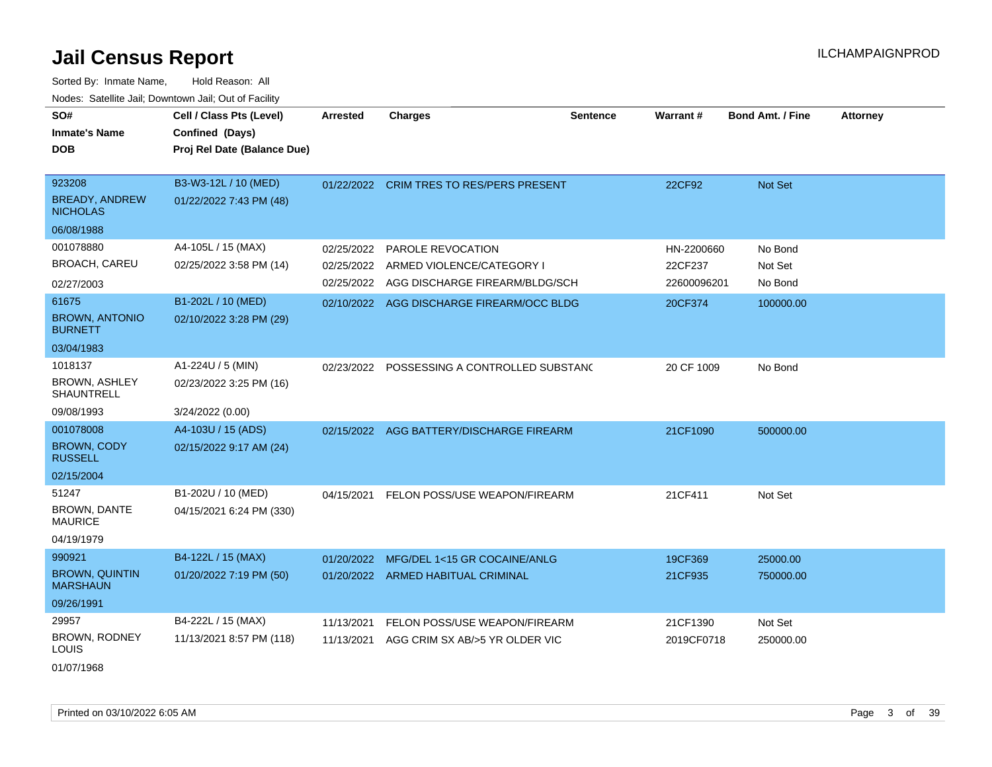| SO#<br><b>Inmate's Name</b><br><b>DOB</b>                          | Cell / Class Pts (Level)<br>Confined (Days)<br>Proj Rel Date (Balance Due) | Arrested                               | <b>Charges</b>                                                                   | <b>Sentence</b> | <b>Warrant#</b>                      | <b>Bond Amt. / Fine</b>       | <b>Attorney</b> |
|--------------------------------------------------------------------|----------------------------------------------------------------------------|----------------------------------------|----------------------------------------------------------------------------------|-----------------|--------------------------------------|-------------------------------|-----------------|
| 923208<br><b>BREADY, ANDREW</b><br><b>NICHOLAS</b>                 | B3-W3-12L / 10 (MED)<br>01/22/2022 7:43 PM (48)                            |                                        | 01/22/2022 CRIM TRES TO RES/PERS PRESENT                                         |                 | 22CF92                               | Not Set                       |                 |
| 06/08/1988<br>001078880<br><b>BROACH, CAREU</b><br>02/27/2003      | A4-105L / 15 (MAX)<br>02/25/2022 3:58 PM (14)                              | 02/25/2022<br>02/25/2022<br>02/25/2022 | PAROLE REVOCATION<br>ARMED VIOLENCE/CATEGORY I<br>AGG DISCHARGE FIREARM/BLDG/SCH |                 | HN-2200660<br>22CF237<br>22600096201 | No Bond<br>Not Set<br>No Bond |                 |
| 61675<br><b>BROWN, ANTONIO</b><br><b>BURNETT</b><br>03/04/1983     | B1-202L / 10 (MED)<br>02/10/2022 3:28 PM (29)                              |                                        | 02/10/2022 AGG DISCHARGE FIREARM/OCC BLDG                                        |                 | 20CF374                              | 100000.00                     |                 |
| 1018137<br><b>BROWN, ASHLEY</b><br><b>SHAUNTRELL</b><br>09/08/1993 | A1-224U / 5 (MIN)<br>02/23/2022 3:25 PM (16)<br>3/24/2022 (0.00)           | 02/23/2022                             | POSSESSING A CONTROLLED SUBSTANC                                                 |                 | 20 CF 1009                           | No Bond                       |                 |
| 001078008<br><b>BROWN, CODY</b><br><b>RUSSELL</b><br>02/15/2004    | A4-103U / 15 (ADS)<br>02/15/2022 9:17 AM (24)                              |                                        | 02/15/2022 AGG BATTERY/DISCHARGE FIREARM                                         |                 | 21CF1090                             | 500000.00                     |                 |
| 51247<br>BROWN, DANTE<br><b>MAURICE</b><br>04/19/1979              | B1-202U / 10 (MED)<br>04/15/2021 6:24 PM (330)                             |                                        | 04/15/2021 FELON POSS/USE WEAPON/FIREARM                                         |                 | 21CF411                              | Not Set                       |                 |
| 990921<br><b>BROWN, QUINTIN</b><br><b>MARSHAUN</b><br>09/26/1991   | B4-122L / 15 (MAX)<br>01/20/2022 7:19 PM (50)                              | 01/20/2022                             | MFG/DEL 1<15 GR COCAINE/ANLG<br>01/20/2022 ARMED HABITUAL CRIMINAL               |                 | 19CF369<br>21CF935                   | 25000.00<br>750000.00         |                 |
| 29957<br>BROWN, RODNEY<br>LOUIS<br>01/07/1968                      | B4-222L / 15 (MAX)<br>11/13/2021 8:57 PM (118)                             | 11/13/2021<br>11/13/2021               | FELON POSS/USE WEAPON/FIREARM<br>AGG CRIM SX AB/>5 YR OLDER VIC                  |                 | 21CF1390<br>2019CF0718               | Not Set<br>250000.00          |                 |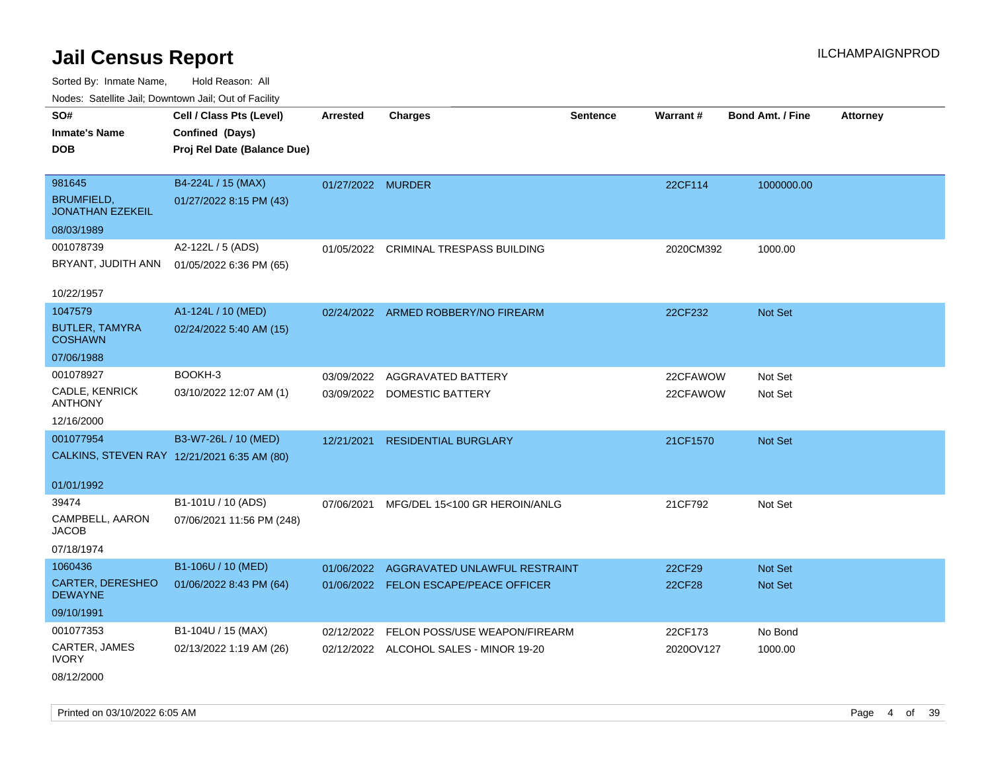Sorted By: Inmate Name, Hold Reason: All Nodes: Satellite Jail; Downtown Jail; Out of Facility

| vouco. Odichite Jan, Downtown Jan, Out of Facility |                             |                   |                                        |                 |                 |                         |                 |
|----------------------------------------------------|-----------------------------|-------------------|----------------------------------------|-----------------|-----------------|-------------------------|-----------------|
| SO#                                                | Cell / Class Pts (Level)    | <b>Arrested</b>   | <b>Charges</b>                         | <b>Sentence</b> | <b>Warrant#</b> | <b>Bond Amt. / Fine</b> | <b>Attorney</b> |
| <b>Inmate's Name</b>                               | Confined (Days)             |                   |                                        |                 |                 |                         |                 |
| <b>DOB</b>                                         | Proj Rel Date (Balance Due) |                   |                                        |                 |                 |                         |                 |
|                                                    |                             |                   |                                        |                 |                 |                         |                 |
| 981645                                             | B4-224L / 15 (MAX)          | 01/27/2022 MURDER |                                        |                 | 22CF114         | 1000000.00              |                 |
| BRUMFIELD,<br><b>JONATHAN EZEKEIL</b>              | 01/27/2022 8:15 PM (43)     |                   |                                        |                 |                 |                         |                 |
| 08/03/1989                                         |                             |                   |                                        |                 |                 |                         |                 |
| 001078739                                          | A2-122L / 5 (ADS)           |                   | 01/05/2022 CRIMINAL TRESPASS BUILDING  |                 | 2020CM392       | 1000.00                 |                 |
| BRYANT, JUDITH ANN                                 | 01/05/2022 6:36 PM (65)     |                   |                                        |                 |                 |                         |                 |
| 10/22/1957                                         |                             |                   |                                        |                 |                 |                         |                 |
| 1047579                                            | A1-124L / 10 (MED)          |                   | 02/24/2022 ARMED ROBBERY/NO FIREARM    |                 | 22CF232         | Not Set                 |                 |
| <b>BUTLER, TAMYRA</b><br><b>COSHAWN</b>            | 02/24/2022 5:40 AM (15)     |                   |                                        |                 |                 |                         |                 |
| 07/06/1988                                         |                             |                   |                                        |                 |                 |                         |                 |
| 001078927                                          | BOOKH-3                     | 03/09/2022        | AGGRAVATED BATTERY                     |                 | 22CFAWOW        | Not Set                 |                 |
| CADLE, KENRICK<br><b>ANTHONY</b>                   | 03/10/2022 12:07 AM (1)     |                   | 03/09/2022 DOMESTIC BATTERY            |                 | 22CFAWOW        | Not Set                 |                 |
| 12/16/2000                                         |                             |                   |                                        |                 |                 |                         |                 |
| 001077954                                          | B3-W7-26L / 10 (MED)        | 12/21/2021        | <b>RESIDENTIAL BURGLARY</b>            |                 | 21CF1570        | <b>Not Set</b>          |                 |
| CALKINS, STEVEN RAY 12/21/2021 6:35 AM (80)        |                             |                   |                                        |                 |                 |                         |                 |
| 01/01/1992                                         |                             |                   |                                        |                 |                 |                         |                 |
| 39474                                              | B1-101U / 10 (ADS)          | 07/06/2021        | MFG/DEL 15<100 GR HEROIN/ANLG          |                 | 21CF792         | Not Set                 |                 |
| CAMPBELL, AARON<br>JACOB                           | 07/06/2021 11:56 PM (248)   |                   |                                        |                 |                 |                         |                 |
| 07/18/1974                                         |                             |                   |                                        |                 |                 |                         |                 |
| 1060436                                            | B1-106U / 10 (MED)          | 01/06/2022        | AGGRAVATED UNLAWFUL RESTRAINT          |                 | 22CF29          | Not Set                 |                 |
| <b>CARTER, DERESHEO</b><br><b>DEWAYNE</b>          | 01/06/2022 8:43 PM (64)     |                   | 01/06/2022 FELON ESCAPE/PEACE OFFICER  |                 | 22CF28          | <b>Not Set</b>          |                 |
| 09/10/1991                                         |                             |                   |                                        |                 |                 |                         |                 |
| 001077353                                          | B1-104U / 15 (MAX)          | 02/12/2022        | FELON POSS/USE WEAPON/FIREARM          |                 | 22CF173         | No Bond                 |                 |
| CARTER, JAMES<br><b>IVORY</b>                      | 02/13/2022 1:19 AM (26)     |                   | 02/12/2022 ALCOHOL SALES - MINOR 19-20 |                 | 2020OV127       | 1000.00                 |                 |

08/12/2000

Printed on 03/10/2022 6:05 AM **Page 4 of 39**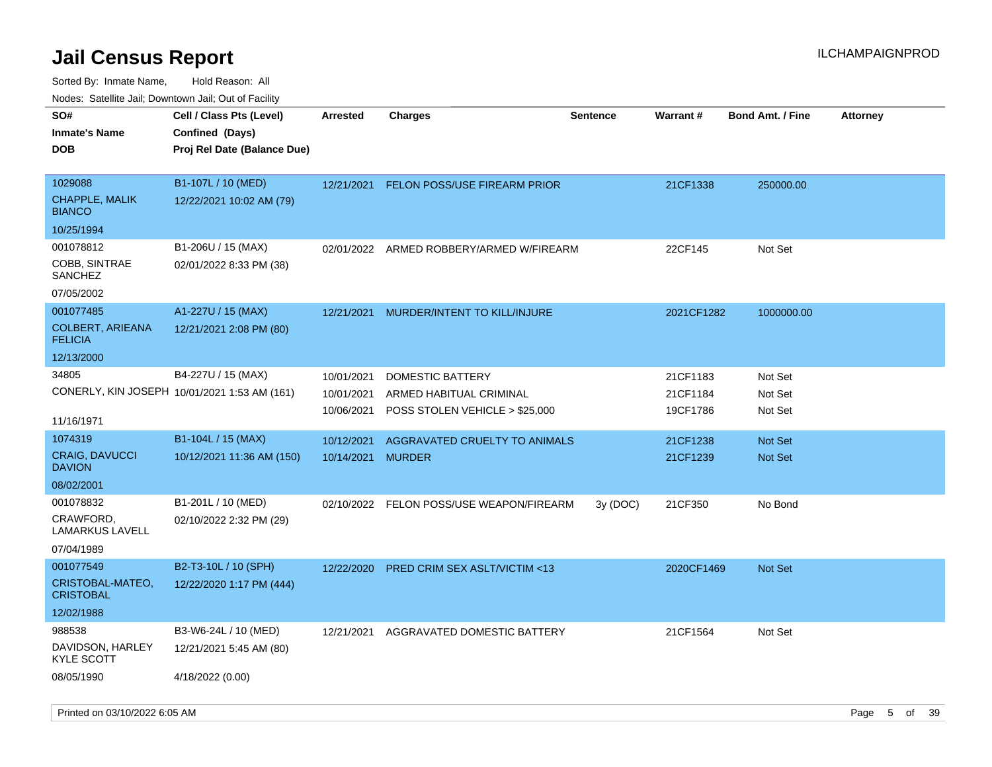| 10000. Catolino can, Domntonn can, Cat or I doint |                                                                                   |                 |                                         |                 |            |                         |                 |
|---------------------------------------------------|-----------------------------------------------------------------------------------|-----------------|-----------------------------------------|-----------------|------------|-------------------------|-----------------|
| SO#<br>Inmate's Name<br>DOB                       | Cell / Class Pts (Level)<br><b>Confined (Days)</b><br>Proj Rel Date (Balance Due) | <b>Arrested</b> | Charges                                 | <b>Sentence</b> | Warrant#   | <b>Bond Amt. / Fine</b> | <b>Attorney</b> |
|                                                   |                                                                                   |                 |                                         |                 |            |                         |                 |
| 1029088<br><b>CHAPPLE, MALIK</b><br><b>BIANCO</b> | B1-107L / 10 (MED)<br>12/22/2021 10:02 AM (79)                                    | 12/21/2021      | <b>FELON POSS/USE FIREARM PRIOR</b>     |                 | 21CF1338   | 250000.00               |                 |
| 10/25/1994                                        |                                                                                   |                 |                                         |                 |            |                         |                 |
| 001078812                                         | B1-206U / 15 (MAX)                                                                | 02/01/2022      | ARMED ROBBERY/ARMED W/FIREARM           |                 | 22CF145    | Not Set                 |                 |
| COBB, SINTRAE<br>SANCHEZ                          | 02/01/2022 8:33 PM (38)                                                           |                 |                                         |                 |            |                         |                 |
| 07/05/2002                                        |                                                                                   |                 |                                         |                 |            |                         |                 |
| 001077485                                         | A1-227U / 15 (MAX)                                                                | 12/21/2021      | MURDER/INTENT TO KILL/INJURE            |                 | 2021CF1282 | 1000000.00              |                 |
| COLBERT, ARIEANA<br><b>FELICIA</b>                | 12/21/2021 2:08 PM (80)                                                           |                 |                                         |                 |            |                         |                 |
| 12/13/2000                                        |                                                                                   |                 |                                         |                 |            |                         |                 |
| 34805                                             | B4-227U / 15 (MAX)                                                                | 10/01/2021      | DOMESTIC BATTERY                        |                 | 21CF1183   | Not Set                 |                 |
|                                                   | CONERLY, KIN JOSEPH 10/01/2021 1:53 AM (161)                                      | 10/01/2021      | ARMED HABITUAL CRIMINAL                 |                 | 21CF1184   | Not Set                 |                 |
| 11/16/1971                                        |                                                                                   | 10/06/2021      | POSS STOLEN VEHICLE > \$25,000          |                 | 19CF1786   | Not Set                 |                 |
| 1074319                                           | B1-104L / 15 (MAX)                                                                | 10/12/2021      | AGGRAVATED CRUELTY TO ANIMALS           |                 | 21CF1238   | Not Set                 |                 |
| <b>CRAIG, DAVUCCI</b><br><b>DAVION</b>            | 10/12/2021 11:36 AM (150)                                                         | 10/14/2021      | <b>MURDER</b>                           |                 | 21CF1239   | <b>Not Set</b>          |                 |
| 08/02/2001                                        |                                                                                   |                 |                                         |                 |            |                         |                 |
| 001078832                                         | B1-201L / 10 (MED)                                                                | 02/10/2022      | FELON POSS/USE WEAPON/FIREARM           | 3y(DOC)         | 21CF350    | No Bond                 |                 |
| CRAWFORD,<br>LAMARKUS LAVELL                      | 02/10/2022 2:32 PM (29)                                                           |                 |                                         |                 |            |                         |                 |
| 07/04/1989                                        |                                                                                   |                 |                                         |                 |            |                         |                 |
| 001077549                                         | B2-T3-10L / 10 (SPH)                                                              | 12/22/2020      | <b>PRED CRIM SEX ASLT/VICTIM &lt;13</b> |                 | 2020CF1469 | <b>Not Set</b>          |                 |
| CRISTOBAL-MATEO,<br>CRISTOBAL                     | 12/22/2020 1:17 PM (444)                                                          |                 |                                         |                 |            |                         |                 |
| 12/02/1988                                        |                                                                                   |                 |                                         |                 |            |                         |                 |
| 988538                                            | B3-W6-24L / 10 (MED)                                                              | 12/21/2021      | AGGRAVATED DOMESTIC BATTERY             |                 | 21CF1564   | Not Set                 |                 |
| DAVIDSON, HARLEY<br>KYLE SCOTT                    | 12/21/2021 5:45 AM (80)                                                           |                 |                                         |                 |            |                         |                 |
| 08/05/1990                                        | 4/18/2022 (0.00)                                                                  |                 |                                         |                 |            |                         |                 |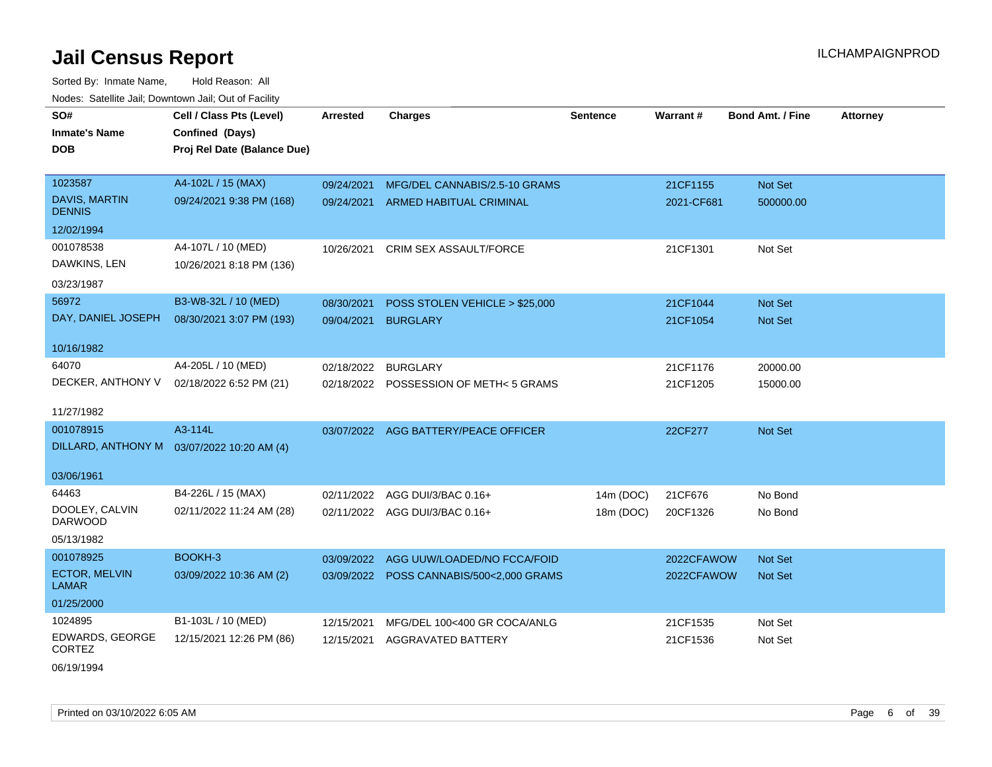Sorted By: Inmate Name, Hold Reason: All Nodes: Satellite Jail; Downtown Jail; Out of Facility

| SO#<br><b>Inmate's Name</b><br><b>DOB</b>                       | Cell / Class Pts (Level)<br>Confined (Days)<br>Proj Rel Date (Balance Due) | <b>Arrested</b>          | <b>Charges</b>                                                                     | <b>Sentence</b>        | Warrant#                 | Bond Amt. / Fine     | <b>Attorney</b> |
|-----------------------------------------------------------------|----------------------------------------------------------------------------|--------------------------|------------------------------------------------------------------------------------|------------------------|--------------------------|----------------------|-----------------|
| 1023587<br><b>DAVIS, MARTIN</b><br><b>DENNIS</b><br>12/02/1994  | A4-102L / 15 (MAX)<br>09/24/2021 9:38 PM (168)                             | 09/24/2021               | MFG/DEL CANNABIS/2.5-10 GRAMS<br>09/24/2021 ARMED HABITUAL CRIMINAL                |                        | 21CF1155<br>2021-CF681   | Not Set<br>500000.00 |                 |
| 001078538<br>DAWKINS, LEN<br>03/23/1987                         | A4-107L / 10 (MED)<br>10/26/2021 8:18 PM (136)                             | 10/26/2021               | <b>CRIM SEX ASSAULT/FORCE</b>                                                      |                        | 21CF1301                 | Not Set              |                 |
| 56972<br>DAY, DANIEL JOSEPH                                     | B3-W8-32L / 10 (MED)<br>08/30/2021 3:07 PM (193)                           | 08/30/2021<br>09/04/2021 | POSS STOLEN VEHICLE > \$25,000<br><b>BURGLARY</b>                                  |                        | 21CF1044<br>21CF1054     | Not Set<br>Not Set   |                 |
| 10/16/1982<br>64070<br>DECKER, ANTHONY V<br>11/27/1982          | A4-205L / 10 (MED)<br>02/18/2022 6:52 PM (21)                              | 02/18/2022 BURGLARY      | 02/18/2022 POSSESSION OF METH<5 GRAMS                                              |                        | 21CF1176<br>21CF1205     | 20000.00<br>15000.00 |                 |
| 001078915<br>03/06/1961                                         | A3-114L<br>DILLARD, ANTHONY M 03/07/2022 10:20 AM (4)                      |                          | 03/07/2022 AGG BATTERY/PEACE OFFICER                                               |                        | 22CF277                  | Not Set              |                 |
| 64463<br>DOOLEY, CALVIN<br><b>DARWOOD</b><br>05/13/1982         | B4-226L / 15 (MAX)<br>02/11/2022 11:24 AM (28)                             |                          | 02/11/2022 AGG DUI/3/BAC 0.16+<br>02/11/2022 AGG DUI/3/BAC 0.16+                   | 14m (DOC)<br>18m (DOC) | 21CF676<br>20CF1326      | No Bond<br>No Bond   |                 |
| 001078925<br><b>ECTOR, MELVIN</b><br><b>LAMAR</b><br>01/25/2000 | BOOKH-3<br>03/09/2022 10:36 AM (2)                                         |                          | 03/09/2022 AGG UUW/LOADED/NO FCCA/FOID<br>03/09/2022 POSS CANNABIS/500<2,000 GRAMS |                        | 2022CFAWOW<br>2022CFAWOW | Not Set<br>Not Set   |                 |
| 1024895<br>EDWARDS, GEORGE<br><b>CORTEZ</b>                     | B1-103L / 10 (MED)<br>12/15/2021 12:26 PM (86)                             | 12/15/2021<br>12/15/2021 | MFG/DEL 100<400 GR COCA/ANLG<br><b>AGGRAVATED BATTERY</b>                          |                        | 21CF1535<br>21CF1536     | Not Set<br>Not Set   |                 |

06/19/1994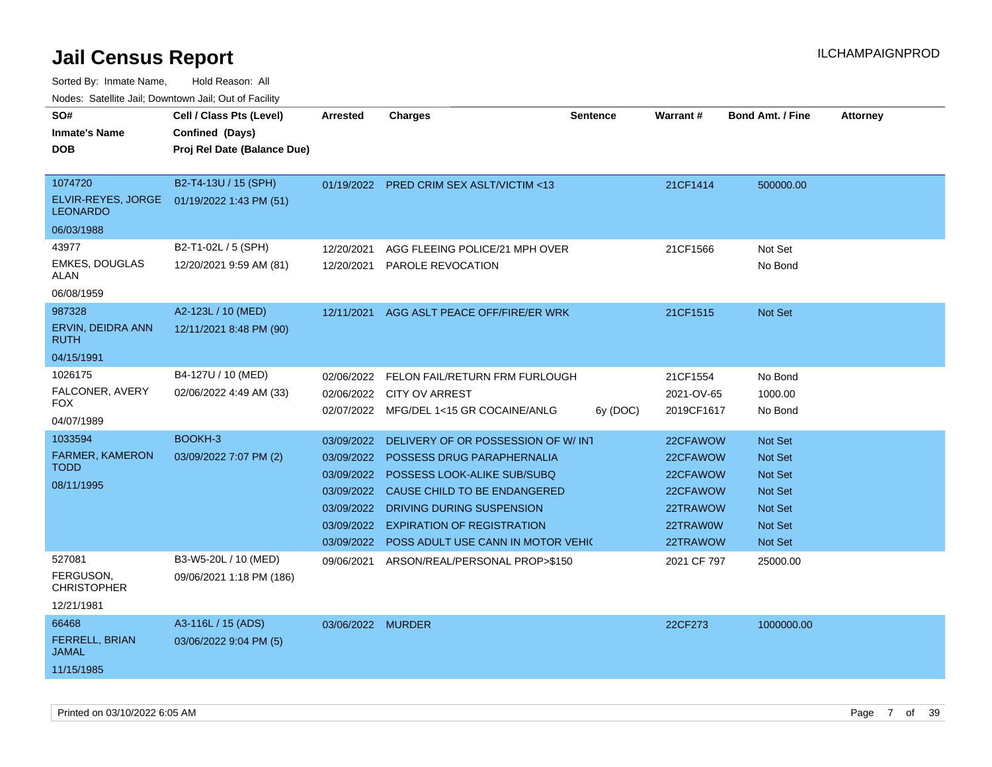| ivouss. Saleline Jali, Downlown Jali, Out of Facility |                                            |                   |                                           |                 |                 |                         |                 |
|-------------------------------------------------------|--------------------------------------------|-------------------|-------------------------------------------|-----------------|-----------------|-------------------------|-----------------|
| SO#                                                   | Cell / Class Pts (Level)                   | Arrested          | <b>Charges</b>                            | <b>Sentence</b> | <b>Warrant#</b> | <b>Bond Amt. / Fine</b> | <b>Attorney</b> |
| <b>Inmate's Name</b>                                  | Confined (Days)                            |                   |                                           |                 |                 |                         |                 |
| <b>DOB</b>                                            | Proj Rel Date (Balance Due)                |                   |                                           |                 |                 |                         |                 |
|                                                       |                                            |                   |                                           |                 |                 |                         |                 |
| 1074720                                               | B2-T4-13U / 15 (SPH)                       |                   | 01/19/2022 PRED CRIM SEX ASLT/VICTIM <13  |                 | 21CF1414        | 500000.00               |                 |
| <b>LEONARDO</b>                                       | ELVIR-REYES, JORGE 01/19/2022 1:43 PM (51) |                   |                                           |                 |                 |                         |                 |
| 06/03/1988                                            |                                            |                   |                                           |                 |                 |                         |                 |
| 43977                                                 | B2-T1-02L / 5 (SPH)                        | 12/20/2021        | AGG FLEEING POLICE/21 MPH OVER            |                 | 21CF1566        | Not Set                 |                 |
| <b>EMKES, DOUGLAS</b><br>ALAN                         | 12/20/2021 9:59 AM (81)                    | 12/20/2021        | PAROLE REVOCATION                         |                 |                 | No Bond                 |                 |
| 06/08/1959                                            |                                            |                   |                                           |                 |                 |                         |                 |
| 987328                                                | A2-123L / 10 (MED)                         | 12/11/2021        | AGG ASLT PEACE OFF/FIRE/ER WRK            |                 | 21CF1515        | <b>Not Set</b>          |                 |
| ERVIN, DEIDRA ANN<br><b>RUTH</b>                      | 12/11/2021 8:48 PM (90)                    |                   |                                           |                 |                 |                         |                 |
| 04/15/1991                                            |                                            |                   |                                           |                 |                 |                         |                 |
| 1026175                                               | B4-127U / 10 (MED)                         |                   | 02/06/2022 FELON FAIL/RETURN FRM FURLOUGH |                 | 21CF1554        | No Bond                 |                 |
| FALCONER, AVERY                                       | 02/06/2022 4:49 AM (33)                    |                   | 02/06/2022 CITY OV ARREST                 |                 | 2021-OV-65      | 1000.00                 |                 |
| FOX.                                                  |                                            |                   | 02/07/2022 MFG/DEL 1<15 GR COCAINE/ANLG   | 6y(DOC)         | 2019CF1617      | No Bond                 |                 |
| 04/07/1989                                            |                                            |                   |                                           |                 |                 |                         |                 |
| 1033594                                               | BOOKH-3                                    | 03/09/2022        | DELIVERY OF OR POSSESSION OF W/INT        |                 | 22CFAWOW        | <b>Not Set</b>          |                 |
| FARMER, KAMERON                                       | 03/09/2022 7:07 PM (2)                     |                   | 03/09/2022 POSSESS DRUG PARAPHERNALIA     |                 | 22CFAWOW        | <b>Not Set</b>          |                 |
| TODD                                                  |                                            |                   | 03/09/2022 POSSESS LOOK-ALIKE SUB/SUBQ    |                 | 22CFAWOW        | Not Set                 |                 |
| 08/11/1995                                            |                                            |                   | 03/09/2022 CAUSE CHILD TO BE ENDANGERED   |                 | 22CFAWOW        | Not Set                 |                 |
|                                                       |                                            | 03/09/2022        | DRIVING DURING SUSPENSION                 |                 | 22TRAWOW        | <b>Not Set</b>          |                 |
|                                                       |                                            | 03/09/2022        | <b>EXPIRATION OF REGISTRATION</b>         |                 | 22TRAW0W        | Not Set                 |                 |
|                                                       |                                            | 03/09/2022        | POSS ADULT USE CANN IN MOTOR VEHIC        |                 | 22TRAWOW        | Not Set                 |                 |
| 527081                                                | B3-W5-20L / 10 (MED)                       | 09/06/2021        | ARSON/REAL/PERSONAL PROP>\$150            |                 | 2021 CF 797     | 25000.00                |                 |
| FERGUSON,<br><b>CHRISTOPHER</b>                       | 09/06/2021 1:18 PM (186)                   |                   |                                           |                 |                 |                         |                 |
| 12/21/1981                                            |                                            |                   |                                           |                 |                 |                         |                 |
| 66468                                                 | A3-116L / 15 (ADS)                         | 03/06/2022 MURDER |                                           |                 | 22CF273         | 1000000.00              |                 |
| <b>FERRELL, BRIAN</b><br><b>JAMAL</b>                 | 03/06/2022 9:04 PM (5)                     |                   |                                           |                 |                 |                         |                 |
| 11/15/1985                                            |                                            |                   |                                           |                 |                 |                         |                 |
|                                                       |                                            |                   |                                           |                 |                 |                         |                 |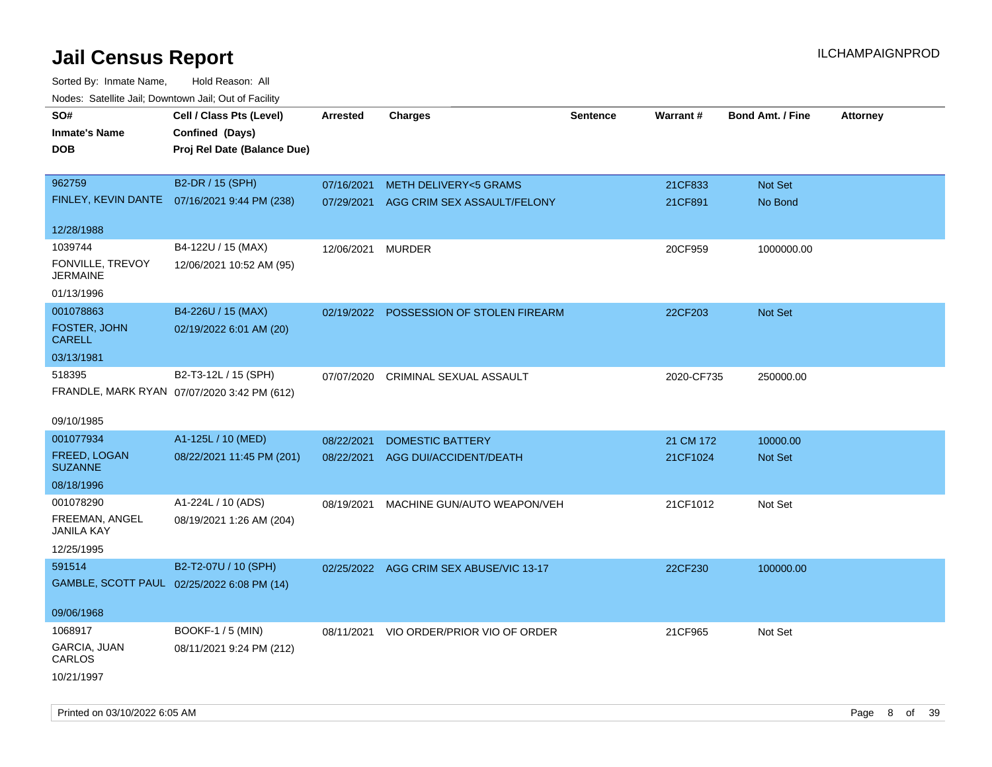Sorted By: Inmate Name, Hold Reason: All Nodes: Satellite Jail; Downtown Jail; Out of Facility

| roaco. Odichile Jan, Downtown Jan, Out of Facility |                                              |                 |                                         |          |            |                         |                 |
|----------------------------------------------------|----------------------------------------------|-----------------|-----------------------------------------|----------|------------|-------------------------|-----------------|
| SO#                                                | Cell / Class Pts (Level)                     | <b>Arrested</b> | <b>Charges</b>                          | Sentence | Warrant#   | <b>Bond Amt. / Fine</b> | <b>Attorney</b> |
| <b>Inmate's Name</b>                               | Confined (Days)                              |                 |                                         |          |            |                         |                 |
| <b>DOB</b>                                         | Proj Rel Date (Balance Due)                  |                 |                                         |          |            |                         |                 |
|                                                    |                                              |                 |                                         |          |            |                         |                 |
| 962759                                             | B2-DR / 15 (SPH)                             | 07/16/2021      | <b>METH DELIVERY&lt;5 GRAMS</b>         |          | 21CF833    | Not Set                 |                 |
|                                                    | FINLEY, KEVIN DANTE 07/16/2021 9:44 PM (238) | 07/29/2021      | AGG CRIM SEX ASSAULT/FELONY             |          | 21CF891    | No Bond                 |                 |
| 12/28/1988                                         |                                              |                 |                                         |          |            |                         |                 |
| 1039744                                            | B4-122U / 15 (MAX)                           | 12/06/2021      | <b>MURDER</b>                           |          | 20CF959    | 1000000.00              |                 |
| FONVILLE, TREVOY<br><b>JERMAINE</b>                | 12/06/2021 10:52 AM (95)                     |                 |                                         |          |            |                         |                 |
| 01/13/1996                                         |                                              |                 |                                         |          |            |                         |                 |
| 001078863                                          | B4-226U / 15 (MAX)                           |                 | 02/19/2022 POSSESSION OF STOLEN FIREARM |          | 22CF203    | Not Set                 |                 |
| FOSTER, JOHN<br><b>CARELL</b>                      | 02/19/2022 6:01 AM (20)                      |                 |                                         |          |            |                         |                 |
| 03/13/1981                                         |                                              |                 |                                         |          |            |                         |                 |
| 518395                                             | B2-T3-12L / 15 (SPH)                         | 07/07/2020      | CRIMINAL SEXUAL ASSAULT                 |          | 2020-CF735 | 250000.00               |                 |
|                                                    | FRANDLE, MARK RYAN 07/07/2020 3:42 PM (612)  |                 |                                         |          |            |                         |                 |
| 09/10/1985                                         |                                              |                 |                                         |          |            |                         |                 |
| 001077934                                          | A1-125L / 10 (MED)                           | 08/22/2021      | <b>DOMESTIC BATTERY</b>                 |          | 21 CM 172  | 10000.00                |                 |
| <b>FREED, LOGAN</b><br><b>SUZANNE</b>              | 08/22/2021 11:45 PM (201)                    | 08/22/2021      | AGG DUI/ACCIDENT/DEATH                  |          | 21CF1024   | Not Set                 |                 |
| 08/18/1996                                         |                                              |                 |                                         |          |            |                         |                 |
| 001078290                                          | A1-224L / 10 (ADS)                           | 08/19/2021      | MACHINE GUN/AUTO WEAPON/VEH             |          | 21CF1012   | Not Set                 |                 |
| FREEMAN, ANGEL<br>JANILA KAY                       | 08/19/2021 1:26 AM (204)                     |                 |                                         |          |            |                         |                 |
| 12/25/1995                                         |                                              |                 |                                         |          |            |                         |                 |
| 591514                                             | B2-T2-07U / 10 (SPH)                         |                 | 02/25/2022 AGG CRIM SEX ABUSE/VIC 13-17 |          | 22CF230    | 100000.00               |                 |
| GAMBLE, SCOTT PAUL 02/25/2022 6:08 PM (14)         |                                              |                 |                                         |          |            |                         |                 |
| 09/06/1968                                         |                                              |                 |                                         |          |            |                         |                 |
| 1068917                                            | <b>BOOKF-1 / 5 (MIN)</b>                     |                 | 08/11/2021 VIO ORDER/PRIOR VIO OF ORDER |          | 21CF965    | Not Set                 |                 |
| GARCIA, JUAN<br>CARLOS                             | 08/11/2021 9:24 PM (212)                     |                 |                                         |          |            |                         |                 |
| 10/21/1997                                         |                                              |                 |                                         |          |            |                         |                 |

Printed on 03/10/2022 6:05 AM **Page 8 of 39**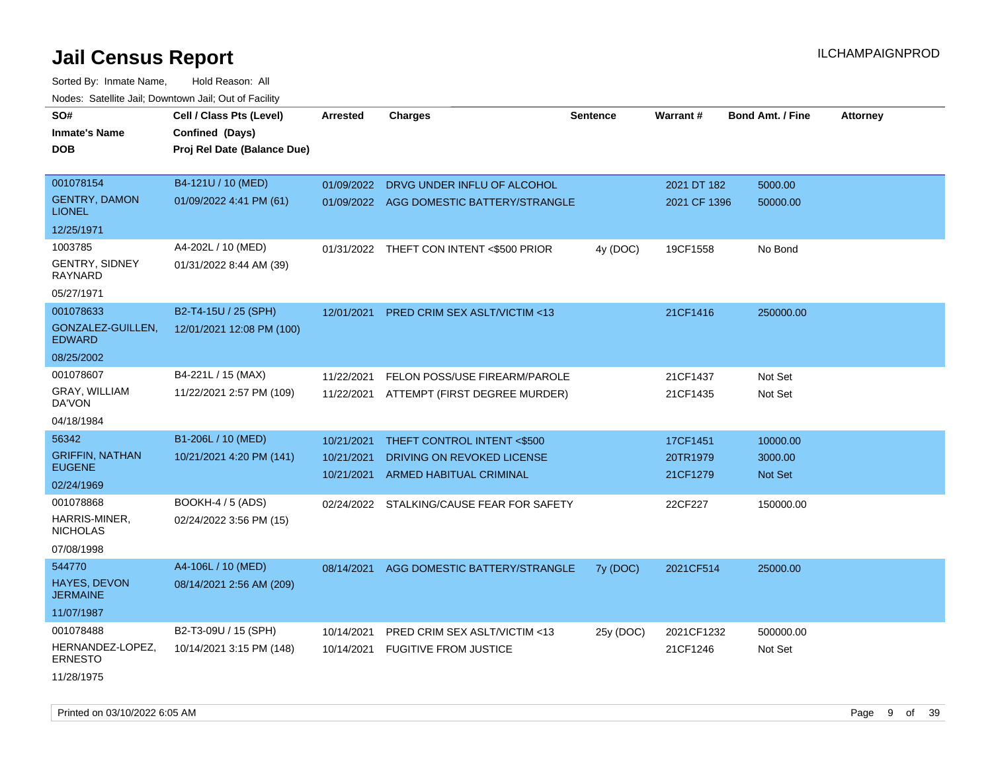| SO#                                    | Cell / Class Pts (Level)    | <b>Arrested</b> | <b>Charges</b>                            | <b>Sentence</b> | Warrant#     | <b>Bond Amt. / Fine</b> | <b>Attorney</b> |
|----------------------------------------|-----------------------------|-----------------|-------------------------------------------|-----------------|--------------|-------------------------|-----------------|
|                                        |                             |                 |                                           |                 |              |                         |                 |
| <b>Inmate's Name</b>                   | Confined (Days)             |                 |                                           |                 |              |                         |                 |
| <b>DOB</b>                             | Proj Rel Date (Balance Due) |                 |                                           |                 |              |                         |                 |
|                                        |                             |                 |                                           |                 |              |                         |                 |
| 001078154                              | B4-121U / 10 (MED)          | 01/09/2022      | DRVG UNDER INFLU OF ALCOHOL               |                 | 2021 DT 182  | 5000.00                 |                 |
| <b>GENTRY, DAMON</b><br><b>LIONEL</b>  | 01/09/2022 4:41 PM (61)     |                 | 01/09/2022 AGG DOMESTIC BATTERY/STRANGLE  |                 | 2021 CF 1396 | 50000.00                |                 |
| 12/25/1971                             |                             |                 |                                           |                 |              |                         |                 |
| 1003785                                | A4-202L / 10 (MED)          | 01/31/2022      | THEFT CON INTENT <\$500 PRIOR             | 4y (DOC)        | 19CF1558     | No Bond                 |                 |
| GENTRY, SIDNEY<br>RAYNARD              | 01/31/2022 8:44 AM (39)     |                 |                                           |                 |              |                         |                 |
| 05/27/1971                             |                             |                 |                                           |                 |              |                         |                 |
| 001078633                              | B2-T4-15U / 25 (SPH)        | 12/01/2021      | <b>PRED CRIM SEX ASLT/VICTIM &lt;13</b>   |                 | 21CF1416     | 250000.00               |                 |
| GONZALEZ-GUILLEN,<br><b>EDWARD</b>     | 12/01/2021 12:08 PM (100)   |                 |                                           |                 |              |                         |                 |
| 08/25/2002                             |                             |                 |                                           |                 |              |                         |                 |
| 001078607                              | B4-221L / 15 (MAX)          | 11/22/2021      | FELON POSS/USE FIREARM/PAROLE             |                 | 21CF1437     | Not Set                 |                 |
| GRAY, WILLIAM<br>DA'VON                | 11/22/2021 2:57 PM (109)    | 11/22/2021      | ATTEMPT (FIRST DEGREE MURDER)             |                 | 21CF1435     | Not Set                 |                 |
| 04/18/1984                             |                             |                 |                                           |                 |              |                         |                 |
| 56342                                  | B1-206L / 10 (MED)          | 10/21/2021      | THEFT CONTROL INTENT <\$500               |                 | 17CF1451     | 10000.00                |                 |
| <b>GRIFFIN, NATHAN</b>                 | 10/21/2021 4:20 PM (141)    | 10/21/2021      | DRIVING ON REVOKED LICENSE                |                 | 20TR1979     | 3000.00                 |                 |
| <b>EUGENE</b>                          |                             | 10/21/2021      | ARMED HABITUAL CRIMINAL                   |                 | 21CF1279     | <b>Not Set</b>          |                 |
| 02/24/1969                             |                             |                 |                                           |                 |              |                         |                 |
| 001078868                              | <b>BOOKH-4 / 5 (ADS)</b>    |                 | 02/24/2022 STALKING/CAUSE FEAR FOR SAFETY |                 | 22CF227      | 150000.00               |                 |
| HARRIS-MINER,<br><b>NICHOLAS</b>       | 02/24/2022 3:56 PM (15)     |                 |                                           |                 |              |                         |                 |
| 07/08/1998                             |                             |                 |                                           |                 |              |                         |                 |
| 544770                                 | A4-106L / 10 (MED)          | 08/14/2021      | AGG DOMESTIC BATTERY/STRANGLE             | 7y (DOC)        | 2021CF514    | 25000.00                |                 |
| <b>HAYES, DEVON</b><br><b>JERMAINE</b> | 08/14/2021 2:56 AM (209)    |                 |                                           |                 |              |                         |                 |
| 11/07/1987                             |                             |                 |                                           |                 |              |                         |                 |
| 001078488                              | B2-T3-09U / 15 (SPH)        | 10/14/2021      | PRED CRIM SEX ASLT/VICTIM <13             | 25y (DOC)       | 2021CF1232   | 500000.00               |                 |
| HERNANDEZ-LOPEZ,<br><b>ERNESTO</b>     | 10/14/2021 3:15 PM (148)    | 10/14/2021      | <b>FUGITIVE FROM JUSTICE</b>              |                 | 21CF1246     | Not Set                 |                 |
| 11/28/1975                             |                             |                 |                                           |                 |              |                         |                 |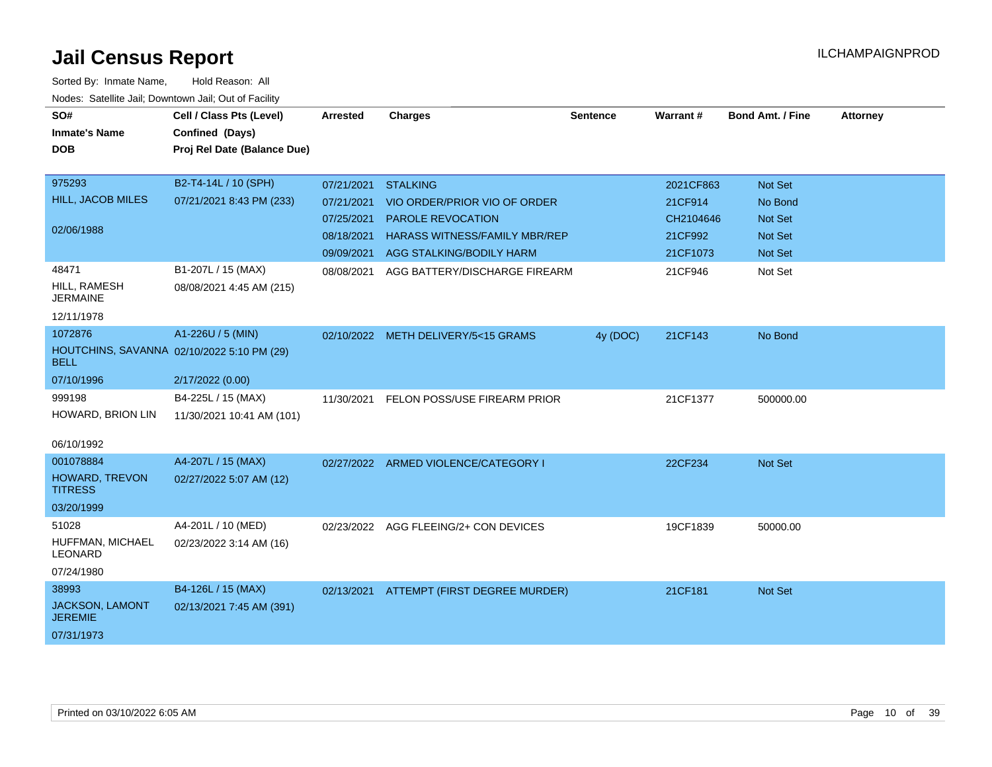| SO#                                                       | Cell / Class Pts (Level)    | <b>Arrested</b> | <b>Charges</b>                           | <b>Sentence</b> | Warrant#  | <b>Bond Amt. / Fine</b> | <b>Attorney</b> |
|-----------------------------------------------------------|-----------------------------|-----------------|------------------------------------------|-----------------|-----------|-------------------------|-----------------|
| <b>Inmate's Name</b>                                      | Confined (Days)             |                 |                                          |                 |           |                         |                 |
| <b>DOB</b>                                                | Proj Rel Date (Balance Due) |                 |                                          |                 |           |                         |                 |
|                                                           |                             |                 |                                          |                 |           |                         |                 |
| 975293                                                    | B2-T4-14L / 10 (SPH)        | 07/21/2021      | <b>STALKING</b>                          |                 | 2021CF863 | <b>Not Set</b>          |                 |
| <b>HILL, JACOB MILES</b>                                  | 07/21/2021 8:43 PM (233)    | 07/21/2021      | VIO ORDER/PRIOR VIO OF ORDER             |                 | 21CF914   | No Bond                 |                 |
|                                                           |                             | 07/25/2021      | PAROLE REVOCATION                        |                 | CH2104646 | Not Set                 |                 |
| 02/06/1988                                                |                             | 08/18/2021      | <b>HARASS WITNESS/FAMILY MBR/REP</b>     |                 | 21CF992   | <b>Not Set</b>          |                 |
|                                                           |                             | 09/09/2021      | AGG STALKING/BODILY HARM                 |                 | 21CF1073  | <b>Not Set</b>          |                 |
| 48471                                                     | B1-207L / 15 (MAX)          | 08/08/2021      | AGG BATTERY/DISCHARGE FIREARM            |                 | 21CF946   | Not Set                 |                 |
| HILL, RAMESH<br><b>JERMAINE</b>                           | 08/08/2021 4:45 AM (215)    |                 |                                          |                 |           |                         |                 |
| 12/11/1978                                                |                             |                 |                                          |                 |           |                         |                 |
| 1072876                                                   | A1-226U / 5 (MIN)           |                 | 02/10/2022 METH DELIVERY/5<15 GRAMS      | 4y (DOC)        | 21CF143   | No Bond                 |                 |
| HOUTCHINS, SAVANNA 02/10/2022 5:10 PM (29)<br><b>BELL</b> |                             |                 |                                          |                 |           |                         |                 |
| 07/10/1996                                                | 2/17/2022 (0.00)            |                 |                                          |                 |           |                         |                 |
| 999198                                                    | B4-225L / 15 (MAX)          | 11/30/2021      | FELON POSS/USE FIREARM PRIOR             |                 | 21CF1377  | 500000.00               |                 |
| HOWARD, BRION LIN                                         | 11/30/2021 10:41 AM (101)   |                 |                                          |                 |           |                         |                 |
|                                                           |                             |                 |                                          |                 |           |                         |                 |
| 06/10/1992                                                |                             |                 |                                          |                 |           |                         |                 |
| 001078884                                                 | A4-207L / 15 (MAX)          |                 | 02/27/2022 ARMED VIOLENCE/CATEGORY I     |                 | 22CF234   | <b>Not Set</b>          |                 |
| HOWARD, TREVON<br><b>TITRESS</b>                          | 02/27/2022 5:07 AM (12)     |                 |                                          |                 |           |                         |                 |
| 03/20/1999                                                |                             |                 |                                          |                 |           |                         |                 |
| 51028                                                     | A4-201L / 10 (MED)          |                 | 02/23/2022 AGG FLEEING/2+ CON DEVICES    |                 | 19CF1839  | 50000.00                |                 |
| HUFFMAN, MICHAEL<br><b>LEONARD</b>                        | 02/23/2022 3:14 AM (16)     |                 |                                          |                 |           |                         |                 |
| 07/24/1980                                                |                             |                 |                                          |                 |           |                         |                 |
| 38993                                                     | B4-126L / 15 (MAX)          |                 | 02/13/2021 ATTEMPT (FIRST DEGREE MURDER) |                 | 21CF181   | <b>Not Set</b>          |                 |
| JACKSON, LAMONT<br><b>JEREMIE</b>                         | 02/13/2021 7:45 AM (391)    |                 |                                          |                 |           |                         |                 |
| 07/31/1973                                                |                             |                 |                                          |                 |           |                         |                 |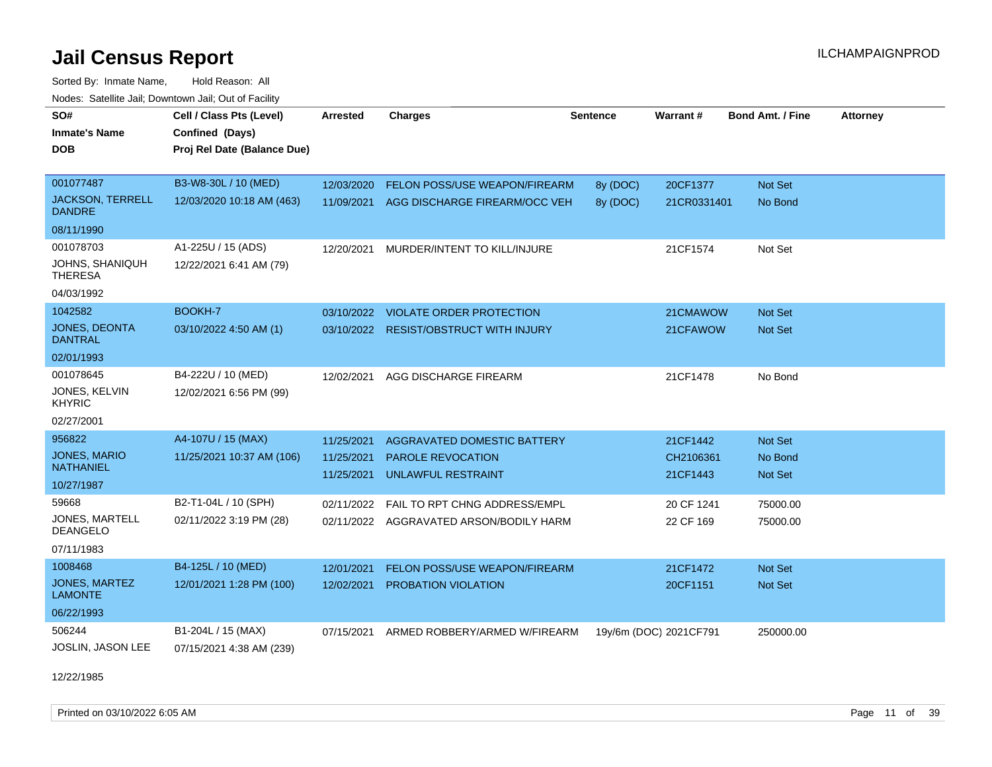Sorted By: Inmate Name, Hold Reason: All Nodes: Satellite Jail; Downtown Jail; Out of Facility

| SO#<br><b>Inmate's Name</b><br><b>DOB</b> | Cell / Class Pts (Level)<br>Confined (Days)<br>Proj Rel Date (Balance Due) | <b>Arrested</b> | <b>Charges</b>                          | <b>Sentence</b> | Warrant#               | <b>Bond Amt. / Fine</b> | <b>Attorney</b> |
|-------------------------------------------|----------------------------------------------------------------------------|-----------------|-----------------------------------------|-----------------|------------------------|-------------------------|-----------------|
| 001077487<br><b>JACKSON, TERRELL</b>      | B3-W8-30L / 10 (MED)                                                       | 12/03/2020      | FELON POSS/USE WEAPON/FIREARM           | 8y (DOC)        | 20CF1377               | <b>Not Set</b>          |                 |
| <b>DANDRE</b>                             | 12/03/2020 10:18 AM (463)                                                  | 11/09/2021      | AGG DISCHARGE FIREARM/OCC VEH           | 8y (DOC)        | 21CR0331401            | No Bond                 |                 |
| 08/11/1990                                |                                                                            |                 |                                         |                 |                        |                         |                 |
| 001078703                                 | A1-225U / 15 (ADS)                                                         | 12/20/2021      | MURDER/INTENT TO KILL/INJURE            |                 | 21CF1574               | Not Set                 |                 |
| <b>JOHNS, SHANIQUH</b><br><b>THERESA</b>  | 12/22/2021 6:41 AM (79)                                                    |                 |                                         |                 |                        |                         |                 |
| 04/03/1992                                |                                                                            |                 |                                         |                 |                        |                         |                 |
| 1042582                                   | <b>BOOKH-7</b>                                                             | 03/10/2022      | <b>VIOLATE ORDER PROTECTION</b>         |                 | 21CMAWOW               | <b>Not Set</b>          |                 |
| JONES, DEONTA<br><b>DANTRAL</b>           | 03/10/2022 4:50 AM (1)                                                     | 03/10/2022      | <b>RESIST/OBSTRUCT WITH INJURY</b>      |                 | 21CFAWOW               | <b>Not Set</b>          |                 |
| 02/01/1993                                |                                                                            |                 |                                         |                 |                        |                         |                 |
| 001078645                                 | B4-222U / 10 (MED)                                                         | 12/02/2021      | AGG DISCHARGE FIREARM                   |                 | 21CF1478               | No Bond                 |                 |
| JONES, KELVIN<br><b>KHYRIC</b>            | 12/02/2021 6:56 PM (99)                                                    |                 |                                         |                 |                        |                         |                 |
| 02/27/2001                                |                                                                            |                 |                                         |                 |                        |                         |                 |
| 956822                                    | A4-107U / 15 (MAX)                                                         | 11/25/2021      | AGGRAVATED DOMESTIC BATTERY             |                 | 21CF1442               | Not Set                 |                 |
| <b>JONES, MARIO</b>                       | 11/25/2021 10:37 AM (106)                                                  | 11/25/2021      | <b>PAROLE REVOCATION</b>                |                 | CH2106361              | No Bond                 |                 |
| <b>NATHANIEL</b><br>10/27/1987            |                                                                            | 11/25/2021      | <b>UNLAWFUL RESTRAINT</b>               |                 | 21CF1443               | <b>Not Set</b>          |                 |
| 59668                                     | B2-T1-04L / 10 (SPH)                                                       |                 |                                         |                 |                        |                         |                 |
| JONES, MARTELL                            | 02/11/2022 3:19 PM (28)                                                    | 02/11/2022      | FAIL TO RPT CHNG ADDRESS/EMPL           |                 | 20 CF 1241             | 75000.00                |                 |
| <b>DEANGELO</b>                           |                                                                            |                 | 02/11/2022 AGGRAVATED ARSON/BODILY HARM |                 | 22 CF 169              | 75000.00                |                 |
| 07/11/1983                                |                                                                            |                 |                                         |                 |                        |                         |                 |
| 1008468                                   | B4-125L / 10 (MED)                                                         | 12/01/2021      | FELON POSS/USE WEAPON/FIREARM           |                 | 21CF1472               | <b>Not Set</b>          |                 |
| <b>JONES, MARTEZ</b><br><b>LAMONTE</b>    | 12/01/2021 1:28 PM (100)                                                   | 12/02/2021      | <b>PROBATION VIOLATION</b>              |                 | 20CF1151               | <b>Not Set</b>          |                 |
| 06/22/1993                                |                                                                            |                 |                                         |                 |                        |                         |                 |
| 506244                                    | B1-204L / 15 (MAX)                                                         | 07/15/2021      | ARMED ROBBERY/ARMED W/FIREARM           |                 | 19y/6m (DOC) 2021CF791 | 250000.00               |                 |
| <b>JOSLIN, JASON LEE</b>                  | 07/15/2021 4:38 AM (239)                                                   |                 |                                         |                 |                        |                         |                 |

12/22/1985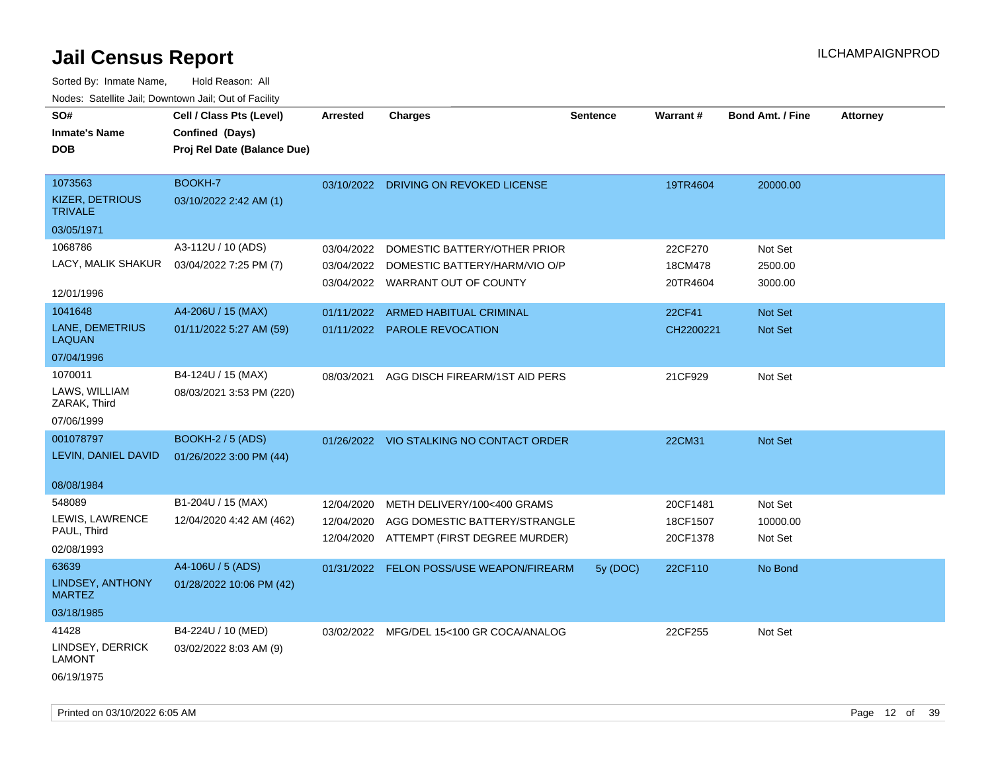| SO#<br><b>Inmate's Name</b><br><b>DOB</b>                              | Cell / Class Pts (Level)<br>Confined (Days)<br>Proj Rel Date (Balance Due) | <b>Arrested</b>          | <b>Charges</b>                                                                                               | <b>Sentence</b> | Warrant#                         | Bond Amt. / Fine               | <b>Attorney</b> |
|------------------------------------------------------------------------|----------------------------------------------------------------------------|--------------------------|--------------------------------------------------------------------------------------------------------------|-----------------|----------------------------------|--------------------------------|-----------------|
| 1073563<br><b>KIZER, DETRIOUS</b><br><b>TRIVALE</b><br>03/05/1971      | BOOKH-7<br>03/10/2022 2:42 AM (1)                                          | 03/10/2022               | DRIVING ON REVOKED LICENSE                                                                                   |                 | 19TR4604                         | 20000.00                       |                 |
| 1068786<br>LACY, MALIK SHAKUR<br>12/01/1996                            | A3-112U / 10 (ADS)<br>03/04/2022 7:25 PM (7)                               | 03/04/2022               | DOMESTIC BATTERY/OTHER PRIOR<br>03/04/2022 DOMESTIC BATTERY/HARM/VIO O/P<br>03/04/2022 WARRANT OUT OF COUNTY |                 | 22CF270<br>18CM478<br>20TR4604   | Not Set<br>2500.00<br>3000.00  |                 |
| 1041648<br>LANE, DEMETRIUS<br><b>LAQUAN</b><br>07/04/1996              | A4-206U / 15 (MAX)<br>01/11/2022 5:27 AM (59)                              |                          | 01/11/2022 ARMED HABITUAL CRIMINAL<br>01/11/2022 PAROLE REVOCATION                                           |                 | 22CF41<br>CH2200221              | Not Set<br>Not Set             |                 |
| 1070011<br>LAWS, WILLIAM<br>ZARAK, Third<br>07/06/1999                 | B4-124U / 15 (MAX)<br>08/03/2021 3:53 PM (220)                             | 08/03/2021               | AGG DISCH FIREARM/1ST AID PERS                                                                               |                 | 21CF929                          | Not Set                        |                 |
| 001078797<br>LEVIN, DANIEL DAVID<br>08/08/1984                         | <b>BOOKH-2 / 5 (ADS)</b><br>01/26/2022 3:00 PM (44)                        |                          | 01/26/2022 VIO STALKING NO CONTACT ORDER                                                                     |                 | 22CM31                           | Not Set                        |                 |
| 548089<br>LEWIS, LAWRENCE<br>PAUL, Third<br>02/08/1993                 | B1-204U / 15 (MAX)<br>12/04/2020 4:42 AM (462)                             | 12/04/2020<br>12/04/2020 | METH DELIVERY/100<400 GRAMS<br>AGG DOMESTIC BATTERY/STRANGLE<br>12/04/2020 ATTEMPT (FIRST DEGREE MURDER)     |                 | 20CF1481<br>18CF1507<br>20CF1378 | Not Set<br>10000.00<br>Not Set |                 |
| 63639<br>LINDSEY, ANTHONY<br><b>MARTEZ</b>                             | A4-106U / 5 (ADS)<br>01/28/2022 10:06 PM (42)                              |                          | 01/31/2022 FELON POSS/USE WEAPON/FIREARM                                                                     | 5y (DOC)        | 22CF110                          | No Bond                        |                 |
| 03/18/1985<br>41428<br>LINDSEY, DERRICK<br><b>LAMONT</b><br>06/19/1975 | B4-224U / 10 (MED)<br>03/02/2022 8:03 AM (9)                               |                          | 03/02/2022 MFG/DEL 15<100 GR COCA/ANALOG                                                                     |                 | 22CF255                          | Not Set                        |                 |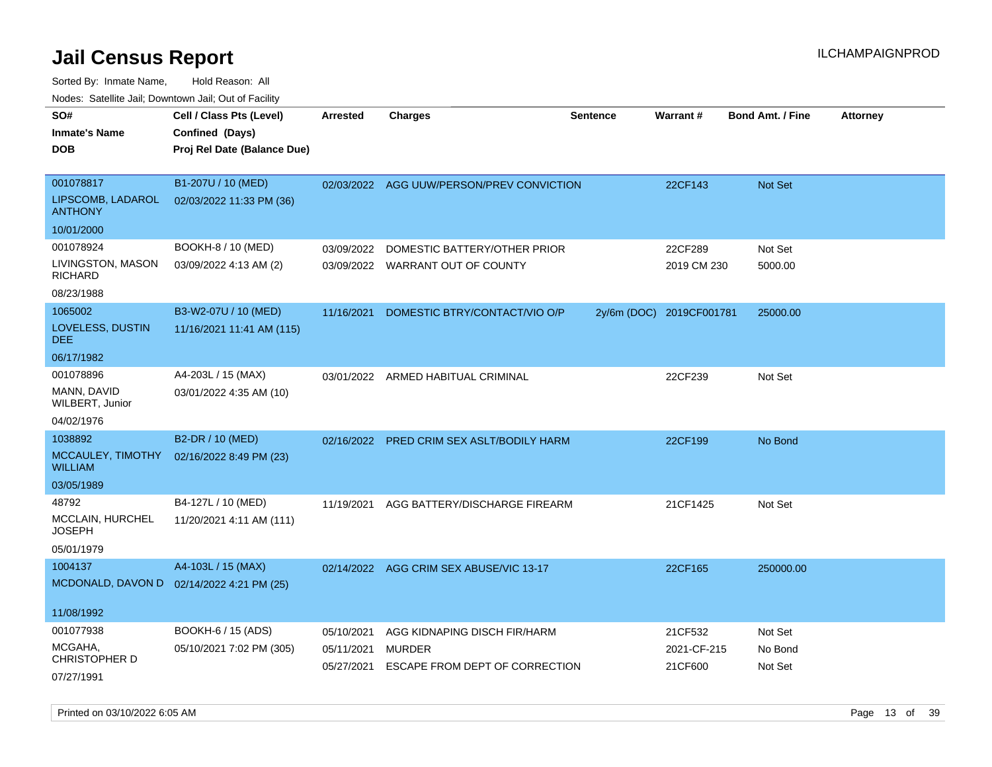Sorted By: Inmate Name, Hold Reason: All Nodes: Satellite Jail; Downtown Jail; Out of Facility

| soupois catomic can, Dominomii can, Cat or Faomt<br>SO# | Cell / Class Pts (Level)    | <b>Arrested</b> | <b>Charges</b>                            | <b>Sentence</b> | Warrant#                 | <b>Bond Amt. / Fine</b> | <b>Attorney</b> |
|---------------------------------------------------------|-----------------------------|-----------------|-------------------------------------------|-----------------|--------------------------|-------------------------|-----------------|
| <b>Inmate's Name</b>                                    | Confined (Days)             |                 |                                           |                 |                          |                         |                 |
| <b>DOB</b>                                              | Proj Rel Date (Balance Due) |                 |                                           |                 |                          |                         |                 |
|                                                         |                             |                 |                                           |                 |                          |                         |                 |
| 001078817                                               | B1-207U / 10 (MED)          |                 | 02/03/2022 AGG UUW/PERSON/PREV CONVICTION |                 | 22CF143                  | Not Set                 |                 |
| LIPSCOMB, LADAROL<br><b>ANTHONY</b>                     | 02/03/2022 11:33 PM (36)    |                 |                                           |                 |                          |                         |                 |
| 10/01/2000                                              |                             |                 |                                           |                 |                          |                         |                 |
| 001078924                                               | BOOKH-8 / 10 (MED)          | 03/09/2022      | DOMESTIC BATTERY/OTHER PRIOR              |                 | 22CF289                  | Not Set                 |                 |
| LIVINGSTON, MASON<br><b>RICHARD</b>                     | 03/09/2022 4:13 AM (2)      |                 | 03/09/2022 WARRANT OUT OF COUNTY          |                 | 2019 CM 230              | 5000.00                 |                 |
| 08/23/1988                                              |                             |                 |                                           |                 |                          |                         |                 |
| 1065002                                                 | B3-W2-07U / 10 (MED)        | 11/16/2021      | DOMESTIC BTRY/CONTACT/VIO O/P             |                 | 2y/6m (DOC) 2019CF001781 | 25000.00                |                 |
| LOVELESS, DUSTIN<br>DEE.                                | 11/16/2021 11:41 AM (115)   |                 |                                           |                 |                          |                         |                 |
| 06/17/1982                                              |                             |                 |                                           |                 |                          |                         |                 |
| 001078896                                               | A4-203L / 15 (MAX)          |                 | 03/01/2022 ARMED HABITUAL CRIMINAL        |                 | 22CF239                  | Not Set                 |                 |
| MANN, DAVID<br>WILBERT, Junior                          | 03/01/2022 4:35 AM (10)     |                 |                                           |                 |                          |                         |                 |
| 04/02/1976                                              |                             |                 |                                           |                 |                          |                         |                 |
| 1038892                                                 | B2-DR / 10 (MED)            |                 | 02/16/2022 PRED CRIM SEX ASLT/BODILY HARM |                 | 22CF199                  | No Bond                 |                 |
| MCCAULEY, TIMOTHY<br><b>WILLIAM</b>                     | 02/16/2022 8:49 PM (23)     |                 |                                           |                 |                          |                         |                 |
| 03/05/1989                                              |                             |                 |                                           |                 |                          |                         |                 |
| 48792                                                   | B4-127L / 10 (MED)          | 11/19/2021      | AGG BATTERY/DISCHARGE FIREARM             |                 | 21CF1425                 | Not Set                 |                 |
| MCCLAIN, HURCHEL<br><b>JOSEPH</b>                       | 11/20/2021 4:11 AM (111)    |                 |                                           |                 |                          |                         |                 |
| 05/01/1979                                              |                             |                 |                                           |                 |                          |                         |                 |
| 1004137                                                 | A4-103L / 15 (MAX)          |                 | 02/14/2022 AGG CRIM SEX ABUSE/VIC 13-17   |                 | 22CF165                  | 250000.00               |                 |
| MCDONALD, DAVON D                                       | 02/14/2022 4:21 PM (25)     |                 |                                           |                 |                          |                         |                 |
| 11/08/1992                                              |                             |                 |                                           |                 |                          |                         |                 |
| 001077938                                               | BOOKH-6 / 15 (ADS)          | 05/10/2021      | AGG KIDNAPING DISCH FIR/HARM              |                 | 21CF532                  | Not Set                 |                 |
| MCGAHA,                                                 | 05/10/2021 7:02 PM (305)    | 05/11/2021      | <b>MURDER</b>                             |                 | 2021-CF-215              | No Bond                 |                 |
| CHRISTOPHER D                                           |                             | 05/27/2021      | ESCAPE FROM DEPT OF CORRECTION            |                 | 21CF600                  | Not Set                 |                 |
| 07/27/1991                                              |                             |                 |                                           |                 |                          |                         |                 |

Printed on 03/10/2022 6:05 AM **Page 13** of 39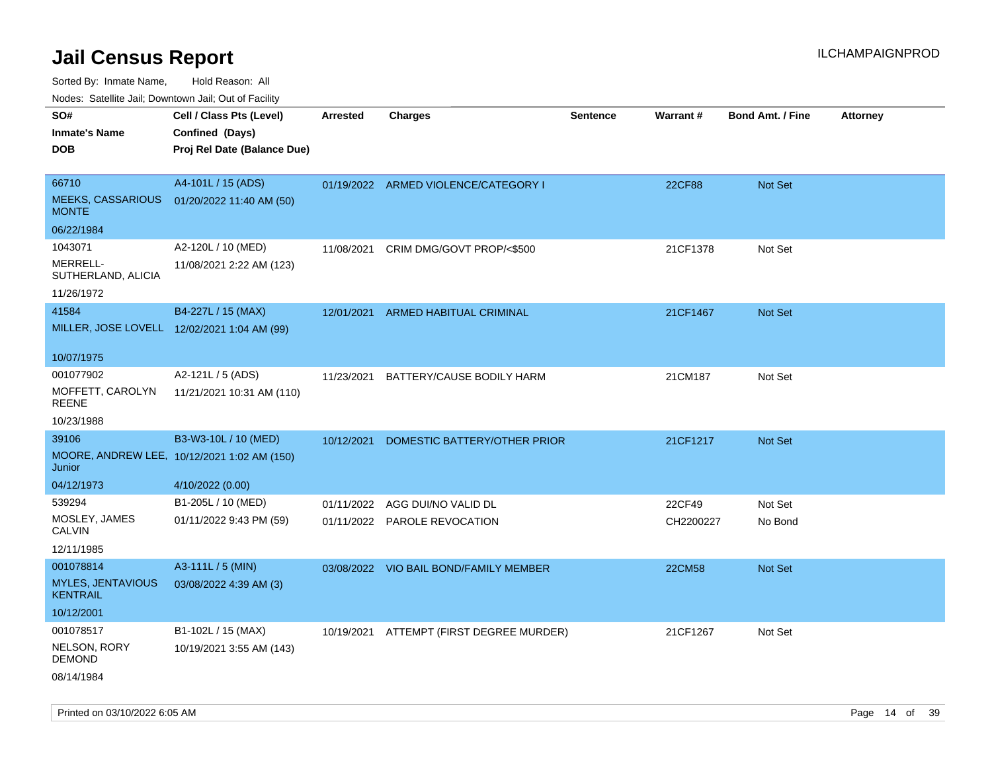Sorted By: Inmate Name, Hold Reason: All

Nodes: Satellite Jail; Downtown Jail; Out of Facility

| <b>NOULD:</b> Catoline bail, Downtown bail, Out of I dollty |                                             |                 |                                        |                 |               |                         |                 |
|-------------------------------------------------------------|---------------------------------------------|-----------------|----------------------------------------|-----------------|---------------|-------------------------|-----------------|
| SO#                                                         | Cell / Class Pts (Level)                    | <b>Arrested</b> | <b>Charges</b>                         | <b>Sentence</b> | Warrant#      | <b>Bond Amt. / Fine</b> | <b>Attorney</b> |
| <b>Inmate's Name</b>                                        | Confined (Days)                             |                 |                                        |                 |               |                         |                 |
| <b>DOB</b>                                                  | Proj Rel Date (Balance Due)                 |                 |                                        |                 |               |                         |                 |
|                                                             |                                             |                 |                                        |                 |               |                         |                 |
| 66710                                                       | A4-101L / 15 (ADS)                          |                 | 01/19/2022 ARMED VIOLENCE/CATEGORY I   |                 | 22CF88        | Not Set                 |                 |
| <b>MEEKS, CASSARIOUS</b><br><b>MONTE</b>                    | 01/20/2022 11:40 AM (50)                    |                 |                                        |                 |               |                         |                 |
| 06/22/1984                                                  |                                             |                 |                                        |                 |               |                         |                 |
| 1043071                                                     | A2-120L / 10 (MED)                          | 11/08/2021      | CRIM DMG/GOVT PROP/<\$500              |                 | 21CF1378      | Not Set                 |                 |
| MERRELL-<br>SUTHERLAND, ALICIA                              | 11/08/2021 2:22 AM (123)                    |                 |                                        |                 |               |                         |                 |
| 11/26/1972                                                  |                                             |                 |                                        |                 |               |                         |                 |
| 41584                                                       | B4-227L / 15 (MAX)                          |                 | 12/01/2021 ARMED HABITUAL CRIMINAL     |                 | 21CF1467      | Not Set                 |                 |
| MILLER, JOSE LOVELL 12/02/2021 1:04 AM (99)                 |                                             |                 |                                        |                 |               |                         |                 |
|                                                             |                                             |                 |                                        |                 |               |                         |                 |
| 10/07/1975                                                  |                                             |                 |                                        |                 |               |                         |                 |
| 001077902                                                   | A2-121L / 5 (ADS)                           | 11/23/2021      | BATTERY/CAUSE BODILY HARM              |                 | 21CM187       | Not Set                 |                 |
| MOFFETT, CAROLYN<br><b>REENE</b>                            | 11/21/2021 10:31 AM (110)                   |                 |                                        |                 |               |                         |                 |
| 10/23/1988                                                  |                                             |                 |                                        |                 |               |                         |                 |
| 39106                                                       | B3-W3-10L / 10 (MED)                        | 10/12/2021      | DOMESTIC BATTERY/OTHER PRIOR           |                 | 21CF1217      | Not Set                 |                 |
| Junior                                                      | MOORE, ANDREW LEE, 10/12/2021 1:02 AM (150) |                 |                                        |                 |               |                         |                 |
| 04/12/1973                                                  | 4/10/2022 (0.00)                            |                 |                                        |                 |               |                         |                 |
| 539294                                                      | B1-205L / 10 (MED)                          | 01/11/2022      | AGG DUI/NO VALID DL                    |                 | 22CF49        | Not Set                 |                 |
| MOSLEY, JAMES<br><b>CALVIN</b>                              | 01/11/2022 9:43 PM (59)                     |                 | 01/11/2022 PAROLE REVOCATION           |                 | CH2200227     | No Bond                 |                 |
| 12/11/1985                                                  |                                             |                 |                                        |                 |               |                         |                 |
| 001078814                                                   | A3-111L / 5 (MIN)                           |                 | 03/08/2022 VIO BAIL BOND/FAMILY MEMBER |                 | <b>22CM58</b> | Not Set                 |                 |
| <b>MYLES, JENTAVIOUS</b><br><b>KENTRAIL</b>                 | 03/08/2022 4:39 AM (3)                      |                 |                                        |                 |               |                         |                 |
| 10/12/2001                                                  |                                             |                 |                                        |                 |               |                         |                 |
| 001078517                                                   | B1-102L / 15 (MAX)                          | 10/19/2021      | ATTEMPT (FIRST DEGREE MURDER)          |                 | 21CF1267      | Not Set                 |                 |
| NELSON, RORY<br><b>DEMOND</b>                               | 10/19/2021 3:55 AM (143)                    |                 |                                        |                 |               |                         |                 |
| 08/14/1984                                                  |                                             |                 |                                        |                 |               |                         |                 |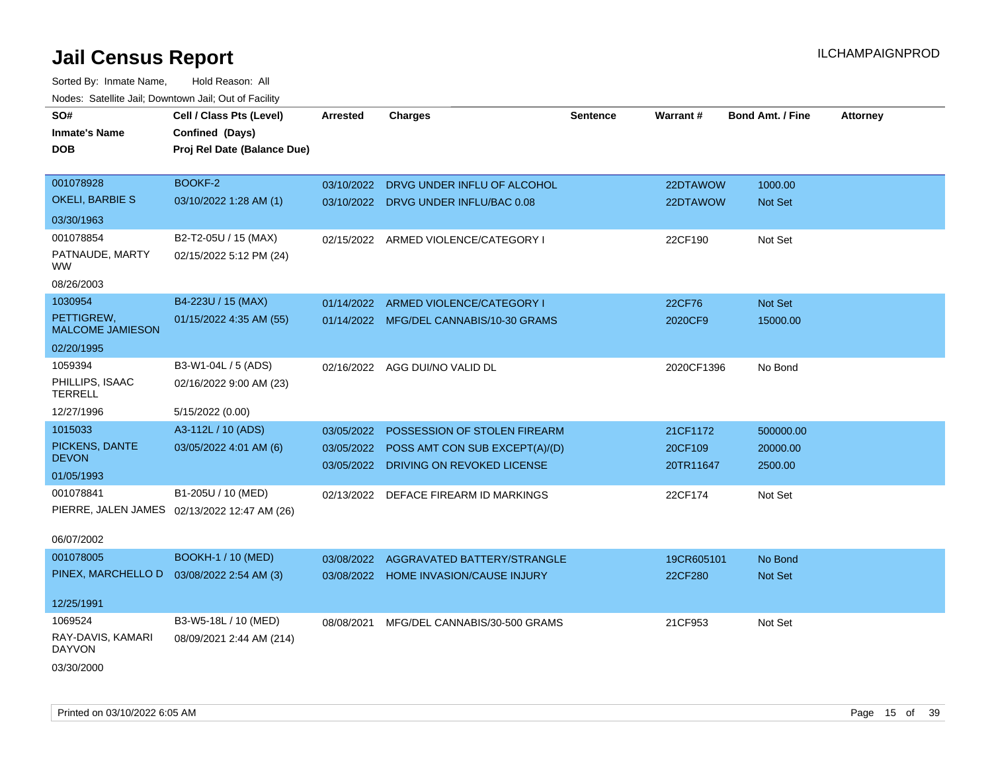Sorted By: Inmate Name, Hold Reason: All Nodes: Satellite Jail; Downtown Jail; Out of Facility

| SO#                                   | Cell / Class Pts (Level)                     | Arrested   | <b>Charges</b>                          | <b>Sentence</b> | <b>Warrant#</b> | <b>Bond Amt. / Fine</b> | <b>Attorney</b> |
|---------------------------------------|----------------------------------------------|------------|-----------------------------------------|-----------------|-----------------|-------------------------|-----------------|
| <b>Inmate's Name</b>                  | Confined (Days)                              |            |                                         |                 |                 |                         |                 |
| <b>DOB</b>                            | Proj Rel Date (Balance Due)                  |            |                                         |                 |                 |                         |                 |
|                                       |                                              |            |                                         |                 |                 |                         |                 |
| 001078928                             | BOOKF-2                                      | 03/10/2022 | DRVG UNDER INFLU OF ALCOHOL             |                 | 22DTAWOW        | 1000.00                 |                 |
| OKELI, BARBIE S                       | 03/10/2022 1:28 AM (1)                       |            | 03/10/2022 DRVG UNDER INFLU/BAC 0.08    |                 | 22DTAWOW        | Not Set                 |                 |
| 03/30/1963                            |                                              |            |                                         |                 |                 |                         |                 |
| 001078854                             | B2-T2-05U / 15 (MAX)                         | 02/15/2022 | ARMED VIOLENCE/CATEGORY I               |                 | 22CF190         | Not Set                 |                 |
| PATNAUDE, MARTY<br>WW.                | 02/15/2022 5:12 PM (24)                      |            |                                         |                 |                 |                         |                 |
| 08/26/2003                            |                                              |            |                                         |                 |                 |                         |                 |
| 1030954                               | B4-223U / 15 (MAX)                           |            | 01/14/2022 ARMED VIOLENCE/CATEGORY I    |                 | 22CF76          | Not Set                 |                 |
| PETTIGREW,<br><b>MALCOME JAMIESON</b> | 01/15/2022 4:35 AM (55)                      |            | 01/14/2022 MFG/DEL CANNABIS/10-30 GRAMS |                 | 2020CF9         | 15000.00                |                 |
| 02/20/1995                            |                                              |            |                                         |                 |                 |                         |                 |
| 1059394                               | B3-W1-04L / 5 (ADS)                          |            | 02/16/2022 AGG DUI/NO VALID DL          |                 | 2020CF1396      | No Bond                 |                 |
| PHILLIPS, ISAAC<br><b>TERRELL</b>     | 02/16/2022 9:00 AM (23)                      |            |                                         |                 |                 |                         |                 |
| 12/27/1996                            | 5/15/2022 (0.00)                             |            |                                         |                 |                 |                         |                 |
| 1015033                               | A3-112L / 10 (ADS)                           | 03/05/2022 | POSSESSION OF STOLEN FIREARM            |                 | 21CF1172        | 500000.00               |                 |
| PICKENS, DANTE                        | 03/05/2022 4:01 AM (6)                       | 03/05/2022 | POSS AMT CON SUB EXCEPT(A)/(D)          |                 | 20CF109         | 20000.00                |                 |
| <b>DEVON</b>                          |                                              | 03/05/2022 | DRIVING ON REVOKED LICENSE              |                 | 20TR11647       | 2500.00                 |                 |
| 01/05/1993                            |                                              |            |                                         |                 |                 |                         |                 |
| 001078841                             | B1-205U / 10 (MED)                           | 02/13/2022 | DEFACE FIREARM ID MARKINGS              |                 | 22CF174         | Not Set                 |                 |
|                                       | PIERRE, JALEN JAMES 02/13/2022 12:47 AM (26) |            |                                         |                 |                 |                         |                 |
| 06/07/2002                            |                                              |            |                                         |                 |                 |                         |                 |
| 001078005                             | <b>BOOKH-1 / 10 (MED)</b>                    | 03/08/2022 | AGGRAVATED BATTERY/STRANGLE             |                 | 19CR605101      | No Bond                 |                 |
| PINEX, MARCHELLO D                    | 03/08/2022 2:54 AM (3)                       |            | 03/08/2022 HOME INVASION/CAUSE INJURY   |                 | 22CF280         | Not Set                 |                 |
| 12/25/1991                            |                                              |            |                                         |                 |                 |                         |                 |
| 1069524                               | B3-W5-18L / 10 (MED)                         | 08/08/2021 | MFG/DEL CANNABIS/30-500 GRAMS           |                 | 21CF953         | Not Set                 |                 |
| RAY-DAVIS, KAMARI<br><b>DAYVON</b>    | 08/09/2021 2:44 AM (214)                     |            |                                         |                 |                 |                         |                 |
| 03/30/2000                            |                                              |            |                                         |                 |                 |                         |                 |
|                                       |                                              |            |                                         |                 |                 |                         |                 |

Printed on 03/10/2022 6:05 AM Page 15 of 39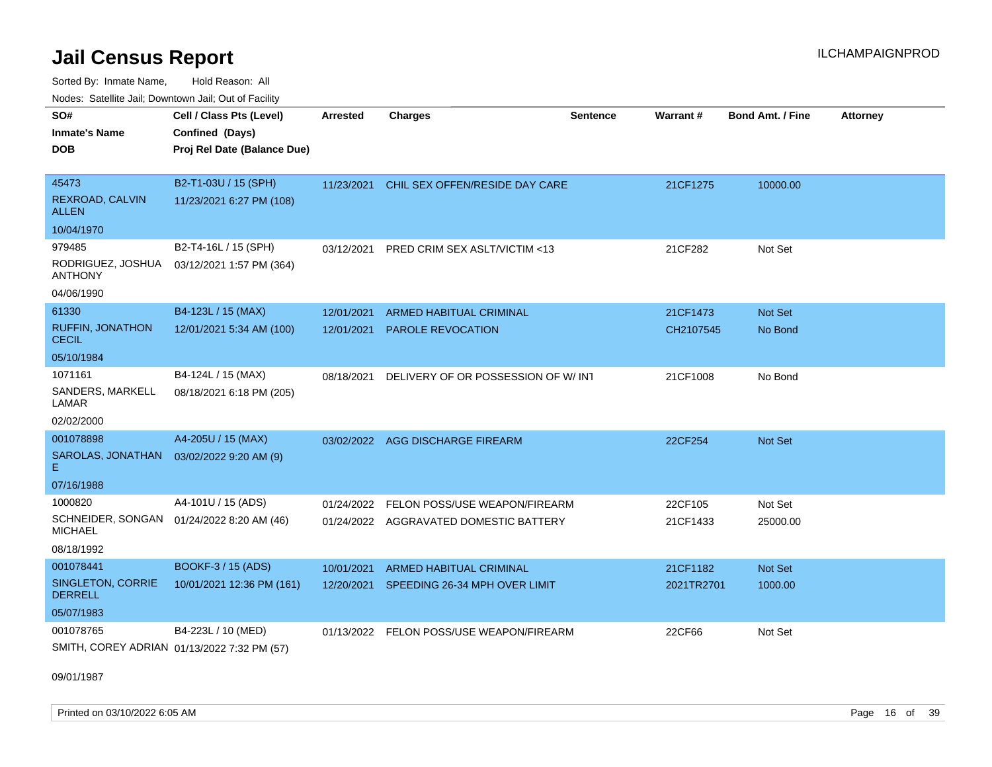Sorted By: Inmate Name, Hold Reason: All Nodes: Satellite Jail; Downtown Jail; Out of Facility

| SO#                                     | Cell / Class Pts (Level)                    | <b>Arrested</b> | <b>Charges</b>                            | Sentence | Warrant#   | Bond Amt. / Fine | <b>Attorney</b> |
|-----------------------------------------|---------------------------------------------|-----------------|-------------------------------------------|----------|------------|------------------|-----------------|
| <b>Inmate's Name</b>                    | Confined (Days)                             |                 |                                           |          |            |                  |                 |
| <b>DOB</b>                              | Proj Rel Date (Balance Due)                 |                 |                                           |          |            |                  |                 |
| 45473                                   | B2-T1-03U / 15 (SPH)                        |                 | 11/23/2021 CHIL SEX OFFEN/RESIDE DAY CARE |          | 21CF1275   | 10000.00         |                 |
| REXROAD, CALVIN<br><b>ALLEN</b>         | 11/23/2021 6:27 PM (108)                    |                 |                                           |          |            |                  |                 |
| 10/04/1970                              |                                             |                 |                                           |          |            |                  |                 |
| 979485                                  | B2-T4-16L / 15 (SPH)                        | 03/12/2021      | PRED CRIM SEX ASLT/VICTIM <13             |          | 21CF282    | Not Set          |                 |
| RODRIGUEZ, JOSHUA<br><b>ANTHONY</b>     | 03/12/2021 1:57 PM (364)                    |                 |                                           |          |            |                  |                 |
| 04/06/1990                              |                                             |                 |                                           |          |            |                  |                 |
| 61330                                   | B4-123L / 15 (MAX)                          | 12/01/2021      | <b>ARMED HABITUAL CRIMINAL</b>            |          | 21CF1473   | <b>Not Set</b>   |                 |
| <b>RUFFIN, JONATHON</b><br><b>CECIL</b> | 12/01/2021 5:34 AM (100)                    | 12/01/2021      | <b>PAROLE REVOCATION</b>                  |          | CH2107545  | No Bond          |                 |
| 05/10/1984                              |                                             |                 |                                           |          |            |                  |                 |
| 1071161                                 | B4-124L / 15 (MAX)                          | 08/18/2021      | DELIVERY OF OR POSSESSION OF W/ INT       |          | 21CF1008   | No Bond          |                 |
| SANDERS, MARKELL<br><b>LAMAR</b>        | 08/18/2021 6:18 PM (205)                    |                 |                                           |          |            |                  |                 |
| 02/02/2000                              |                                             |                 |                                           |          |            |                  |                 |
| 001078898                               | A4-205U / 15 (MAX)                          |                 | 03/02/2022 AGG DISCHARGE FIREARM          |          | 22CF254    | Not Set          |                 |
| SAROLAS, JONATHAN<br>E.                 | 03/02/2022 9:20 AM (9)                      |                 |                                           |          |            |                  |                 |
| 07/16/1988                              |                                             |                 |                                           |          |            |                  |                 |
| 1000820                                 | A4-101U / 15 (ADS)                          | 01/24/2022      | FELON POSS/USE WEAPON/FIREARM             |          | 22CF105    | Not Set          |                 |
| SCHNEIDER, SONGAN<br><b>MICHAEL</b>     | 01/24/2022 8:20 AM (46)                     |                 | 01/24/2022 AGGRAVATED DOMESTIC BATTERY    |          | 21CF1433   | 25000.00         |                 |
| 08/18/1992                              |                                             |                 |                                           |          |            |                  |                 |
| 001078441                               | BOOKF-3 / 15 (ADS)                          | 10/01/2021      | ARMED HABITUAL CRIMINAL                   |          | 21CF1182   | Not Set          |                 |
| SINGLETON, CORRIE<br><b>DERRELL</b>     | 10/01/2021 12:36 PM (161)                   |                 | 12/20/2021 SPEEDING 26-34 MPH OVER LIMIT  |          | 2021TR2701 | 1000.00          |                 |
| 05/07/1983                              |                                             |                 |                                           |          |            |                  |                 |
| 001078765                               | B4-223L / 10 (MED)                          |                 | 01/13/2022 FELON POSS/USE WEAPON/FIREARM  |          | 22CF66     | Not Set          |                 |
|                                         | SMITH, COREY ADRIAN 01/13/2022 7:32 PM (57) |                 |                                           |          |            |                  |                 |

09/01/1987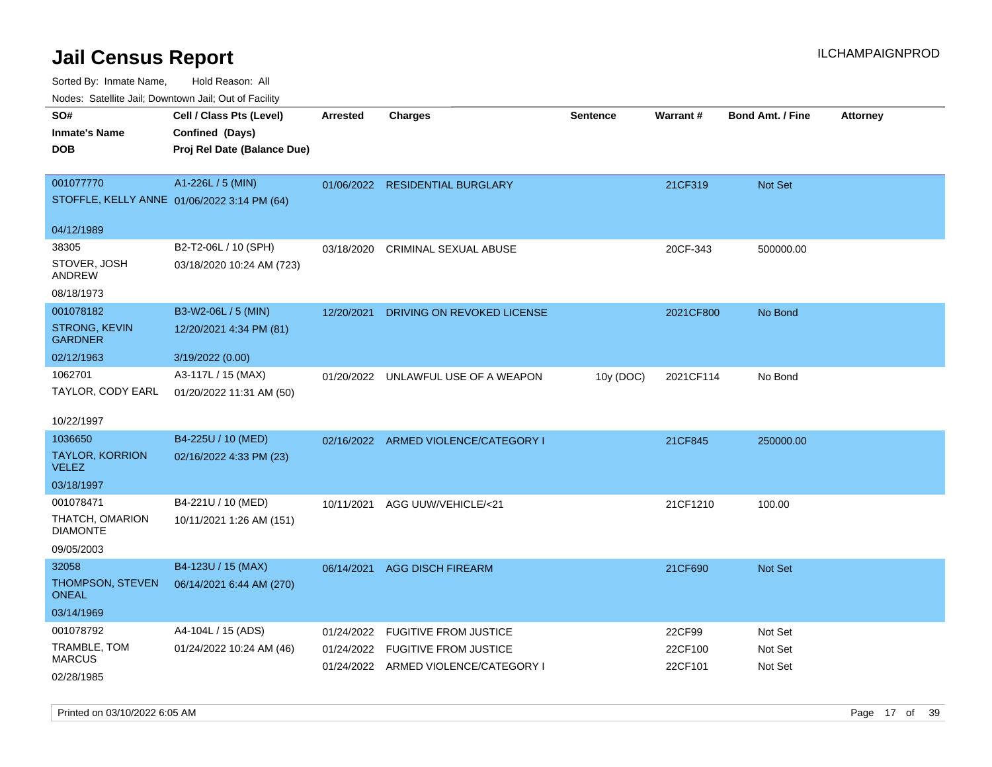| ivouss. Satellite Jali, Downtown Jali, Out of Facility |                                                                            |            |                                      |                 |                 |                         |                 |
|--------------------------------------------------------|----------------------------------------------------------------------------|------------|--------------------------------------|-----------------|-----------------|-------------------------|-----------------|
| SO#<br>Inmate's Name<br><b>DOB</b>                     | Cell / Class Pts (Level)<br>Confined (Days)<br>Proj Rel Date (Balance Due) | Arrested   | <b>Charges</b>                       | <b>Sentence</b> | <b>Warrant#</b> | <b>Bond Amt. / Fine</b> | <b>Attorney</b> |
|                                                        |                                                                            |            |                                      |                 |                 |                         |                 |
| 001077770                                              | A1-226L / 5 (MIN)<br>STOFFLE, KELLY ANNE 01/06/2022 3:14 PM (64)           |            | 01/06/2022 RESIDENTIAL BURGLARY      |                 | 21CF319         | Not Set                 |                 |
| 04/12/1989                                             |                                                                            |            |                                      |                 |                 |                         |                 |
| 38305<br>STOVER, JOSH<br>ANDREW<br>08/18/1973          | B2-T2-06L / 10 (SPH)<br>03/18/2020 10:24 AM (723)                          | 03/18/2020 | CRIMINAL SEXUAL ABUSE                |                 | 20CF-343        | 500000.00               |                 |
| 001078182                                              | B3-W2-06L / 5 (MIN)                                                        | 12/20/2021 | DRIVING ON REVOKED LICENSE           |                 | 2021CF800       | No Bond                 |                 |
| STRONG, KEVIN<br>GARDNER                               | 12/20/2021 4:34 PM (81)                                                    |            |                                      |                 |                 |                         |                 |
| 02/12/1963                                             | 3/19/2022 (0.00)                                                           |            |                                      |                 |                 |                         |                 |
| 1062701<br>TAYLOR, CODY EARL<br>10/22/1997             | A3-117L / 15 (MAX)<br>01/20/2022 11:31 AM (50)                             |            | 01/20/2022 UNLAWFUL USE OF A WEAPON  | 10y (DOC)       | 2021CF114       | No Bond                 |                 |
| 1036650                                                | B4-225U / 10 (MED)                                                         |            | 02/16/2022 ARMED VIOLENCE/CATEGORY I |                 | 21CF845         | 250000.00               |                 |
| <b>TAYLOR, KORRION</b><br>VELEZ                        | 02/16/2022 4:33 PM (23)                                                    |            |                                      |                 |                 |                         |                 |
| 03/18/1997                                             |                                                                            |            |                                      |                 |                 |                         |                 |
| 001078471<br>THATCH, OMARION<br>DIAMONTE<br>09/05/2003 | B4-221U / 10 (MED)<br>10/11/2021 1:26 AM (151)                             | 10/11/2021 | AGG UUW/VEHICLE/<21                  |                 | 21CF1210        | 100.00                  |                 |
| 32058                                                  | B4-123U / 15 (MAX)                                                         | 06/14/2021 | <b>AGG DISCH FIREARM</b>             |                 | 21CF690         | <b>Not Set</b>          |                 |
| THOMPSON, STEVEN<br>ONEAL                              | 06/14/2021 6:44 AM (270)                                                   |            |                                      |                 |                 |                         |                 |
| 03/14/1969                                             |                                                                            |            |                                      |                 |                 |                         |                 |
| 001078792                                              | A4-104L / 15 (ADS)                                                         | 01/24/2022 | <b>FUGITIVE FROM JUSTICE</b>         |                 | 22CF99          | Not Set                 |                 |
| TRAMBLE, TOM<br>MARCUS                                 | 01/24/2022 10:24 AM (46)                                                   | 01/24/2022 | <b>FUGITIVE FROM JUSTICE</b>         |                 | 22CF100         | Not Set                 |                 |
| 02/28/1985                                             |                                                                            |            | 01/24/2022 ARMED VIOLENCE/CATEGORY I |                 | 22CF101         | Not Set                 |                 |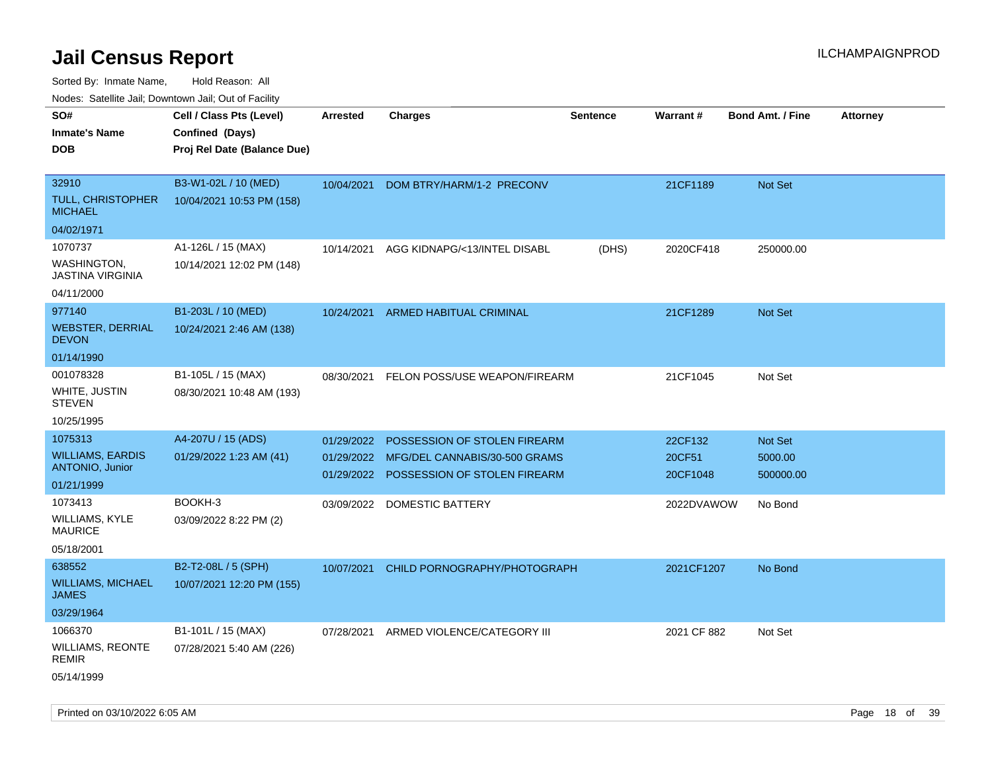Sorted By: Inmate Name, Hold Reason: All

Nodes: Satellite Jail; Downtown Jail; Out of Facility

| roaco. Calcinio dan, Downtown dan, Oal or Fability |                             |                 |                                      |                 |                 |                         |                 |
|----------------------------------------------------|-----------------------------|-----------------|--------------------------------------|-----------------|-----------------|-------------------------|-----------------|
| SO#                                                | Cell / Class Pts (Level)    | <b>Arrested</b> | <b>Charges</b>                       | <b>Sentence</b> | <b>Warrant#</b> | <b>Bond Amt. / Fine</b> | <b>Attorney</b> |
| <b>Inmate's Name</b>                               | Confined (Days)             |                 |                                      |                 |                 |                         |                 |
| <b>DOB</b>                                         | Proj Rel Date (Balance Due) |                 |                                      |                 |                 |                         |                 |
|                                                    |                             |                 |                                      |                 |                 |                         |                 |
| 32910                                              | B3-W1-02L / 10 (MED)        | 10/04/2021      | DOM BTRY/HARM/1-2 PRECONV            |                 | 21CF1189        | Not Set                 |                 |
| <b>TULL, CHRISTOPHER</b><br><b>MICHAEL</b>         | 10/04/2021 10:53 PM (158)   |                 |                                      |                 |                 |                         |                 |
| 04/02/1971                                         |                             |                 |                                      |                 |                 |                         |                 |
| 1070737                                            | A1-126L / 15 (MAX)          | 10/14/2021      | AGG KIDNAPG/<13/INTEL DISABL         | (DHS)           | 2020CF418       | 250000.00               |                 |
| <b>WASHINGTON,</b><br><b>JASTINA VIRGINIA</b>      | 10/14/2021 12:02 PM (148)   |                 |                                      |                 |                 |                         |                 |
| 04/11/2000                                         |                             |                 |                                      |                 |                 |                         |                 |
| 977140                                             | B1-203L / 10 (MED)          | 10/24/2021      | <b>ARMED HABITUAL CRIMINAL</b>       |                 | 21CF1289        | <b>Not Set</b>          |                 |
| <b>WEBSTER, DERRIAL</b><br><b>DEVON</b>            | 10/24/2021 2:46 AM (138)    |                 |                                      |                 |                 |                         |                 |
| 01/14/1990                                         |                             |                 |                                      |                 |                 |                         |                 |
| 001078328                                          | B1-105L / 15 (MAX)          | 08/30/2021      | <b>FELON POSS/USE WEAPON/FIREARM</b> |                 | 21CF1045        | Not Set                 |                 |
| WHITE, JUSTIN<br><b>STEVEN</b>                     | 08/30/2021 10:48 AM (193)   |                 |                                      |                 |                 |                         |                 |
| 10/25/1995                                         |                             |                 |                                      |                 |                 |                         |                 |
| 1075313                                            | A4-207U / 15 (ADS)          | 01/29/2022      | POSSESSION OF STOLEN FIREARM         |                 | 22CF132         | Not Set                 |                 |
| <b>WILLIAMS, EARDIS</b>                            | 01/29/2022 1:23 AM (41)     | 01/29/2022      | MFG/DEL CANNABIS/30-500 GRAMS        |                 | 20CF51          | 5000.00                 |                 |
| <b>ANTONIO, Junior</b>                             |                             | 01/29/2022      | POSSESSION OF STOLEN FIREARM         |                 | 20CF1048        | 500000.00               |                 |
| 01/21/1999                                         |                             |                 |                                      |                 |                 |                         |                 |
| 1073413                                            | BOOKH-3                     |                 | 03/09/2022 DOMESTIC BATTERY          |                 | 2022DVAWOW      | No Bond                 |                 |
| <b>WILLIAMS, KYLE</b><br><b>MAURICE</b>            | 03/09/2022 8:22 PM (2)      |                 |                                      |                 |                 |                         |                 |
| 05/18/2001                                         |                             |                 |                                      |                 |                 |                         |                 |
| 638552                                             | B2-T2-08L / 5 (SPH)         | 10/07/2021      | CHILD PORNOGRAPHY/PHOTOGRAPH         |                 | 2021CF1207      | No Bond                 |                 |
| <b>WILLIAMS, MICHAEL</b><br><b>JAMES</b>           | 10/07/2021 12:20 PM (155)   |                 |                                      |                 |                 |                         |                 |
| 03/29/1964                                         |                             |                 |                                      |                 |                 |                         |                 |
| 1066370                                            | B1-101L / 15 (MAX)          | 07/28/2021      | ARMED VIOLENCE/CATEGORY III          |                 | 2021 CF 882     | Not Set                 |                 |
| <b>WILLIAMS, REONTE</b><br><b>REMIR</b>            | 07/28/2021 5:40 AM (226)    |                 |                                      |                 |                 |                         |                 |
| 05/14/1999                                         |                             |                 |                                      |                 |                 |                         |                 |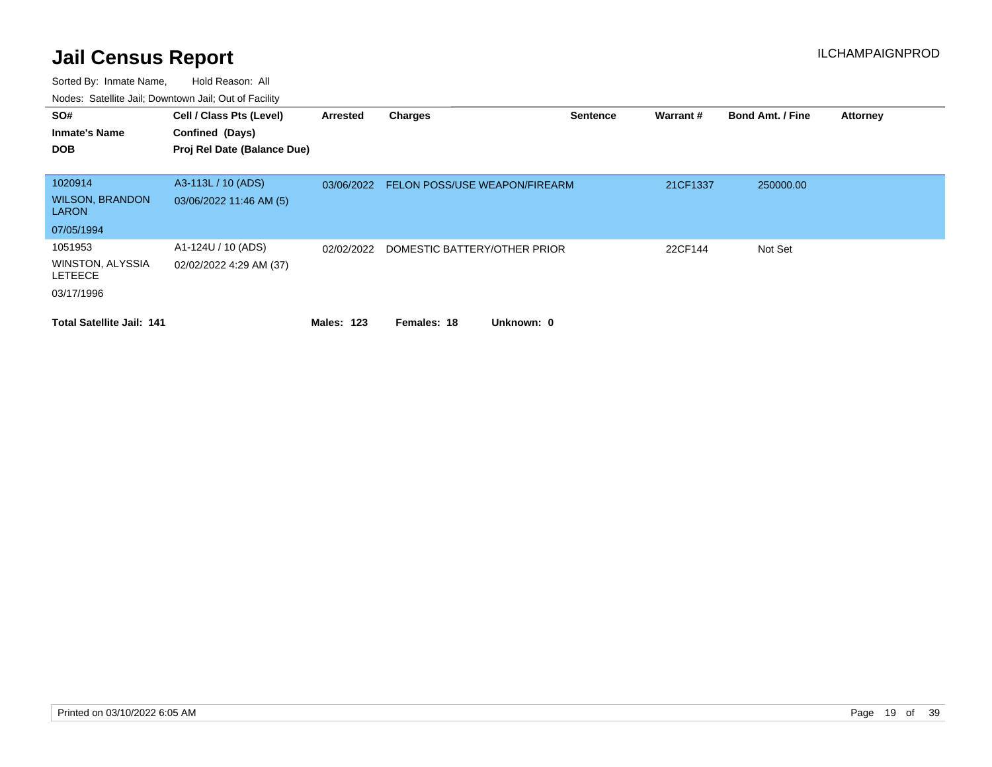| SO#<br><b>Inmate's Name</b><br><b>DOB</b>                          | Cell / Class Pts (Level)<br>Confined (Days)<br>Proj Rel Date (Balance Due) | Arrested          | Charges                       | <b>Sentence</b> | Warrant# | <b>Bond Amt. / Fine</b> | <b>Attorney</b> |
|--------------------------------------------------------------------|----------------------------------------------------------------------------|-------------------|-------------------------------|-----------------|----------|-------------------------|-----------------|
| 1020914<br><b>WILSON, BRANDON</b><br><b>LARON</b>                  | A3-113L / 10 (ADS)<br>03/06/2022 11:46 AM (5)                              | 03/06/2022        | FELON POSS/USE WEAPON/FIREARM |                 | 21CF1337 | 250000.00               |                 |
| 07/05/1994                                                         |                                                                            |                   |                               |                 |          |                         |                 |
| 1051953<br><b>WINSTON, ALYSSIA</b><br><b>LETEECE</b><br>03/17/1996 | A1-124U / 10 (ADS)<br>02/02/2022 4:29 AM (37)                              | 02/02/2022        | DOMESTIC BATTERY/OTHER PRIOR  |                 | 22CF144  | Not Set                 |                 |
| <b>Total Satellite Jail: 141</b>                                   |                                                                            | <b>Males: 123</b> | Unknown: 0<br>Females: 18     |                 |          |                         |                 |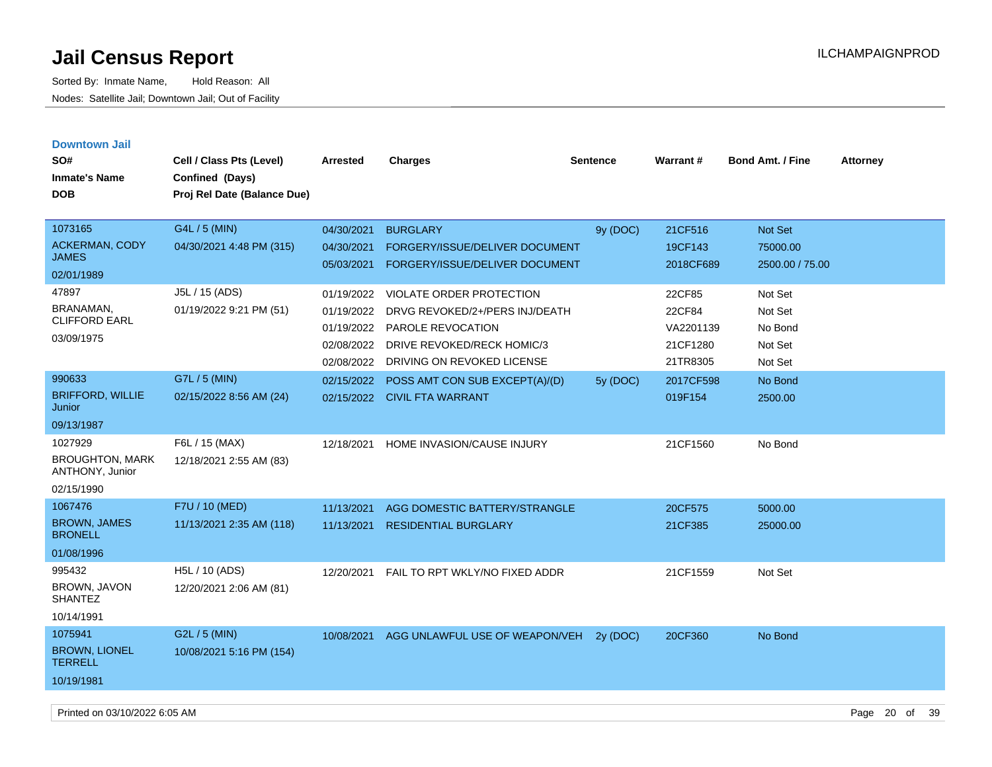| <b>Downtown Jail</b><br>SO#               | Cell / Class Pts (Level)    | Arrested   | <b>Charges</b>                  | <b>Sentence</b> | <b>Warrant#</b> | <b>Bond Amt. / Fine</b> | <b>Attorney</b> |
|-------------------------------------------|-----------------------------|------------|---------------------------------|-----------------|-----------------|-------------------------|-----------------|
| <b>Inmate's Name</b>                      | Confined (Days)             |            |                                 |                 |                 |                         |                 |
| <b>DOB</b>                                | Proj Rel Date (Balance Due) |            |                                 |                 |                 |                         |                 |
| 1073165                                   | G4L / 5 (MIN)               | 04/30/2021 | <b>BURGLARY</b>                 | 9y (DOC)        | 21CF516         | <b>Not Set</b>          |                 |
| <b>ACKERMAN, CODY</b>                     | 04/30/2021 4:48 PM (315)    | 04/30/2021 | FORGERY/ISSUE/DELIVER DOCUMENT  |                 | 19CF143         | 75000.00                |                 |
| <b>JAMES</b>                              |                             | 05/03/2021 | FORGERY/ISSUE/DELIVER DOCUMENT  |                 | 2018CF689       | 2500.00 / 75.00         |                 |
| 02/01/1989                                |                             |            |                                 |                 |                 |                         |                 |
| 47897                                     | J5L / 15 (ADS)              | 01/19/2022 | <b>VIOLATE ORDER PROTECTION</b> |                 | 22CF85          | Not Set                 |                 |
| BRANAMAN,<br><b>CLIFFORD EARL</b>         | 01/19/2022 9:21 PM (51)     | 01/19/2022 | DRVG REVOKED/2+/PERS INJ/DEATH  |                 | 22CF84          | Not Set                 |                 |
| 03/09/1975                                |                             | 01/19/2022 | <b>PAROLE REVOCATION</b>        |                 | VA2201139       | No Bond                 |                 |
|                                           |                             | 02/08/2022 | DRIVE REVOKED/RECK HOMIC/3      |                 | 21CF1280        | Not Set                 |                 |
|                                           |                             | 02/08/2022 | DRIVING ON REVOKED LICENSE      |                 | 21TR8305        | Not Set                 |                 |
| 990633                                    | G7L / 5 (MIN)               | 02/15/2022 | POSS AMT CON SUB EXCEPT(A)/(D)  | 5y (DOC)        | 2017CF598       | No Bond                 |                 |
| <b>BRIFFORD, WILLIE</b><br>Junior         | 02/15/2022 8:56 AM (24)     | 02/15/2022 | <b>CIVIL FTA WARRANT</b>        |                 | 019F154         | 2500.00                 |                 |
| 09/13/1987                                |                             |            |                                 |                 |                 |                         |                 |
| 1027929                                   | F6L / 15 (MAX)              | 12/18/2021 | HOME INVASION/CAUSE INJURY      |                 | 21CF1560        | No Bond                 |                 |
| <b>BROUGHTON, MARK</b><br>ANTHONY, Junior | 12/18/2021 2:55 AM (83)     |            |                                 |                 |                 |                         |                 |
| 02/15/1990                                |                             |            |                                 |                 |                 |                         |                 |
| 1067476                                   | F7U / 10 (MED)              | 11/13/2021 | AGG DOMESTIC BATTERY/STRANGLE   |                 | 20CF575         | 5000.00                 |                 |
| <b>BROWN, JAMES</b><br><b>BRONELL</b>     | 11/13/2021 2:35 AM (118)    | 11/13/2021 | <b>RESIDENTIAL BURGLARY</b>     |                 | 21CF385         | 25000.00                |                 |
| 01/08/1996                                |                             |            |                                 |                 |                 |                         |                 |
| 995432                                    | H5L / 10 (ADS)              | 12/20/2021 | FAIL TO RPT WKLY/NO FIXED ADDR  |                 | 21CF1559        | Not Set                 |                 |
| BROWN, JAVON<br><b>SHANTEZ</b>            | 12/20/2021 2:06 AM (81)     |            |                                 |                 |                 |                         |                 |
| 10/14/1991                                |                             |            |                                 |                 |                 |                         |                 |
| 1075941                                   | G2L / 5 (MIN)               | 10/08/2021 | AGG UNLAWFUL USE OF WEAPON/VEH  | 2y (DOC)        | 20CF360         | No Bond                 |                 |
| <b>BROWN, LIONEL</b><br><b>TERRELL</b>    | 10/08/2021 5:16 PM (154)    |            |                                 |                 |                 |                         |                 |
| 10/19/1981                                |                             |            |                                 |                 |                 |                         |                 |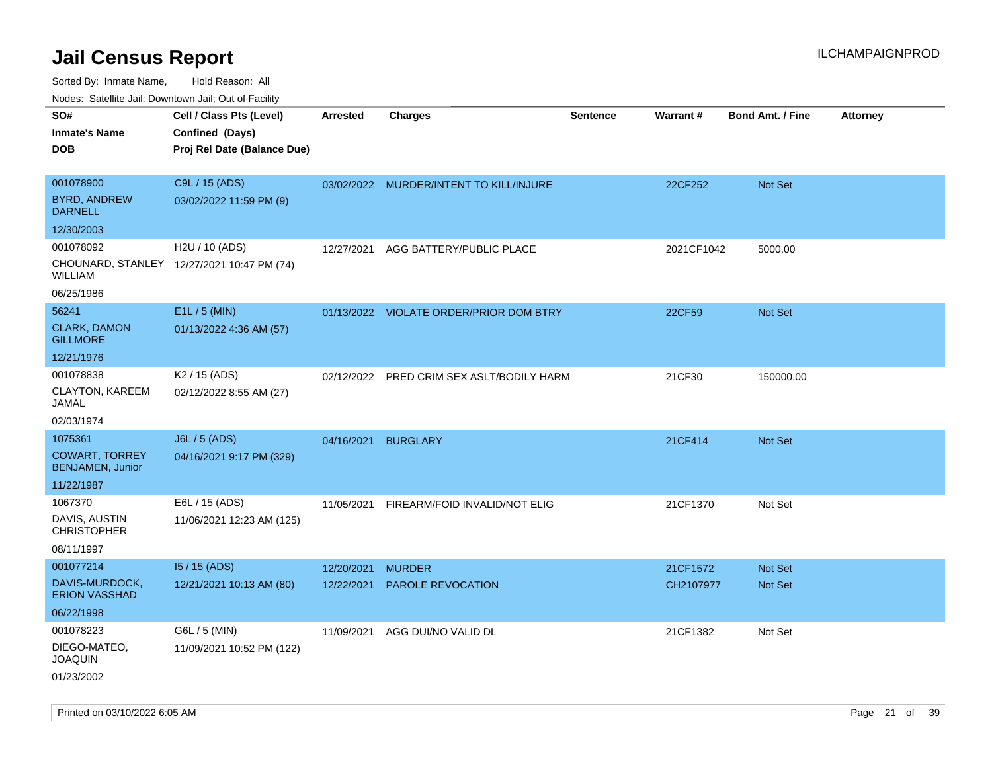| rouco. Calcillo Jali, Downtown Jali, Out of Facility |                                            |                 |                                           |                 |            |                         |                 |
|------------------------------------------------------|--------------------------------------------|-----------------|-------------------------------------------|-----------------|------------|-------------------------|-----------------|
| SO#                                                  | Cell / Class Pts (Level)                   | <b>Arrested</b> | <b>Charges</b>                            | <b>Sentence</b> | Warrant#   | <b>Bond Amt. / Fine</b> | <b>Attorney</b> |
| Inmate's Name                                        | Confined (Days)                            |                 |                                           |                 |            |                         |                 |
| DOB                                                  | Proj Rel Date (Balance Due)                |                 |                                           |                 |            |                         |                 |
|                                                      |                                            |                 |                                           |                 |            |                         |                 |
| 001078900                                            | C9L / 15 (ADS)                             |                 | 03/02/2022 MURDER/INTENT TO KILL/INJURE   |                 | 22CF252    | <b>Not Set</b>          |                 |
| <b>BYRD, ANDREW</b><br><b>DARNELL</b>                | 03/02/2022 11:59 PM (9)                    |                 |                                           |                 |            |                         |                 |
| 12/30/2003                                           |                                            |                 |                                           |                 |            |                         |                 |
| 001078092                                            | H2U / 10 (ADS)                             | 12/27/2021      | AGG BATTERY/PUBLIC PLACE                  |                 | 2021CF1042 | 5000.00                 |                 |
| WILLIAM                                              | CHOUNARD, STANLEY 12/27/2021 10:47 PM (74) |                 |                                           |                 |            |                         |                 |
| 06/25/1986                                           |                                            |                 |                                           |                 |            |                         |                 |
| 56241                                                | E1L / 5 (MIN)                              |                 | 01/13/2022 VIOLATE ORDER/PRIOR DOM BTRY   |                 | 22CF59     | <b>Not Set</b>          |                 |
| <b>CLARK, DAMON</b><br><b>GILLMORE</b>               | 01/13/2022 4:36 AM (57)                    |                 |                                           |                 |            |                         |                 |
| 12/21/1976                                           |                                            |                 |                                           |                 |            |                         |                 |
| 001078838                                            | K <sub>2</sub> / 15 (ADS)                  |                 | 02/12/2022 PRED CRIM SEX ASLT/BODILY HARM |                 | 21CF30     | 150000.00               |                 |
| CLAYTON, KAREEM<br>JAMAL                             | 02/12/2022 8:55 AM (27)                    |                 |                                           |                 |            |                         |                 |
| 02/03/1974                                           |                                            |                 |                                           |                 |            |                         |                 |
| 1075361                                              | J6L / 5 (ADS)                              | 04/16/2021      | <b>BURGLARY</b>                           |                 | 21CF414    | Not Set                 |                 |
| <b>COWART, TORREY</b><br><b>BENJAMEN, Junior</b>     | 04/16/2021 9:17 PM (329)                   |                 |                                           |                 |            |                         |                 |
| 11/22/1987                                           |                                            |                 |                                           |                 |            |                         |                 |
| 1067370                                              | E6L / 15 (ADS)                             | 11/05/2021      | FIREARM/FOID INVALID/NOT ELIG             |                 | 21CF1370   | Not Set                 |                 |
| DAVIS, AUSTIN<br><b>CHRISTOPHER</b>                  | 11/06/2021 12:23 AM (125)                  |                 |                                           |                 |            |                         |                 |
| 08/11/1997                                           |                                            |                 |                                           |                 |            |                         |                 |
| 001077214                                            | $15/15$ (ADS)                              | 12/20/2021      | <b>MURDER</b>                             |                 | 21CF1572   | <b>Not Set</b>          |                 |
| DAVIS-MURDOCK,<br><b>ERION VASSHAD</b>               | 12/21/2021 10:13 AM (80)                   | 12/22/2021      | PAROLE REVOCATION                         |                 | CH2107977  | <b>Not Set</b>          |                 |
| 06/22/1998                                           |                                            |                 |                                           |                 |            |                         |                 |
| 001078223                                            | G6L / 5 (MIN)                              | 11/09/2021      | AGG DUI/NO VALID DL                       |                 | 21CF1382   | Not Set                 |                 |
| DIEGO-MATEO,<br>JOAQUIN                              | 11/09/2021 10:52 PM (122)                  |                 |                                           |                 |            |                         |                 |
| 01/23/2002                                           |                                            |                 |                                           |                 |            |                         |                 |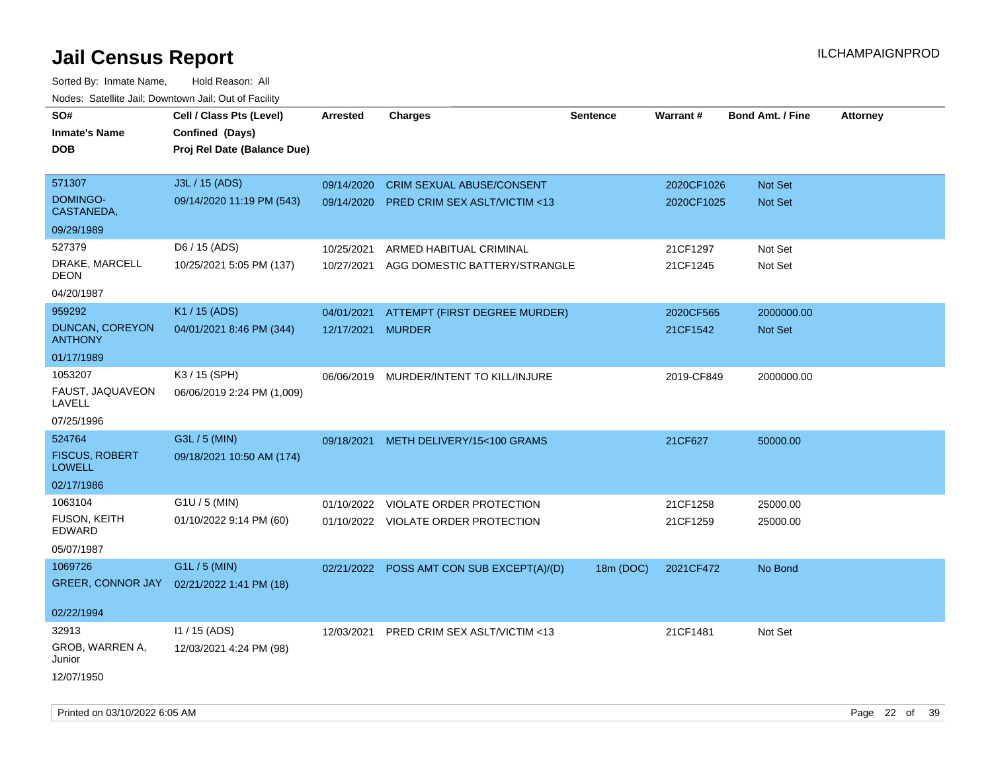Sorted By: Inmate Name, Hold Reason: All Nodes: Satellite Jail; Downtown Jail; Out of Facility

| roaco. Catolino cali, Domntonn cali, Out of Facility |                                                                            |                   |                                           |                 |            |                         |                 |
|------------------------------------------------------|----------------------------------------------------------------------------|-------------------|-------------------------------------------|-----------------|------------|-------------------------|-----------------|
| SO#<br><b>Inmate's Name</b><br><b>DOB</b>            | Cell / Class Pts (Level)<br>Confined (Days)<br>Proj Rel Date (Balance Due) | <b>Arrested</b>   | <b>Charges</b>                            | <b>Sentence</b> | Warrant#   | <b>Bond Amt. / Fine</b> | <b>Attorney</b> |
|                                                      |                                                                            |                   |                                           |                 |            |                         |                 |
| 571307                                               | J3L / 15 (ADS)                                                             | 09/14/2020        | <b>CRIM SEXUAL ABUSE/CONSENT</b>          |                 | 2020CF1026 | Not Set                 |                 |
| DOMINGO-<br>CASTANEDA,                               | 09/14/2020 11:19 PM (543)                                                  |                   | 09/14/2020 PRED CRIM SEX ASLT/VICTIM <13  |                 | 2020CF1025 | Not Set                 |                 |
| 09/29/1989                                           |                                                                            |                   |                                           |                 |            |                         |                 |
| 527379                                               | D6 / 15 (ADS)                                                              | 10/25/2021        | ARMED HABITUAL CRIMINAL                   |                 | 21CF1297   | Not Set                 |                 |
| DRAKE, MARCELL<br><b>DEON</b>                        | 10/25/2021 5:05 PM (137)                                                   |                   | 10/27/2021 AGG DOMESTIC BATTERY/STRANGLE  |                 | 21CF1245   | Not Set                 |                 |
| 04/20/1987                                           |                                                                            |                   |                                           |                 |            |                         |                 |
| 959292                                               | K1 / 15 (ADS)                                                              | 04/01/2021        | ATTEMPT (FIRST DEGREE MURDER)             |                 | 2020CF565  | 2000000.00              |                 |
| DUNCAN, COREYON<br><b>ANTHONY</b>                    | 04/01/2021 8:46 PM (344)                                                   | 12/17/2021 MURDER |                                           |                 | 21CF1542   | <b>Not Set</b>          |                 |
| 01/17/1989                                           |                                                                            |                   |                                           |                 |            |                         |                 |
| 1053207                                              | K3 / 15 (SPH)                                                              |                   | 06/06/2019 MURDER/INTENT TO KILL/INJURE   |                 | 2019-CF849 | 2000000.00              |                 |
| FAUST, JAQUAVEON<br>LAVELL                           | 06/06/2019 2:24 PM (1,009)                                                 |                   |                                           |                 |            |                         |                 |
| 07/25/1996                                           |                                                                            |                   |                                           |                 |            |                         |                 |
| 524764                                               | G3L / 5 (MIN)                                                              | 09/18/2021        | METH DELIVERY/15<100 GRAMS                |                 | 21CF627    | 50000.00                |                 |
| <b>FISCUS, ROBERT</b><br><b>LOWELL</b>               | 09/18/2021 10:50 AM (174)                                                  |                   |                                           |                 |            |                         |                 |
| 02/17/1986                                           |                                                                            |                   |                                           |                 |            |                         |                 |
| 1063104                                              | G1U / 5 (MIN)                                                              | 01/10/2022        | VIOLATE ORDER PROTECTION                  |                 | 21CF1258   | 25000.00                |                 |
| FUSON, KEITH<br><b>EDWARD</b>                        | 01/10/2022 9:14 PM (60)                                                    |                   | 01/10/2022 VIOLATE ORDER PROTECTION       |                 | 21CF1259   | 25000.00                |                 |
| 05/07/1987                                           |                                                                            |                   |                                           |                 |            |                         |                 |
| 1069726                                              | G1L / 5 (MIN)                                                              |                   | 02/21/2022 POSS AMT CON SUB EXCEPT(A)/(D) | 18m (DOC)       | 2021CF472  | No Bond                 |                 |
| <b>GREER, CONNOR JAY</b>                             | 02/21/2022 1:41 PM (18)                                                    |                   |                                           |                 |            |                         |                 |
| 02/22/1994                                           |                                                                            |                   |                                           |                 |            |                         |                 |
| 32913                                                | $11 / 15$ (ADS)                                                            | 12/03/2021        | PRED CRIM SEX ASLT/VICTIM <13             |                 | 21CF1481   | Not Set                 |                 |
| GROB, WARREN A,<br>Junior                            | 12/03/2021 4:24 PM (98)                                                    |                   |                                           |                 |            |                         |                 |
| 12/07/1950                                           |                                                                            |                   |                                           |                 |            |                         |                 |

Printed on 03/10/2022 6:05 AM Page 22 of 39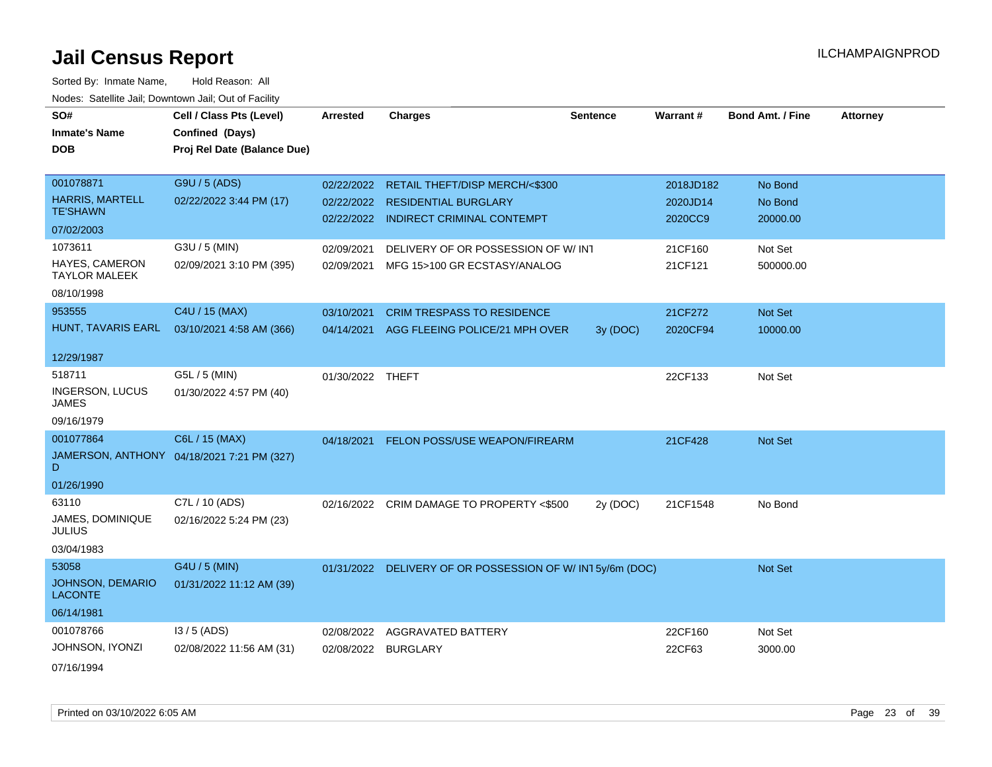| SO#                                       | Cell / Class Pts (Level)                   | Arrested         | <b>Charges</b>                                           | <b>Sentence</b> | Warrant#  | <b>Bond Amt. / Fine</b> | <b>Attorney</b> |
|-------------------------------------------|--------------------------------------------|------------------|----------------------------------------------------------|-----------------|-----------|-------------------------|-----------------|
| <b>Inmate's Name</b>                      | Confined (Days)                            |                  |                                                          |                 |           |                         |                 |
| <b>DOB</b>                                | Proj Rel Date (Balance Due)                |                  |                                                          |                 |           |                         |                 |
| 001078871                                 | G9U / 5 (ADS)                              | 02/22/2022       | RETAIL THEFT/DISP MERCH/<\$300                           |                 | 2018JD182 | No Bond                 |                 |
| <b>HARRIS, MARTELL</b>                    | 02/22/2022 3:44 PM (17)                    |                  | 02/22/2022 RESIDENTIAL BURGLARY                          |                 | 2020JD14  | No Bond                 |                 |
| <b>TE'SHAWN</b>                           |                                            |                  | 02/22/2022 INDIRECT CRIMINAL CONTEMPT                    |                 | 2020CC9   | 20000.00                |                 |
| 07/02/2003                                |                                            |                  |                                                          |                 |           |                         |                 |
| 1073611                                   | G3U / 5 (MIN)                              | 02/09/2021       | DELIVERY OF OR POSSESSION OF W/ INT                      |                 | 21CF160   | Not Set                 |                 |
| HAYES, CAMERON<br><b>TAYLOR MALEEK</b>    | 02/09/2021 3:10 PM (395)                   | 02/09/2021       | MFG 15>100 GR ECSTASY/ANALOG                             |                 | 21CF121   | 500000.00               |                 |
| 08/10/1998                                |                                            |                  |                                                          |                 |           |                         |                 |
| 953555                                    | C4U / 15 (MAX)                             | 03/10/2021       | <b>CRIM TRESPASS TO RESIDENCE</b>                        |                 | 21CF272   | Not Set                 |                 |
| HUNT, TAVARIS EARL                        | 03/10/2021 4:58 AM (366)                   |                  | 04/14/2021 AGG FLEEING POLICE/21 MPH OVER                | 3y (DOC)        | 2020CF94  | 10000.00                |                 |
| 12/29/1987                                |                                            |                  |                                                          |                 |           |                         |                 |
| 518711                                    | G5L / 5 (MIN)                              | 01/30/2022 THEFT |                                                          |                 | 22CF133   | Not Set                 |                 |
| <b>INGERSON, LUCUS</b><br><b>JAMES</b>    | 01/30/2022 4:57 PM (40)                    |                  |                                                          |                 |           |                         |                 |
| 09/16/1979                                |                                            |                  |                                                          |                 |           |                         |                 |
| 001077864                                 | C6L / 15 (MAX)                             | 04/18/2021       | <b>FELON POSS/USE WEAPON/FIREARM</b>                     |                 | 21CF428   | Not Set                 |                 |
| D                                         | JAMERSON, ANTHONY 04/18/2021 7:21 PM (327) |                  |                                                          |                 |           |                         |                 |
| 01/26/1990                                |                                            |                  |                                                          |                 |           |                         |                 |
| 63110                                     | C7L / 10 (ADS)                             | 02/16/2022       | CRIM DAMAGE TO PROPERTY <\$500                           | 2y (DOC)        | 21CF1548  | No Bond                 |                 |
| JAMES, DOMINIQUE<br><b>JULIUS</b>         | 02/16/2022 5:24 PM (23)                    |                  |                                                          |                 |           |                         |                 |
| 03/04/1983                                |                                            |                  |                                                          |                 |           |                         |                 |
| 53058                                     | G4U / 5 (MIN)                              |                  | 01/31/2022 DELIVERY OF OR POSSESSION OF W/IN15y/6m (DOC) |                 |           | Not Set                 |                 |
| <b>JOHNSON, DEMARIO</b><br><b>LACONTE</b> | 01/31/2022 11:12 AM (39)                   |                  |                                                          |                 |           |                         |                 |
| 06/14/1981                                |                                            |                  |                                                          |                 |           |                         |                 |
| 001078766                                 | $13/5$ (ADS)                               | 02/08/2022       | AGGRAVATED BATTERY                                       |                 | 22CF160   | Not Set                 |                 |
| JOHNSON, IYONZI                           | 02/08/2022 11:56 AM (31)                   | 02/08/2022       | <b>BURGLARY</b>                                          |                 | 22CF63    | 3000.00                 |                 |
| 07/16/1994                                |                                            |                  |                                                          |                 |           |                         |                 |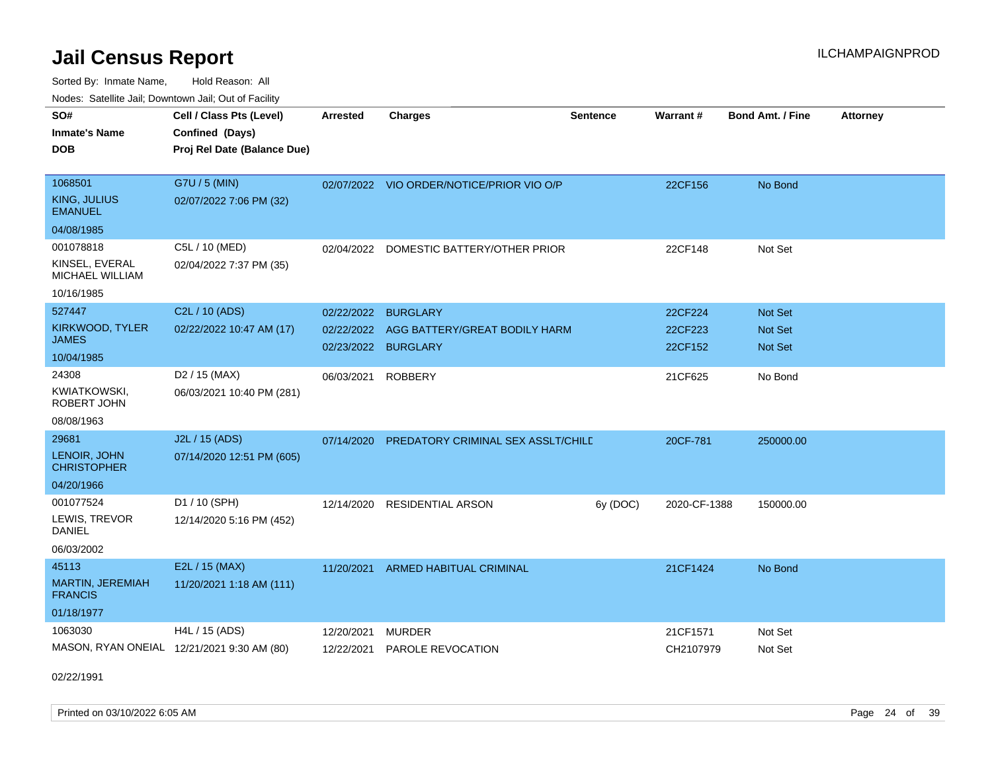Sorted By: Inmate Name, Hold Reason: All Nodes: Satellite Jail; Downtown Jail; Out of Facility

| SO#<br><b>Inmate's Name</b><br><b>DOB</b>                           | Cell / Class Pts (Level)<br>Confined (Days)<br>Proj Rel Date (Balance Due) | <b>Arrested</b>          | <b>Charges</b>                                                          | <b>Sentence</b> | Warrant#                      | <b>Bond Amt. / Fine</b>              | <b>Attorney</b> |
|---------------------------------------------------------------------|----------------------------------------------------------------------------|--------------------------|-------------------------------------------------------------------------|-----------------|-------------------------------|--------------------------------------|-----------------|
| 1068501<br>KING, JULIUS<br><b>EMANUEL</b><br>04/08/1985             | G7U / 5 (MIN)<br>02/07/2022 7:06 PM (32)                                   |                          | 02/07/2022 VIO ORDER/NOTICE/PRIOR VIO O/P                               |                 | 22CF156                       | No Bond                              |                 |
| 001078818<br>KINSEL, EVERAL<br><b>MICHAEL WILLIAM</b><br>10/16/1985 | C5L / 10 (MED)<br>02/04/2022 7:37 PM (35)                                  | 02/04/2022               | DOMESTIC BATTERY/OTHER PRIOR                                            |                 | 22CF148                       | Not Set                              |                 |
| 527447<br>KIRKWOOD, TYLER<br>JAMES<br>10/04/1985                    | C2L / 10 (ADS)<br>02/22/2022 10:47 AM (17)                                 | 02/22/2022<br>02/22/2022 | <b>BURGLARY</b><br>AGG BATTERY/GREAT BODILY HARM<br>02/23/2022 BURGLARY |                 | 22CF224<br>22CF223<br>22CF152 | <b>Not Set</b><br>Not Set<br>Not Set |                 |
| 24308<br><b>KWIATKOWSKI,</b><br>ROBERT JOHN<br>08/08/1963           | D <sub>2</sub> / 15 (MAX)<br>06/03/2021 10:40 PM (281)                     | 06/03/2021               | <b>ROBBERY</b>                                                          |                 | 21CF625                       | No Bond                              |                 |
| 29681<br>LENOIR, JOHN<br><b>CHRISTOPHER</b><br>04/20/1966           | J2L / 15 (ADS)<br>07/14/2020 12:51 PM (605)                                |                          | 07/14/2020 PREDATORY CRIMINAL SEX ASSLT/CHILD                           |                 | 20CF-781                      | 250000.00                            |                 |
| 001077524<br>LEWIS, TREVOR<br><b>DANIEL</b><br>06/03/2002           | D1 / 10 (SPH)<br>12/14/2020 5:16 PM (452)                                  | 12/14/2020               | <b>RESIDENTIAL ARSON</b>                                                | 6y (DOC)        | 2020-CF-1388                  | 150000.00                            |                 |
| 45113<br>MARTIN, JEREMIAH<br><b>FRANCIS</b><br>01/18/1977           | E2L / 15 (MAX)<br>11/20/2021 1:18 AM (111)                                 | 11/20/2021               | ARMED HABITUAL CRIMINAL                                                 |                 | 21CF1424                      | No Bond                              |                 |
| 1063030                                                             | H4L / 15 (ADS)<br>MASON, RYAN ONEIAL 12/21/2021 9:30 AM (80)               | 12/20/2021<br>12/22/2021 | <b>MURDER</b><br>PAROLE REVOCATION                                      |                 | 21CF1571<br>CH2107979         | Not Set<br>Not Set                   |                 |

02/22/1991

Printed on 03/10/2022 6:05 AM Page 24 of 39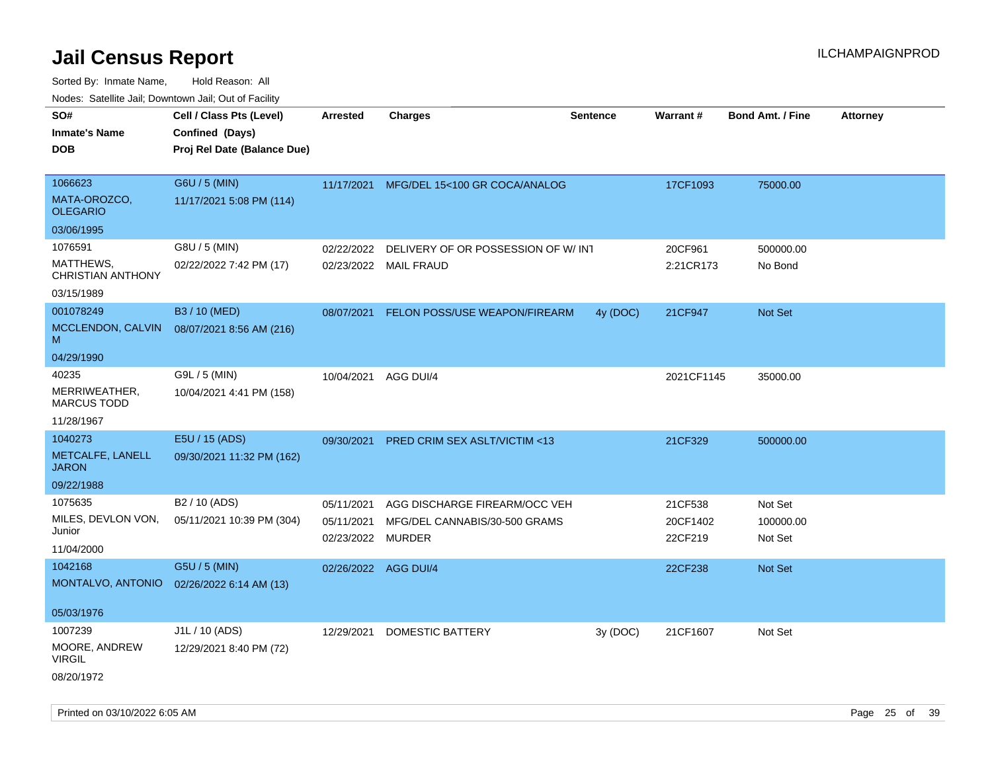| SO#                                     | Cell / Class Pts (Level)    | <b>Arrested</b>      | <b>Charges</b>                          | <b>Sentence</b> | Warrant#   | <b>Bond Amt. / Fine</b> | <b>Attorney</b> |
|-----------------------------------------|-----------------------------|----------------------|-----------------------------------------|-----------------|------------|-------------------------|-----------------|
| <b>Inmate's Name</b>                    | Confined (Days)             |                      |                                         |                 |            |                         |                 |
| <b>DOB</b>                              | Proj Rel Date (Balance Due) |                      |                                         |                 |            |                         |                 |
|                                         |                             |                      |                                         |                 |            |                         |                 |
| 1066623                                 | G6U / 5 (MIN)               | 11/17/2021           | MFG/DEL 15<100 GR COCA/ANALOG           |                 | 17CF1093   | 75000.00                |                 |
| MATA-OROZCO,<br><b>OLEGARIO</b>         | 11/17/2021 5:08 PM (114)    |                      |                                         |                 |            |                         |                 |
| 03/06/1995                              |                             |                      |                                         |                 |            |                         |                 |
| 1076591                                 | G8U / 5 (MIN)               | 02/22/2022           | DELIVERY OF OR POSSESSION OF W/INT      |                 | 20CF961    | 500000.00               |                 |
| MATTHEWS,<br>CHRISTIAN ANTHONY          | 02/22/2022 7:42 PM (17)     |                      | 02/23/2022 MAIL FRAUD                   |                 | 2:21CR173  | No Bond                 |                 |
| 03/15/1989                              |                             |                      |                                         |                 |            |                         |                 |
| 001078249                               | B3 / 10 (MED)               | 08/07/2021           | FELON POSS/USE WEAPON/FIREARM           | 4y (DOC)        | 21CF947    | <b>Not Set</b>          |                 |
| MCCLENDON, CALVIN<br>м                  | 08/07/2021 8:56 AM (216)    |                      |                                         |                 |            |                         |                 |
| 04/29/1990                              |                             |                      |                                         |                 |            |                         |                 |
| 40235                                   | G9L / 5 (MIN)               | 10/04/2021 AGG DUI/4 |                                         |                 | 2021CF1145 | 35000.00                |                 |
| MERRIWEATHER,<br><b>MARCUS TODD</b>     | 10/04/2021 4:41 PM (158)    |                      |                                         |                 |            |                         |                 |
| 11/28/1967                              |                             |                      |                                         |                 |            |                         |                 |
| 1040273                                 | E5U / 15 (ADS)              | 09/30/2021           | <b>PRED CRIM SEX ASLT/VICTIM &lt;13</b> |                 | 21CF329    | 500000.00               |                 |
| <b>METCALFE, LANELL</b><br><b>JARON</b> | 09/30/2021 11:32 PM (162)   |                      |                                         |                 |            |                         |                 |
| 09/22/1988                              |                             |                      |                                         |                 |            |                         |                 |
| 1075635                                 | B <sub>2</sub> / 10 (ADS)   | 05/11/2021           | AGG DISCHARGE FIREARM/OCC VEH           |                 | 21CF538    | Not Set                 |                 |
| MILES, DEVLON VON,                      | 05/11/2021 10:39 PM (304)   | 05/11/2021           | MFG/DEL CANNABIS/30-500 GRAMS           |                 | 20CF1402   | 100000.00               |                 |
| Junior                                  |                             | 02/23/2022 MURDER    |                                         |                 | 22CF219    | Not Set                 |                 |
| 11/04/2000                              |                             |                      |                                         |                 |            |                         |                 |
| 1042168                                 | G5U / 5 (MIN)               | 02/26/2022 AGG DUI/4 |                                         |                 | 22CF238    | <b>Not Set</b>          |                 |
| MONTALVO, ANTONIO                       | 02/26/2022 6:14 AM (13)     |                      |                                         |                 |            |                         |                 |
| 05/03/1976                              |                             |                      |                                         |                 |            |                         |                 |
| 1007239                                 | J1L / 10 (ADS)              |                      |                                         |                 |            |                         |                 |
|                                         |                             | 12/29/2021           | <b>DOMESTIC BATTERY</b>                 | 3y(DOC)         | 21CF1607   | Not Set                 |                 |
| MOORE, ANDREW<br><b>VIRGIL</b>          | 12/29/2021 8:40 PM (72)     |                      |                                         |                 |            |                         |                 |
| 08/20/1972                              |                             |                      |                                         |                 |            |                         |                 |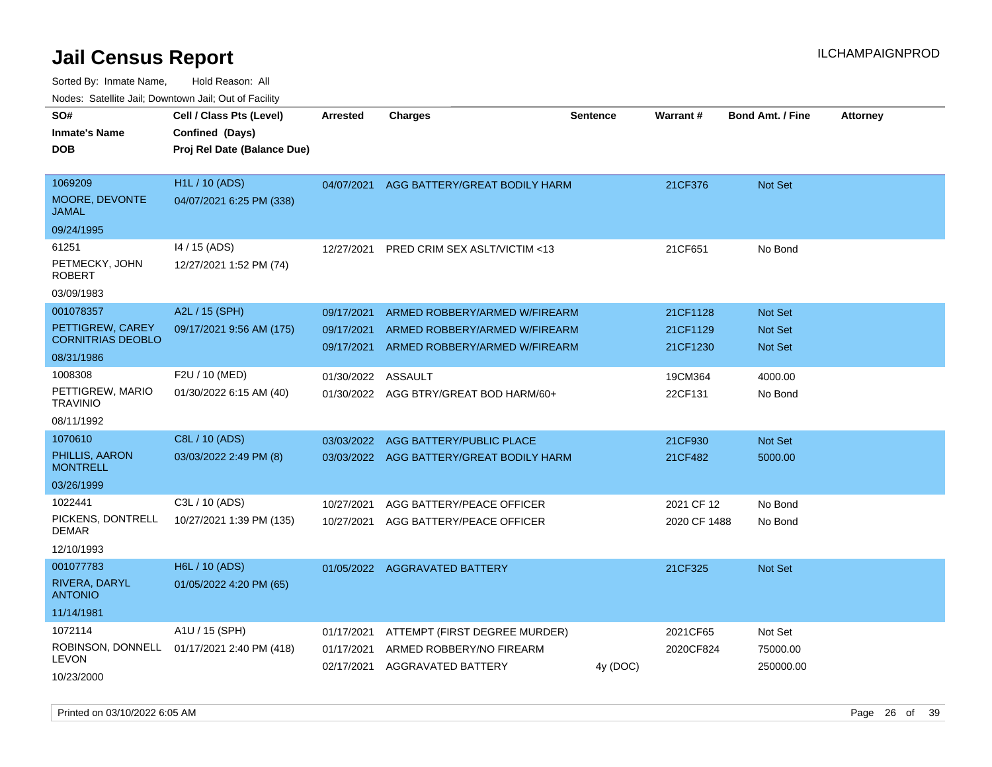Sorted By: Inmate Name, Hold Reason: All Nodes: Satellite Jail; Downtown Jail; Out of Facility

| rouco. Calcinic Jan, Downtown Jan, Out of Facility         |                                                                            |                                        |                                                                                                 |                 |                                  |                                                    |                 |
|------------------------------------------------------------|----------------------------------------------------------------------------|----------------------------------------|-------------------------------------------------------------------------------------------------|-----------------|----------------------------------|----------------------------------------------------|-----------------|
| SO#<br>Inmate's Name<br><b>DOB</b>                         | Cell / Class Pts (Level)<br>Confined (Days)<br>Proj Rel Date (Balance Due) | <b>Arrested</b>                        | Charges                                                                                         | <b>Sentence</b> | Warrant#                         | <b>Bond Amt. / Fine</b>                            | <b>Attorney</b> |
| 1069209<br>MOORE, DEVONTE<br>JAMAL                         | H1L / 10 (ADS)<br>04/07/2021 6:25 PM (338)                                 | 04/07/2021                             | AGG BATTERY/GREAT BODILY HARM                                                                   |                 | 21CF376                          | Not Set                                            |                 |
| 09/24/1995                                                 |                                                                            |                                        |                                                                                                 |                 |                                  |                                                    |                 |
| 61251<br>PETMECKY, JOHN<br>ROBERT                          | 14 / 15 (ADS)<br>12/27/2021 1:52 PM (74)                                   | 12/27/2021                             | PRED CRIM SEX ASLT/VICTIM <13                                                                   |                 | 21CF651                          | No Bond                                            |                 |
| 03/09/1983                                                 |                                                                            |                                        |                                                                                                 |                 |                                  |                                                    |                 |
| 001078357<br>PETTIGREW, CAREY<br><b>CORNITRIAS DEOBLO</b>  | A2L / 15 (SPH)<br>09/17/2021 9:56 AM (175)                                 | 09/17/2021<br>09/17/2021<br>09/17/2021 | ARMED ROBBERY/ARMED W/FIREARM<br>ARMED ROBBERY/ARMED W/FIREARM<br>ARMED ROBBERY/ARMED W/FIREARM |                 | 21CF1128<br>21CF1129<br>21CF1230 | <b>Not Set</b><br><b>Not Set</b><br><b>Not Set</b> |                 |
| 08/31/1986                                                 |                                                                            |                                        |                                                                                                 |                 |                                  |                                                    |                 |
| 1008308<br>PETTIGREW, MARIO<br>TRAVINIO<br>08/11/1992      | F2U / 10 (MED)<br>01/30/2022 6:15 AM (40)                                  | 01/30/2022<br>01/30/2022               | ASSAULT<br>AGG BTRY/GREAT BOD HARM/60+                                                          |                 | 19CM364<br>22CF131               | 4000.00<br>No Bond                                 |                 |
| 1070610                                                    | C8L / 10 (ADS)                                                             |                                        |                                                                                                 |                 |                                  |                                                    |                 |
| PHILLIS, AARON<br><b>MONTRELL</b>                          | 03/03/2022 2:49 PM (8)                                                     | 03/03/2022<br>03/03/2022               | AGG BATTERY/PUBLIC PLACE<br>AGG BATTERY/GREAT BODILY HARM                                       |                 | 21CF930<br>21CF482               | <b>Not Set</b><br>5000.00                          |                 |
| 03/26/1999                                                 |                                                                            |                                        |                                                                                                 |                 |                                  |                                                    |                 |
| 1022441<br>PICKENS, DONTRELL<br>DEMAR<br>12/10/1993        | C3L / 10 (ADS)<br>10/27/2021 1:39 PM (135)                                 | 10/27/2021<br>10/27/2021               | AGG BATTERY/PEACE OFFICER<br>AGG BATTERY/PEACE OFFICER                                          |                 | 2021 CF 12<br>2020 CF 1488       | No Bond<br>No Bond                                 |                 |
| 001077783<br>RIVERA, DARYL<br><b>ANTONIO</b><br>11/14/1981 | H6L / 10 (ADS)<br>01/05/2022 4:20 PM (65)                                  | 01/05/2022                             | <b>AGGRAVATED BATTERY</b>                                                                       |                 | 21CF325                          | <b>Not Set</b>                                     |                 |
| 1072114                                                    | A1U / 15 (SPH)                                                             | 01/17/2021                             | ATTEMPT (FIRST DEGREE MURDER)                                                                   |                 | 2021CF65                         | Not Set                                            |                 |
| LEVON<br>10/23/2000                                        | ROBINSON, DONNELL 01/17/2021 2:40 PM (418)                                 | 01/17/2021<br>02/17/2021               | ARMED ROBBERY/NO FIREARM<br>AGGRAVATED BATTERY                                                  | 4y (DOC)        | 2020CF824                        | 75000.00<br>250000.00                              |                 |

Printed on 03/10/2022 6:05 AM Page 26 of 39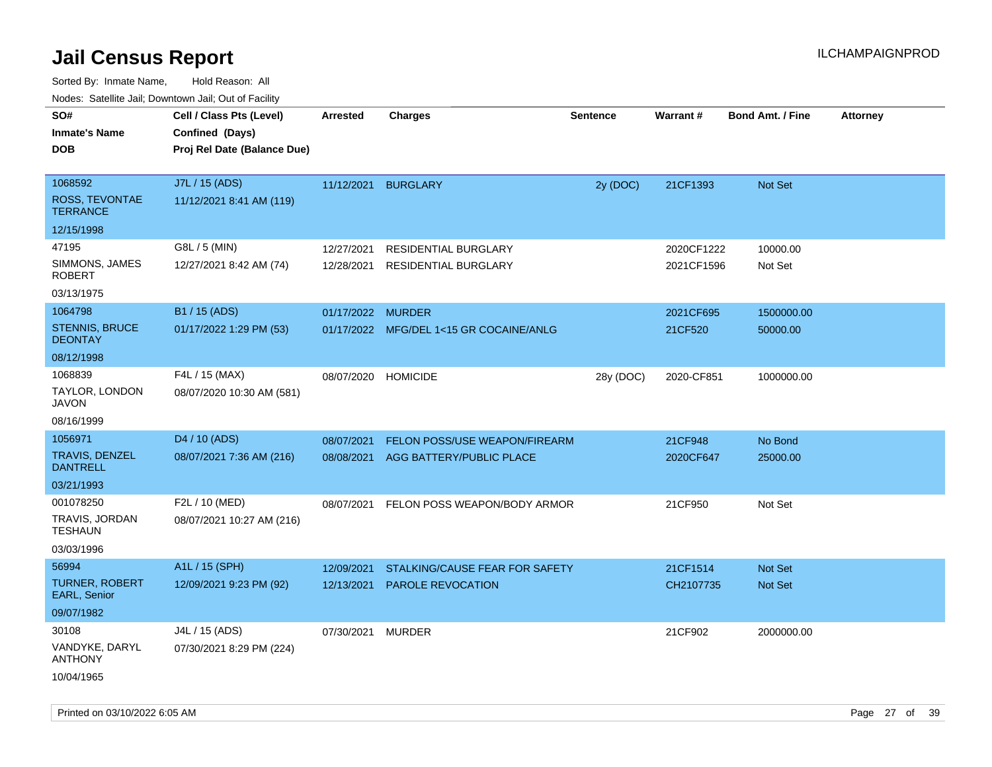| ivouss. Satellite Jali, Downtown Jali, Out of Facility               |                                                                            |                          |                                                           |                 |                          |                                  |                 |
|----------------------------------------------------------------------|----------------------------------------------------------------------------|--------------------------|-----------------------------------------------------------|-----------------|--------------------------|----------------------------------|-----------------|
| SO#<br>Inmate's Name<br><b>DOB</b>                                   | Cell / Class Pts (Level)<br>Confined (Days)<br>Proj Rel Date (Balance Due) | Arrested                 | <b>Charges</b>                                            | <b>Sentence</b> | <b>Warrant#</b>          | <b>Bond Amt. / Fine</b>          | <b>Attorney</b> |
| 1068592<br>ROSS, TEVONTAE<br><b>TERRANCE</b>                         | J7L / 15 (ADS)<br>11/12/2021 8:41 AM (119)                                 | 11/12/2021               | <b>BURGLARY</b>                                           | 2y (DOC)        | 21CF1393                 | Not Set                          |                 |
| 12/15/1998<br>47195<br>SIMMONS, JAMES<br><b>ROBERT</b><br>03/13/1975 | G8L / 5 (MIN)<br>12/27/2021 8:42 AM (74)                                   | 12/27/2021<br>12/28/2021 | RESIDENTIAL BURGLARY<br><b>RESIDENTIAL BURGLARY</b>       |                 | 2020CF1222<br>2021CF1596 | 10000.00<br>Not Set              |                 |
| 1064798<br><b>STENNIS, BRUCE</b><br><b>DEONTAY</b><br>08/12/1998     | B1 / 15 (ADS)<br>01/17/2022 1:29 PM (53)                                   | 01/17/2022 MURDER        | 01/17/2022 MFG/DEL 1<15 GR COCAINE/ANLG                   |                 | 2021CF695<br>21CF520     | 1500000.00<br>50000.00           |                 |
| 1068839<br>TAYLOR, LONDON<br>JAVON<br>08/16/1999                     | F4L / 15 (MAX)<br>08/07/2020 10:30 AM (581)                                | 08/07/2020               | <b>HOMICIDE</b>                                           | 28y (DOC)       | 2020-CF851               | 1000000.00                       |                 |
| 1056971<br>TRAVIS, DENZEL<br><b>DANTRELL</b><br>03/21/1993           | D <sub>4</sub> / 10 (ADS)<br>08/07/2021 7:36 AM (216)                      | 08/07/2021<br>08/08/2021 | FELON POSS/USE WEAPON/FIREARM<br>AGG BATTERY/PUBLIC PLACE |                 | 21CF948<br>2020CF647     | No Bond<br>25000.00              |                 |
| 001078250<br>TRAVIS, JORDAN<br>TESHAUN<br>03/03/1996                 | F2L / 10 (MED)<br>08/07/2021 10:27 AM (216)                                | 08/07/2021               | FELON POSS WEAPON/BODY ARMOR                              |                 | 21CF950                  | Not Set                          |                 |
| 56994<br>TURNER, ROBERT<br><b>EARL, Senior</b><br>09/07/1982         | A1L / 15 (SPH)<br>12/09/2021 9:23 PM (92)                                  | 12/09/2021<br>12/13/2021 | STALKING/CAUSE FEAR FOR SAFETY<br>PAROLE REVOCATION       |                 | 21CF1514<br>CH2107735    | <b>Not Set</b><br><b>Not Set</b> |                 |
| 30108<br>VANDYKE, DARYL<br><b>ANTHONY</b><br>10/04/1965              | J4L / 15 (ADS)<br>07/30/2021 8:29 PM (224)                                 | 07/30/2021               | <b>MURDER</b>                                             |                 | 21CF902                  | 2000000.00                       |                 |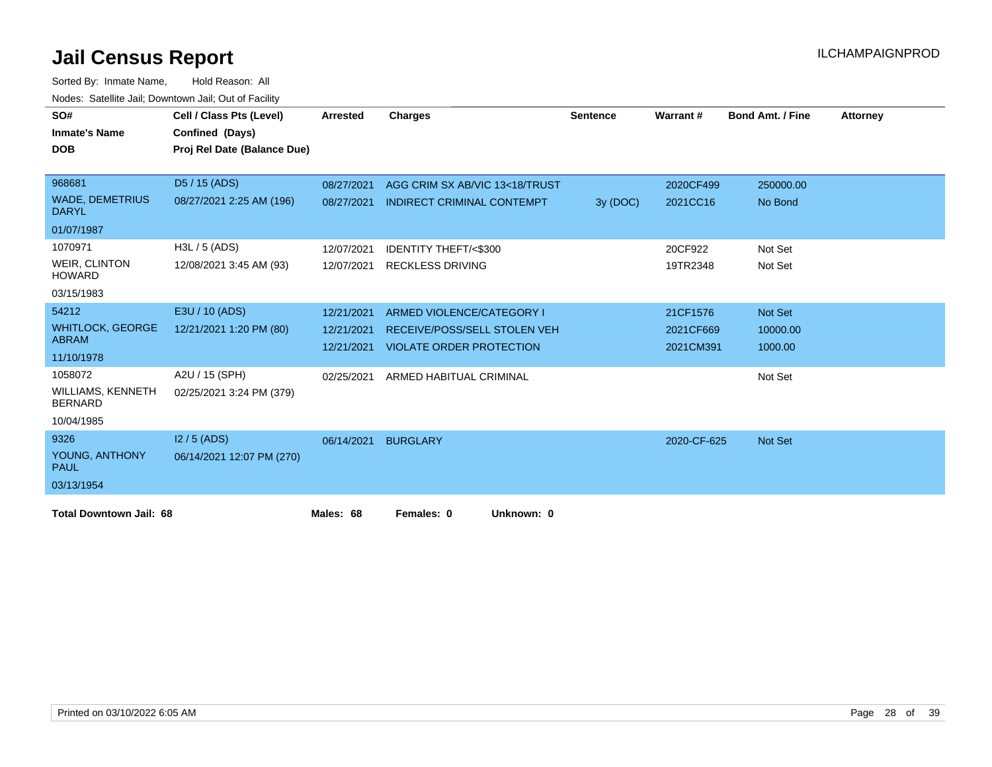| SO#<br><b>Inmate's Name</b>                | Cell / Class Pts (Level)<br>Confined (Days) | Arrested   | <b>Charges</b>                    | <b>Sentence</b> | Warrant#    | <b>Bond Amt. / Fine</b> | <b>Attorney</b> |
|--------------------------------------------|---------------------------------------------|------------|-----------------------------------|-----------------|-------------|-------------------------|-----------------|
| <b>DOB</b>                                 | Proj Rel Date (Balance Due)                 |            |                                   |                 |             |                         |                 |
| 968681                                     | D5 / 15 (ADS)                               | 08/27/2021 | AGG CRIM SX AB/VIC 13<18/TRUST    |                 | 2020CF499   | 250000.00               |                 |
| <b>WADE, DEMETRIUS</b><br><b>DARYL</b>     | 08/27/2021 2:25 AM (196)                    | 08/27/2021 | <b>INDIRECT CRIMINAL CONTEMPT</b> | 3y (DOC)        | 2021CC16    | No Bond                 |                 |
| 01/07/1987                                 |                                             |            |                                   |                 |             |                         |                 |
| 1070971                                    | H3L / 5 (ADS)                               | 12/07/2021 | <b>IDENTITY THEFT/&lt;\$300</b>   |                 | 20CF922     | Not Set                 |                 |
| <b>WEIR, CLINTON</b><br><b>HOWARD</b>      | 12/08/2021 3:45 AM (93)                     |            | 12/07/2021 RECKLESS DRIVING       |                 | 19TR2348    | Not Set                 |                 |
| 03/15/1983                                 |                                             |            |                                   |                 |             |                         |                 |
| 54212                                      | E3U / 10 (ADS)                              | 12/21/2021 | ARMED VIOLENCE/CATEGORY I         |                 | 21CF1576    | Not Set                 |                 |
| <b>WHITLOCK, GEORGE</b>                    | 12/21/2021 1:20 PM (80)                     | 12/21/2021 | RECEIVE/POSS/SELL STOLEN VEH      |                 | 2021CF669   | 10000.00                |                 |
| <b>ABRAM</b>                               |                                             | 12/21/2021 | <b>VIOLATE ORDER PROTECTION</b>   |                 | 2021CM391   | 1000.00                 |                 |
| 11/10/1978                                 |                                             |            |                                   |                 |             |                         |                 |
| 1058072                                    | A2U / 15 (SPH)                              | 02/25/2021 | ARMED HABITUAL CRIMINAL           |                 |             | Not Set                 |                 |
| <b>WILLIAMS, KENNETH</b><br><b>BERNARD</b> | 02/25/2021 3:24 PM (379)                    |            |                                   |                 |             |                         |                 |
| 10/04/1985                                 |                                             |            |                                   |                 |             |                         |                 |
| 9326                                       | $12/5$ (ADS)                                | 06/14/2021 | <b>BURGLARY</b>                   |                 | 2020-CF-625 | <b>Not Set</b>          |                 |
| YOUNG, ANTHONY<br><b>PAUL</b>              | 06/14/2021 12:07 PM (270)                   |            |                                   |                 |             |                         |                 |
| 03/13/1954                                 |                                             |            |                                   |                 |             |                         |                 |
| <b>Total Downtown Jail: 68</b>             |                                             | Males: 68  | Females: 0<br>Unknown: 0          |                 |             |                         |                 |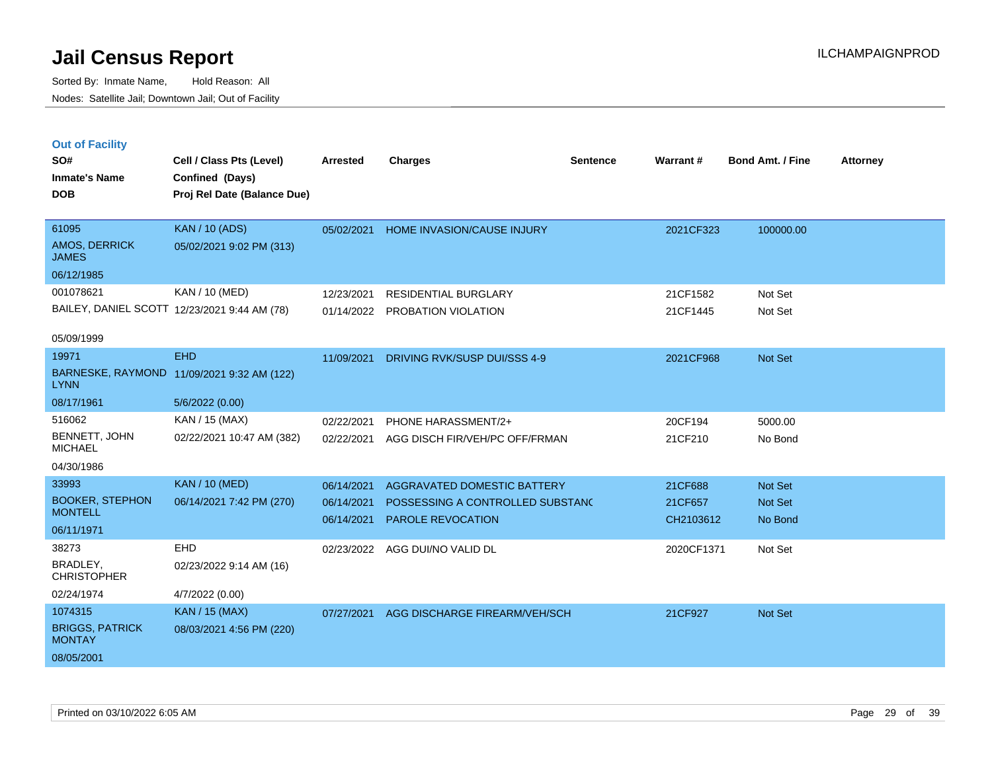Sorted By: Inmate Name, Hold Reason: All Nodes: Satellite Jail; Downtown Jail; Out of Facility

| <b>Out of Facility</b>        |                             |                 |                                   |                 |           |                         |                 |
|-------------------------------|-----------------------------|-----------------|-----------------------------------|-----------------|-----------|-------------------------|-----------------|
| SO#                           | Cell / Class Pts (Level)    | <b>Arrested</b> | Charges                           | <b>Sentence</b> | Warrant # | <b>Bond Amt. / Fine</b> | <b>Attorney</b> |
| <b>Inmate's Name</b>          | Confined (Days)             |                 |                                   |                 |           |                         |                 |
| <b>DOB</b>                    | Proj Rel Date (Balance Due) |                 |                                   |                 |           |                         |                 |
|                               |                             |                 |                                   |                 |           |                         |                 |
| 61095                         | <b>KAN</b> / 10 (ADS)       | 05/02/2021      | <b>HOME INVASION/CAUSE INJURY</b> |                 | 2021CF323 | 100000.00               |                 |
| AMOS, DERRICK<br><b>JAMES</b> | 05/02/2021 9:02 PM (313)    |                 |                                   |                 |           |                         |                 |
| OC/40/400E                    |                             |                 |                                   |                 |           |                         |                 |

| AMOS, DERRICK<br><b>JAMES</b> | 05/02/2021 9:02 PM (313)                     |            |                                |          |         |
|-------------------------------|----------------------------------------------|------------|--------------------------------|----------|---------|
| 06/12/1985                    |                                              |            |                                |          |         |
| 001078621                     | KAN / 10 (MED)                               | 12/23/2021 | RESIDENTIAL BURGLARY           | 21CF1582 | Not Set |
|                               | BAILEY, DANIEL SCOTT 12/23/2021 9:44 AM (78) |            | 01/14/2022 PROBATION VIOLATION | 21CF1445 | Not Set |
|                               |                                              |            |                                |          |         |

### 05/09/1999

| 19971                                   | <b>EHD</b>                | 11/09/2021 | DRIVING RVK/SUSP DUI/SSS 4-9     | 2021CF968  | Not Set |
|-----------------------------------------|---------------------------|------------|----------------------------------|------------|---------|
| BARNESKE, RAYMOND<br><b>LYNN</b>        | 11/09/2021 9:32 AM (122)  |            |                                  |            |         |
| 08/17/1961                              | 5/6/2022 (0.00)           |            |                                  |            |         |
| 516062                                  | KAN / 15 (MAX)            | 02/22/2021 | PHONE HARASSMENT/2+              | 20CF194    | 5000.00 |
| BENNETT, JOHN<br><b>MICHAEL</b>         | 02/22/2021 10:47 AM (382) | 02/22/2021 | AGG DISCH FIR/VEH/PC OFF/FRMAN   | 21CF210    | No Bond |
| 04/30/1986                              |                           |            |                                  |            |         |
| 33993                                   | <b>KAN / 10 (MED)</b>     | 06/14/2021 | AGGRAVATED DOMESTIC BATTERY      | 21CF688    | Not Set |
| <b>BOOKER, STEPHON</b>                  | 06/14/2021 7:42 PM (270)  | 06/14/2021 | POSSESSING A CONTROLLED SUBSTANC | 21CF657    | Not Set |
| <b>MONTELL</b>                          |                           | 06/14/2021 | PAROLE REVOCATION                | CH2103612  | No Bond |
| 06/11/1971                              |                           |            |                                  |            |         |
| 38273                                   | <b>EHD</b>                | 02/23/2022 | AGG DUI/NO VALID DL              | 2020CF1371 | Not Set |
| BRADLEY,<br><b>CHRISTOPHER</b>          | 02/23/2022 9:14 AM (16)   |            |                                  |            |         |
| 02/24/1974                              | 4/7/2022 (0.00)           |            |                                  |            |         |
| 1074315                                 | <b>KAN</b> / 15 (MAX)     | 07/27/2021 | AGG DISCHARGE FIREARM/VEH/SCH    | 21CF927    | Not Set |
| <b>BRIGGS, PATRICK</b><br><b>MONTAY</b> | 08/03/2021 4:56 PM (220)  |            |                                  |            |         |
| 08/05/2001                              |                           |            |                                  |            |         |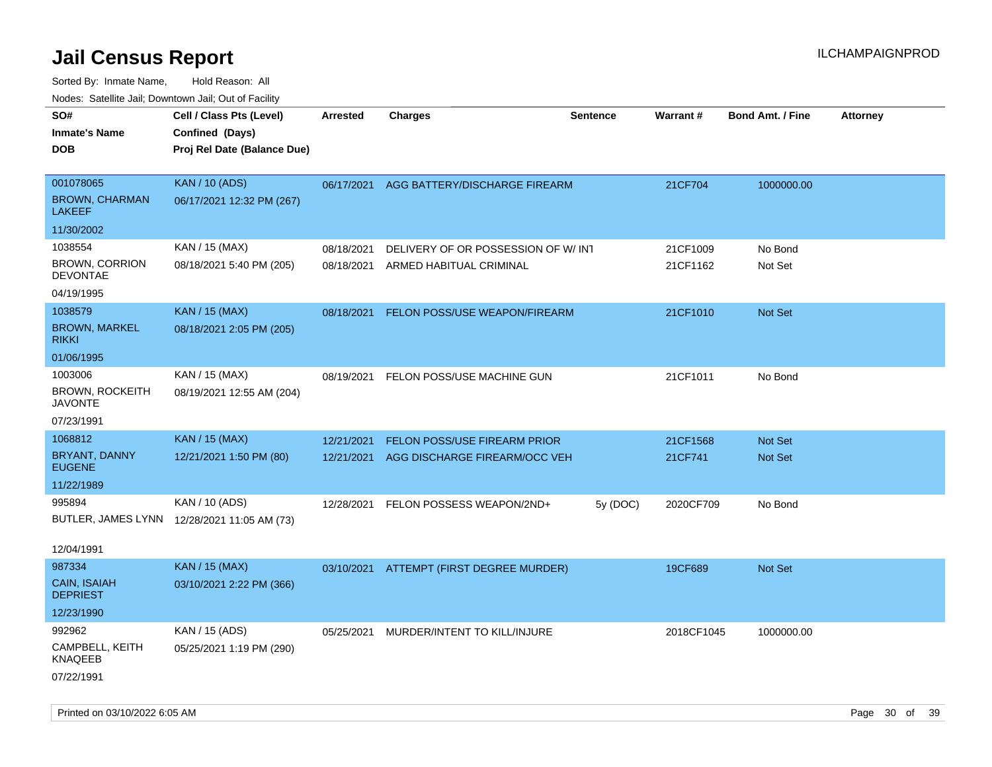| rouco. Calcinic Jan, Downtown Jan, Out of Facility |                                             |                 |                                          |                 |                 |                         |                 |
|----------------------------------------------------|---------------------------------------------|-----------------|------------------------------------------|-----------------|-----------------|-------------------------|-----------------|
| SO#<br><b>Inmate's Name</b>                        | Cell / Class Pts (Level)<br>Confined (Days) | <b>Arrested</b> | <b>Charges</b>                           | <b>Sentence</b> | <b>Warrant#</b> | <b>Bond Amt. / Fine</b> | <b>Attorney</b> |
| DOB                                                | Proj Rel Date (Balance Due)                 |                 |                                          |                 |                 |                         |                 |
|                                                    |                                             |                 |                                          |                 |                 |                         |                 |
| 001078065                                          | <b>KAN / 10 (ADS)</b>                       |                 | 06/17/2021 AGG BATTERY/DISCHARGE FIREARM |                 | 21CF704         | 1000000.00              |                 |
| <b>BROWN, CHARMAN</b><br>LAKEEF                    | 06/17/2021 12:32 PM (267)                   |                 |                                          |                 |                 |                         |                 |
| 11/30/2002                                         |                                             |                 |                                          |                 |                 |                         |                 |
| 1038554                                            | KAN / 15 (MAX)                              | 08/18/2021      | DELIVERY OF OR POSSESSION OF W/ INT      |                 | 21CF1009        | No Bond                 |                 |
| <b>BROWN, CORRION</b><br><b>DEVONTAE</b>           | 08/18/2021 5:40 PM (205)                    | 08/18/2021      | ARMED HABITUAL CRIMINAL                  |                 | 21CF1162        | Not Set                 |                 |
| 04/19/1995                                         |                                             |                 |                                          |                 |                 |                         |                 |
| 1038579                                            | <b>KAN / 15 (MAX)</b>                       | 08/18/2021      | FELON POSS/USE WEAPON/FIREARM            |                 | 21CF1010        | <b>Not Set</b>          |                 |
| <b>BROWN, MARKEL</b><br>RIKKI                      | 08/18/2021 2:05 PM (205)                    |                 |                                          |                 |                 |                         |                 |
| 01/06/1995                                         |                                             |                 |                                          |                 |                 |                         |                 |
| 1003006                                            | KAN / 15 (MAX)                              | 08/19/2021      | FELON POSS/USE MACHINE GUN               |                 | 21CF1011        | No Bond                 |                 |
| <b>BROWN, ROCKEITH</b><br><b>JAVONTE</b>           | 08/19/2021 12:55 AM (204)                   |                 |                                          |                 |                 |                         |                 |
| 07/23/1991                                         |                                             |                 |                                          |                 |                 |                         |                 |
| 1068812                                            | <b>KAN</b> / 15 (MAX)                       | 12/21/2021      | FELON POSS/USE FIREARM PRIOR             |                 | 21CF1568        | <b>Not Set</b>          |                 |
| BRYANT, DANNY<br><b>EUGENE</b>                     | 12/21/2021 1:50 PM (80)                     | 12/21/2021      | AGG DISCHARGE FIREARM/OCC VEH            |                 | 21CF741         | Not Set                 |                 |
| 11/22/1989                                         |                                             |                 |                                          |                 |                 |                         |                 |
| 995894                                             | KAN / 10 (ADS)                              | 12/28/2021      | FELON POSSESS WEAPON/2ND+                | 5y (DOC)        | 2020CF709       | No Bond                 |                 |
|                                                    | BUTLER, JAMES LYNN 12/28/2021 11:05 AM (73) |                 |                                          |                 |                 |                         |                 |
|                                                    |                                             |                 |                                          |                 |                 |                         |                 |
| 12/04/1991                                         |                                             |                 |                                          |                 |                 |                         |                 |
| 987334                                             | <b>KAN / 15 (MAX)</b>                       |                 | 03/10/2021 ATTEMPT (FIRST DEGREE MURDER) |                 | 19CF689         | <b>Not Set</b>          |                 |
| CAIN, ISAIAH<br>DEPRIEST                           | 03/10/2021 2:22 PM (366)                    |                 |                                          |                 |                 |                         |                 |
| 12/23/1990                                         |                                             |                 |                                          |                 |                 |                         |                 |
| 992962                                             | KAN / 15 (ADS)                              | 05/25/2021      | MURDER/INTENT TO KILL/INJURE             |                 | 2018CF1045      | 1000000.00              |                 |
| CAMPBELL, KEITH<br>KNAQEEB                         | 05/25/2021 1:19 PM (290)                    |                 |                                          |                 |                 |                         |                 |
| 07/22/1991                                         |                                             |                 |                                          |                 |                 |                         |                 |
|                                                    |                                             |                 |                                          |                 |                 |                         |                 |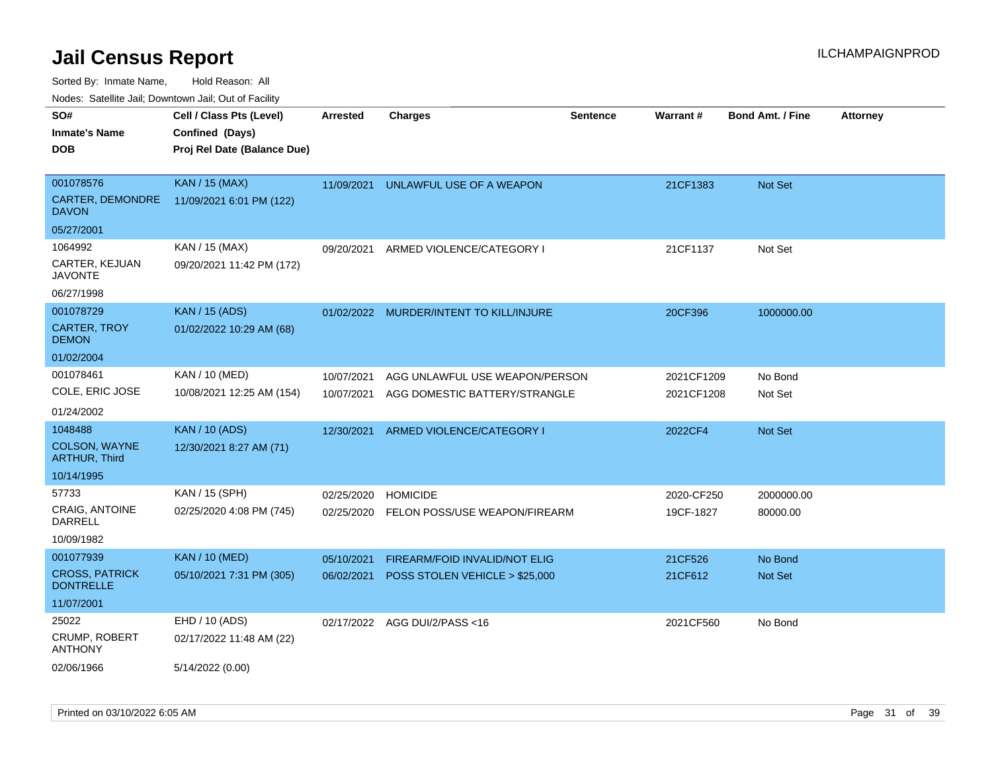Sorted By: Inmate Name, Hold Reason: All

Nodes: Satellite Jail; Downtown Jail; Out of Facility

| SO#                                       | Cell / Class Pts (Level)    | <b>Arrested</b> | <b>Charges</b>                       | <b>Sentence</b> | Warrant#   | <b>Bond Amt. / Fine</b> | <b>Attorney</b> |
|-------------------------------------------|-----------------------------|-----------------|--------------------------------------|-----------------|------------|-------------------------|-----------------|
| <b>Inmate's Name</b>                      | Confined (Days)             |                 |                                      |                 |            |                         |                 |
| <b>DOB</b>                                | Proj Rel Date (Balance Due) |                 |                                      |                 |            |                         |                 |
|                                           |                             |                 |                                      |                 |            |                         |                 |
| 001078576                                 | <b>KAN / 15 (MAX)</b>       | 11/09/2021      | UNLAWFUL USE OF A WEAPON             |                 | 21CF1383   | Not Set                 |                 |
| CARTER, DEMONDRE<br><b>DAVON</b>          | 11/09/2021 6:01 PM (122)    |                 |                                      |                 |            |                         |                 |
| 05/27/2001                                |                             |                 |                                      |                 |            |                         |                 |
| 1064992                                   | KAN / 15 (MAX)              | 09/20/2021      | ARMED VIOLENCE/CATEGORY I            |                 | 21CF1137   | Not Set                 |                 |
| CARTER, KEJUAN<br><b>JAVONTE</b>          | 09/20/2021 11:42 PM (172)   |                 |                                      |                 |            |                         |                 |
| 06/27/1998                                |                             |                 |                                      |                 |            |                         |                 |
| 001078729                                 | <b>KAN / 15 (ADS)</b>       | 01/02/2022      | MURDER/INTENT TO KILL/INJURE         |                 | 20CF396    | 1000000.00              |                 |
| <b>CARTER, TROY</b><br><b>DEMON</b>       | 01/02/2022 10:29 AM (68)    |                 |                                      |                 |            |                         |                 |
| 01/02/2004                                |                             |                 |                                      |                 |            |                         |                 |
| 001078461                                 | KAN / 10 (MED)              | 10/07/2021      | AGG UNLAWFUL USE WEAPON/PERSON       |                 | 2021CF1209 | No Bond                 |                 |
| COLE, ERIC JOSE                           | 10/08/2021 12:25 AM (154)   | 10/07/2021      | AGG DOMESTIC BATTERY/STRANGLE        |                 | 2021CF1208 | Not Set                 |                 |
| 01/24/2002                                |                             |                 |                                      |                 |            |                         |                 |
| 1048488                                   | <b>KAN / 10 (ADS)</b>       | 12/30/2021      | ARMED VIOLENCE/CATEGORY I            |                 | 2022CF4    | Not Set                 |                 |
| COLSON, WAYNE<br><b>ARTHUR, Third</b>     | 12/30/2021 8:27 AM (71)     |                 |                                      |                 |            |                         |                 |
| 10/14/1995                                |                             |                 |                                      |                 |            |                         |                 |
| 57733                                     | KAN / 15 (SPH)              | 02/25/2020      | <b>HOMICIDE</b>                      |                 | 2020-CF250 | 2000000.00              |                 |
| CRAIG, ANTOINE<br><b>DARRELL</b>          | 02/25/2020 4:08 PM (745)    | 02/25/2020      | FELON POSS/USE WEAPON/FIREARM        |                 | 19CF-1827  | 80000.00                |                 |
| 10/09/1982                                |                             |                 |                                      |                 |            |                         |                 |
| 001077939                                 | <b>KAN / 10 (MED)</b>       | 05/10/2021      | <b>FIREARM/FOID INVALID/NOT ELIG</b> |                 | 21CF526    | No Bond                 |                 |
| <b>CROSS, PATRICK</b><br><b>DONTRELLE</b> | 05/10/2021 7:31 PM (305)    | 06/02/2021      | POSS STOLEN VEHICLE > \$25,000       |                 | 21CF612    | Not Set                 |                 |
| 11/07/2001                                |                             |                 |                                      |                 |            |                         |                 |
| 25022                                     | EHD / 10 (ADS)              |                 | 02/17/2022 AGG DUI/2/PASS<16         |                 | 2021CF560  | No Bond                 |                 |
| CRUMP, ROBERT<br><b>ANTHONY</b>           | 02/17/2022 11:48 AM (22)    |                 |                                      |                 |            |                         |                 |
| 02/06/1966                                | 5/14/2022 (0.00)            |                 |                                      |                 |            |                         |                 |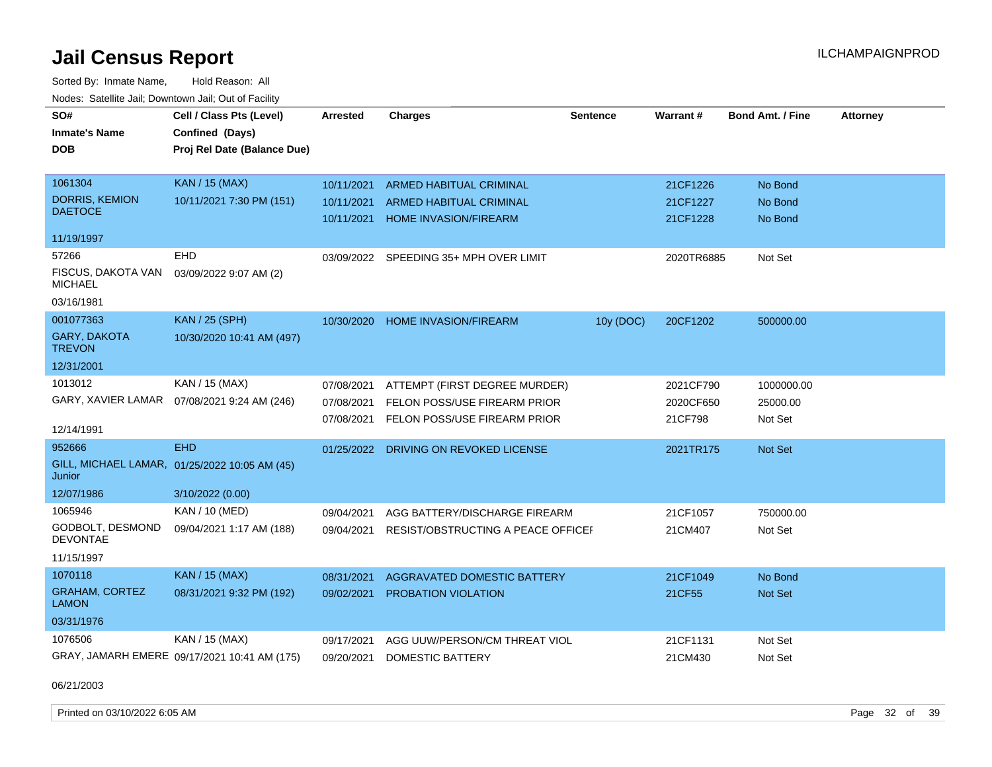Sorted By: Inmate Name, Hold Reason: All Nodes: Satellite Jail; Downtown Jail; Out of Facility

| SO#                                     | Cell / Class Pts (Level)                      | <b>Arrested</b> | <b>Charges</b>                         | <b>Sentence</b> | Warrant#   | <b>Bond Amt. / Fine</b> | <b>Attorney</b> |
|-----------------------------------------|-----------------------------------------------|-----------------|----------------------------------------|-----------------|------------|-------------------------|-----------------|
| <b>Inmate's Name</b>                    | Confined (Days)                               |                 |                                        |                 |            |                         |                 |
| <b>DOB</b>                              | Proj Rel Date (Balance Due)                   |                 |                                        |                 |            |                         |                 |
|                                         |                                               |                 |                                        |                 |            |                         |                 |
| 1061304                                 | <b>KAN / 15 (MAX)</b>                         | 10/11/2021      | ARMED HABITUAL CRIMINAL                |                 | 21CF1226   | No Bond                 |                 |
| <b>DORRIS, KEMION</b><br><b>DAETOCE</b> | 10/11/2021 7:30 PM (151)                      | 10/11/2021      | <b>ARMED HABITUAL CRIMINAL</b>         |                 | 21CF1227   | No Bond                 |                 |
|                                         |                                               | 10/11/2021      | <b>HOME INVASION/FIREARM</b>           |                 | 21CF1228   | No Bond                 |                 |
| 11/19/1997                              |                                               |                 |                                        |                 |            |                         |                 |
| 57266                                   | <b>EHD</b>                                    |                 | 03/09/2022 SPEEDING 35+ MPH OVER LIMIT |                 | 2020TR6885 | Not Set                 |                 |
| FISCUS, DAKOTA VAN<br><b>MICHAEL</b>    | 03/09/2022 9:07 AM (2)                        |                 |                                        |                 |            |                         |                 |
| 03/16/1981                              |                                               |                 |                                        |                 |            |                         |                 |
| 001077363                               | <b>KAN / 25 (SPH)</b>                         | 10/30/2020      | HOME INVASION/FIREARM                  | 10y (DOC)       | 20CF1202   | 500000.00               |                 |
| GARY, DAKOTA<br><b>TREVON</b>           | 10/30/2020 10:41 AM (497)                     |                 |                                        |                 |            |                         |                 |
| 12/31/2001                              |                                               |                 |                                        |                 |            |                         |                 |
| 1013012                                 | KAN / 15 (MAX)                                | 07/08/2021      | ATTEMPT (FIRST DEGREE MURDER)          |                 | 2021CF790  | 1000000.00              |                 |
| GARY, XAVIER LAMAR                      | 07/08/2021 9:24 AM (246)                      | 07/08/2021      | FELON POSS/USE FIREARM PRIOR           |                 | 2020CF650  | 25000.00                |                 |
|                                         |                                               | 07/08/2021      | FELON POSS/USE FIREARM PRIOR           |                 | 21CF798    | Not Set                 |                 |
| 12/14/1991                              |                                               |                 |                                        |                 |            |                         |                 |
| 952666                                  | <b>EHD</b>                                    | 01/25/2022      | DRIVING ON REVOKED LICENSE             |                 | 2021TR175  | <b>Not Set</b>          |                 |
| Junior                                  | GILL, MICHAEL LAMAR, 01/25/2022 10:05 AM (45) |                 |                                        |                 |            |                         |                 |
| 12/07/1986                              | 3/10/2022 (0.00)                              |                 |                                        |                 |            |                         |                 |
| 1065946                                 | KAN / 10 (MED)                                | 09/04/2021      | AGG BATTERY/DISCHARGE FIREARM          |                 | 21CF1057   | 750000.00               |                 |
| GODBOLT, DESMOND<br><b>DEVONTAE</b>     | 09/04/2021 1:17 AM (188)                      | 09/04/2021      | RESIST/OBSTRUCTING A PEACE OFFICEF     |                 | 21CM407    | Not Set                 |                 |
| 11/15/1997                              |                                               |                 |                                        |                 |            |                         |                 |
| 1070118                                 | <b>KAN / 15 (MAX)</b>                         | 08/31/2021      | AGGRAVATED DOMESTIC BATTERY            |                 | 21CF1049   | No Bond                 |                 |
| <b>GRAHAM, CORTEZ</b><br><b>LAMON</b>   | 08/31/2021 9:32 PM (192)                      | 09/02/2021      | PROBATION VIOLATION                    |                 | 21CF55     | Not Set                 |                 |
| 03/31/1976                              |                                               |                 |                                        |                 |            |                         |                 |
| 1076506                                 | KAN / 15 (MAX)                                | 09/17/2021      | AGG UUW/PERSON/CM THREAT VIOL          |                 | 21CF1131   | Not Set                 |                 |
|                                         | GRAY, JAMARH EMERE 09/17/2021 10:41 AM (175)  | 09/20/2021      | <b>DOMESTIC BATTERY</b>                |                 | 21CM430    | Not Set                 |                 |
|                                         |                                               |                 |                                        |                 |            |                         |                 |

06/21/2003

Printed on 03/10/2022 6:05 AM Page 32 of 39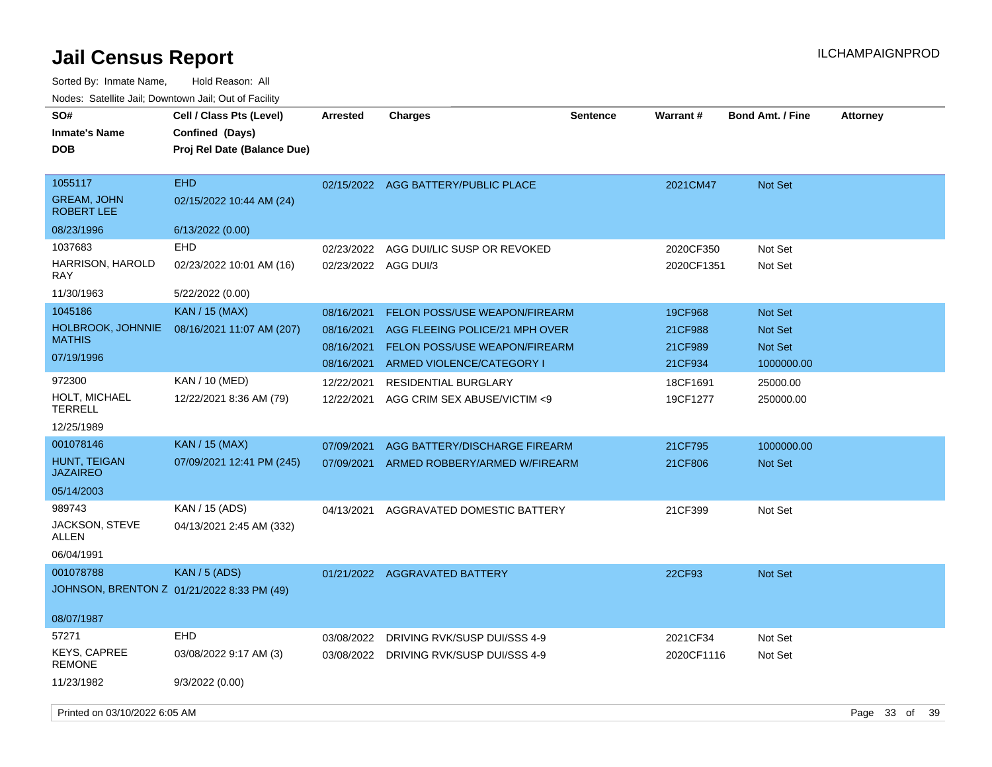| SO#<br><b>Inmate's Name</b><br><b>DOB</b>                          | Cell / Class Pts (Level)<br>Confined (Days)<br>Proj Rel Date (Balance Due) | <b>Arrested</b>                                      | <b>Charges</b>                                                                                                                       | Sentence | <b>Warrant#</b>                          | <b>Bond Amt. / Fine</b>                            | <b>Attorney</b> |  |
|--------------------------------------------------------------------|----------------------------------------------------------------------------|------------------------------------------------------|--------------------------------------------------------------------------------------------------------------------------------------|----------|------------------------------------------|----------------------------------------------------|-----------------|--|
| 1055117<br><b>GREAM, JOHN</b><br><b>ROBERT LEE</b>                 | <b>EHD</b><br>02/15/2022 10:44 AM (24)                                     |                                                      | 02/15/2022 AGG BATTERY/PUBLIC PLACE                                                                                                  |          | 2021CM47                                 | Not Set                                            |                 |  |
| 08/23/1996                                                         | 6/13/2022 (0.00)                                                           |                                                      |                                                                                                                                      |          |                                          |                                                    |                 |  |
| 1037683<br>HARRISON, HAROLD<br>RAY                                 | EHD<br>02/23/2022 10:01 AM (16)                                            | 02/23/2022<br>02/23/2022                             | AGG DUI/LIC SUSP OR REVOKED<br>AGG DUI/3                                                                                             |          | 2020CF350<br>2020CF1351                  | Not Set<br>Not Set                                 |                 |  |
| 11/30/1963                                                         | 5/22/2022 (0.00)                                                           |                                                      |                                                                                                                                      |          |                                          |                                                    |                 |  |
| 1045186<br><b>HOLBROOK, JOHNNIE</b><br><b>MATHIS</b><br>07/19/1996 | <b>KAN / 15 (MAX)</b><br>08/16/2021 11:07 AM (207)                         | 08/16/2021<br>08/16/2021<br>08/16/2021<br>08/16/2021 | FELON POSS/USE WEAPON/FIREARM<br>AGG FLEEING POLICE/21 MPH OVER<br><b>FELON POSS/USE WEAPON/FIREARM</b><br>ARMED VIOLENCE/CATEGORY I |          | 19CF968<br>21CF988<br>21CF989<br>21CF934 | Not Set<br><b>Not Set</b><br>Not Set<br>1000000.00 |                 |  |
| 972300<br><b>HOLT, MICHAEL</b><br><b>TERRELL</b><br>12/25/1989     | KAN / 10 (MED)<br>12/22/2021 8:36 AM (79)                                  | 12/22/2021<br>12/22/2021                             | RESIDENTIAL BURGLARY<br>AGG CRIM SEX ABUSE/VICTIM <9                                                                                 |          | 18CF1691<br>19CF1277                     | 25000.00<br>250000.00                              |                 |  |
| 001078146<br><b>HUNT, TEIGAN</b><br><b>JAZAIREO</b><br>05/14/2003  | <b>KAN / 15 (MAX)</b><br>07/09/2021 12:41 PM (245)                         | 07/09/2021<br>07/09/2021                             | AGG BATTERY/DISCHARGE FIREARM<br>ARMED ROBBERY/ARMED W/FIREARM                                                                       |          | 21CF795<br>21CF806                       | 1000000.00<br>Not Set                              |                 |  |
| 989743<br>JACKSON, STEVE<br>ALLEN<br>06/04/1991                    | KAN / 15 (ADS)<br>04/13/2021 2:45 AM (332)                                 | 04/13/2021                                           | AGGRAVATED DOMESTIC BATTERY                                                                                                          |          | 21CF399                                  | Not Set                                            |                 |  |
| 001078788<br>08/07/1987                                            | <b>KAN / 5 (ADS)</b><br>JOHNSON, BRENTON Z 01/21/2022 8:33 PM (49)         |                                                      | 01/21/2022 AGGRAVATED BATTERY                                                                                                        |          | 22CF93                                   | Not Set                                            |                 |  |
| 57271                                                              | <b>EHD</b>                                                                 | 03/08/2022                                           | DRIVING RVK/SUSP DUI/SSS 4-9                                                                                                         |          | 2021CF34                                 | Not Set                                            |                 |  |
| <b>KEYS, CAPREE</b><br><b>REMONE</b>                               | 03/08/2022 9:17 AM (3)                                                     | 03/08/2022                                           | DRIVING RVK/SUSP DUI/SSS 4-9                                                                                                         |          | 2020CF1116                               | Not Set                                            |                 |  |
| 11/23/1982                                                         | 9/3/2022(0.00)                                                             |                                                      |                                                                                                                                      |          |                                          |                                                    |                 |  |
| Printed on 03/10/2022 6:05 AM                                      |                                                                            |                                                      |                                                                                                                                      |          |                                          |                                                    | Page 33 of 39   |  |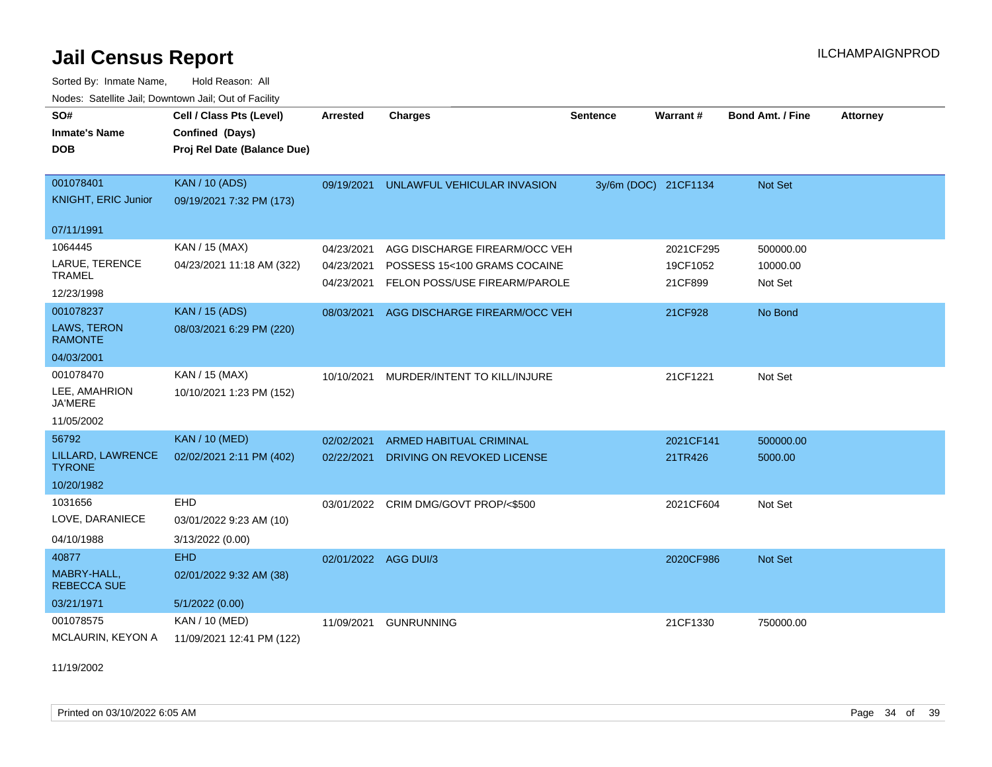Sorted By: Inmate Name, Hold Reason: All Nodes: Satellite Jail; Downtown Jail; Out of Facility

| SO#<br><b>Inmate's Name</b><br><b>DOB</b>                                | Cell / Class Pts (Level)<br>Confined (Days)<br>Proj Rel Date (Balance Due) | <b>Arrested</b>                        | <b>Charges</b>                                                                                 | <b>Sentence</b>      | Warrant#                         | <b>Bond Amt. / Fine</b>          | <b>Attorney</b> |
|--------------------------------------------------------------------------|----------------------------------------------------------------------------|----------------------------------------|------------------------------------------------------------------------------------------------|----------------------|----------------------------------|----------------------------------|-----------------|
| 001078401<br><b>KNIGHT, ERIC Junior</b>                                  | <b>KAN / 10 (ADS)</b><br>09/19/2021 7:32 PM (173)                          | 09/19/2021                             | UNLAWFUL VEHICULAR INVASION                                                                    | 3y/6m (DOC) 21CF1134 |                                  | <b>Not Set</b>                   |                 |
| 07/11/1991                                                               |                                                                            |                                        |                                                                                                |                      |                                  |                                  |                 |
| 1064445<br>LARUE, TERENCE<br><b>TRAMEL</b><br>12/23/1998                 | KAN / 15 (MAX)<br>04/23/2021 11:18 AM (322)                                | 04/23/2021<br>04/23/2021<br>04/23/2021 | AGG DISCHARGE FIREARM/OCC VEH<br>POSSESS 15<100 GRAMS COCAINE<br>FELON POSS/USE FIREARM/PAROLE |                      | 2021CF295<br>19CF1052<br>21CF899 | 500000.00<br>10000.00<br>Not Set |                 |
| 001078237<br>LAWS, TERON<br><b>RAMONTE</b>                               | <b>KAN</b> / 15 (ADS)<br>08/03/2021 6:29 PM (220)                          | 08/03/2021                             | AGG DISCHARGE FIREARM/OCC VEH                                                                  |                      | 21CF928                          | No Bond                          |                 |
| 04/03/2001<br>001078470<br>LEE, AMAHRION<br><b>JA'MERE</b><br>11/05/2002 | KAN / 15 (MAX)<br>10/10/2021 1:23 PM (152)                                 | 10/10/2021                             | MURDER/INTENT TO KILL/INJURE                                                                   |                      | 21CF1221                         | Not Set                          |                 |
| 56792<br>LILLARD, LAWRENCE<br><b>TYRONE</b><br>10/20/1982                | <b>KAN / 10 (MED)</b><br>02/02/2021 2:11 PM (402)                          | 02/02/2021<br>02/22/2021               | <b>ARMED HABITUAL CRIMINAL</b><br>DRIVING ON REVOKED LICENSE                                   |                      | 2021CF141<br>21TR426             | 500000.00<br>5000.00             |                 |
| 1031656<br>LOVE, DARANIECE<br>04/10/1988                                 | <b>EHD</b><br>03/01/2022 9:23 AM (10)<br>3/13/2022 (0.00)                  |                                        | 03/01/2022 CRIM DMG/GOVT PROP/<\$500                                                           |                      | 2021CF604                        | Not Set                          |                 |
| 40877<br>MABRY-HALL,<br><b>REBECCA SUE</b><br>03/21/1971                 | <b>EHD</b><br>02/01/2022 9:32 AM (38)<br>5/1/2022 (0.00)                   | 02/01/2022 AGG DUI/3                   |                                                                                                |                      | 2020CF986                        | <b>Not Set</b>                   |                 |
| 001078575<br>MCLAURIN, KEYON A                                           | KAN / 10 (MED)<br>11/09/2021 12:41 PM (122)                                | 11/09/2021                             | <b>GUNRUNNING</b>                                                                              |                      | 21CF1330                         | 750000.00                        |                 |

11/19/2002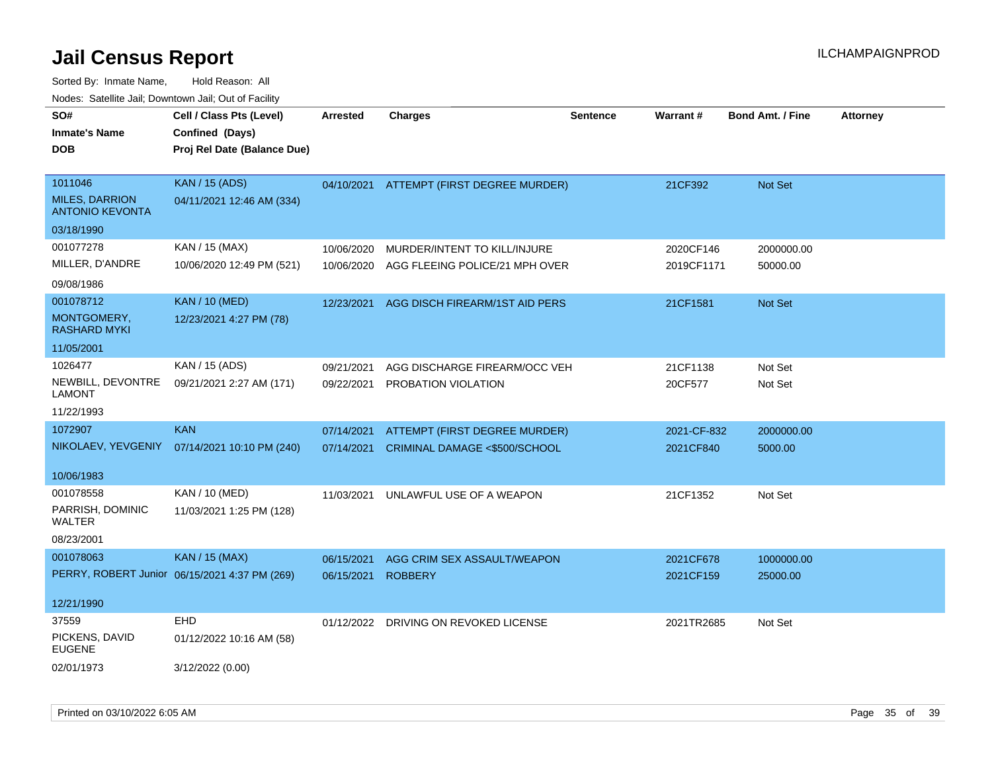| SO#<br><b>Inmate's Name</b><br><b>DOB</b> | Cell / Class Pts (Level)<br>Confined (Days)<br>Proj Rel Date (Balance Due) | <b>Arrested</b> | <b>Charges</b>                 | <b>Sentence</b> | Warrant#    | <b>Bond Amt. / Fine</b> | <b>Attorney</b> |
|-------------------------------------------|----------------------------------------------------------------------------|-----------------|--------------------------------|-----------------|-------------|-------------------------|-----------------|
| 1011046<br><b>MILES, DARRION</b>          | <b>KAN / 15 (ADS)</b><br>04/11/2021 12:46 AM (334)                         | 04/10/2021      | ATTEMPT (FIRST DEGREE MURDER)  |                 | 21CF392     | Not Set                 |                 |
| <b>ANTONIO KEVONTA</b>                    |                                                                            |                 |                                |                 |             |                         |                 |
| 03/18/1990                                |                                                                            |                 |                                |                 |             |                         |                 |
| 001077278                                 | KAN / 15 (MAX)                                                             | 10/06/2020      | MURDER/INTENT TO KILL/INJURE   |                 | 2020CF146   | 2000000.00              |                 |
| MILLER, D'ANDRE                           | 10/06/2020 12:49 PM (521)                                                  | 10/06/2020      | AGG FLEEING POLICE/21 MPH OVER |                 | 2019CF1171  | 50000.00                |                 |
| 09/08/1986                                |                                                                            |                 |                                |                 |             |                         |                 |
| 001078712                                 | <b>KAN / 10 (MED)</b>                                                      | 12/23/2021      | AGG DISCH FIREARM/1ST AID PERS |                 | 21CF1581    | Not Set                 |                 |
| MONTGOMERY,<br><b>RASHARD MYKI</b>        | 12/23/2021 4:27 PM (78)                                                    |                 |                                |                 |             |                         |                 |
| 11/05/2001                                |                                                                            |                 |                                |                 |             |                         |                 |
| 1026477                                   | KAN / 15 (ADS)                                                             | 09/21/2021      | AGG DISCHARGE FIREARM/OCC VEH  |                 | 21CF1138    | Not Set                 |                 |
| NEWBILL, DEVONTRE<br><b>LAMONT</b>        | 09/21/2021 2:27 AM (171)                                                   | 09/22/2021      | PROBATION VIOLATION            |                 | 20CF577     | Not Set                 |                 |
| 11/22/1993                                |                                                                            |                 |                                |                 |             |                         |                 |
| 1072907                                   | <b>KAN</b>                                                                 | 07/14/2021      | ATTEMPT (FIRST DEGREE MURDER)  |                 | 2021-CF-832 | 2000000.00              |                 |
| NIKOLAEV, YEVGENIY                        | 07/14/2021 10:10 PM (240)                                                  | 07/14/2021      | CRIMINAL DAMAGE <\$500/SCHOOL  |                 | 2021CF840   | 5000.00                 |                 |
| 10/06/1983                                |                                                                            |                 |                                |                 |             |                         |                 |
| 001078558                                 | KAN / 10 (MED)                                                             | 11/03/2021      | UNLAWFUL USE OF A WEAPON       |                 | 21CF1352    | Not Set                 |                 |
| PARRISH, DOMINIC<br>WALTER                | 11/03/2021 1:25 PM (128)                                                   |                 |                                |                 |             |                         |                 |
| 08/23/2001                                |                                                                            |                 |                                |                 |             |                         |                 |
| 001078063                                 | <b>KAN / 15 (MAX)</b>                                                      | 06/15/2021      | AGG CRIM SEX ASSAULT/WEAPON    |                 | 2021CF678   | 1000000.00              |                 |
|                                           | PERRY, ROBERT Junior 06/15/2021 4:37 PM (269)                              | 06/15/2021      | <b>ROBBERY</b>                 |                 | 2021CF159   | 25000.00                |                 |
| 12/21/1990                                |                                                                            |                 |                                |                 |             |                         |                 |
| 37559                                     | EHD                                                                        | 01/12/2022      | DRIVING ON REVOKED LICENSE     |                 | 2021TR2685  | Not Set                 |                 |
| PICKENS, DAVID<br><b>EUGENE</b>           | 01/12/2022 10:16 AM (58)                                                   |                 |                                |                 |             |                         |                 |
| 02/01/1973                                | 3/12/2022 (0.00)                                                           |                 |                                |                 |             |                         |                 |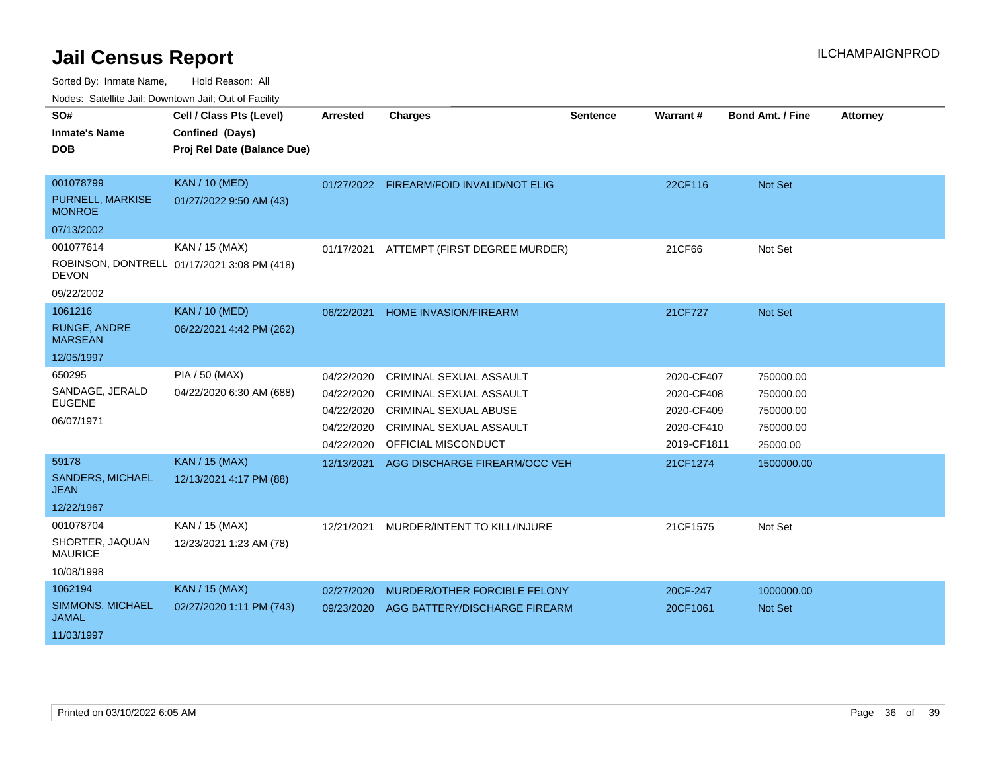Sorted By: Inmate Name, Hold Reason: All

Nodes: Satellite Jail; Downtown Jail; Out of Facility

| SO#                                      | Cell / Class Pts (Level)                    | <b>Arrested</b> | <b>Charges</b>                           | <b>Sentence</b> | Warrant#    | <b>Bond Amt. / Fine</b> | <b>Attorney</b> |
|------------------------------------------|---------------------------------------------|-----------------|------------------------------------------|-----------------|-------------|-------------------------|-----------------|
| <b>Inmate's Name</b>                     | Confined (Days)                             |                 |                                          |                 |             |                         |                 |
| <b>DOB</b>                               | Proj Rel Date (Balance Due)                 |                 |                                          |                 |             |                         |                 |
| 001078799                                | <b>KAN / 10 (MED)</b>                       |                 | 01/27/2022 FIREARM/FOID INVALID/NOT ELIG |                 | 22CF116     | Not Set                 |                 |
| <b>PURNELL, MARKISE</b><br><b>MONROE</b> | 01/27/2022 9:50 AM (43)                     |                 |                                          |                 |             |                         |                 |
| 07/13/2002                               |                                             |                 |                                          |                 |             |                         |                 |
| 001077614                                | KAN / 15 (MAX)                              | 01/17/2021      | ATTEMPT (FIRST DEGREE MURDER)            |                 | 21CF66      | Not Set                 |                 |
| <b>DEVON</b>                             | ROBINSON, DONTRELL 01/17/2021 3:08 PM (418) |                 |                                          |                 |             |                         |                 |
| 09/22/2002                               |                                             |                 |                                          |                 |             |                         |                 |
| 1061216                                  | <b>KAN / 10 (MED)</b>                       | 06/22/2021      | HOME INVASION/FIREARM                    |                 | 21CF727     | Not Set                 |                 |
| <b>RUNGE, ANDRE</b><br><b>MARSEAN</b>    | 06/22/2021 4:42 PM (262)                    |                 |                                          |                 |             |                         |                 |
| 12/05/1997                               |                                             |                 |                                          |                 |             |                         |                 |
| 650295                                   | PIA / 50 (MAX)                              | 04/22/2020      | <b>CRIMINAL SEXUAL ASSAULT</b>           |                 | 2020-CF407  | 750000.00               |                 |
| SANDAGE, JERALD                          | 04/22/2020 6:30 AM (688)                    | 04/22/2020      | <b>CRIMINAL SEXUAL ASSAULT</b>           |                 | 2020-CF408  | 750000.00               |                 |
| <b>EUGENE</b>                            |                                             | 04/22/2020      | CRIMINAL SEXUAL ABUSE                    |                 | 2020-CF409  | 750000.00               |                 |
| 06/07/1971                               |                                             | 04/22/2020      | <b>CRIMINAL SEXUAL ASSAULT</b>           |                 | 2020-CF410  | 750000.00               |                 |
|                                          |                                             | 04/22/2020      | OFFICIAL MISCONDUCT                      |                 | 2019-CF1811 | 25000.00                |                 |
| 59178                                    | <b>KAN / 15 (MAX)</b>                       | 12/13/2021      | AGG DISCHARGE FIREARM/OCC VEH            |                 | 21CF1274    | 1500000.00              |                 |
| <b>SANDERS, MICHAEL</b><br><b>JEAN</b>   | 12/13/2021 4:17 PM (88)                     |                 |                                          |                 |             |                         |                 |
| 12/22/1967                               |                                             |                 |                                          |                 |             |                         |                 |
| 001078704                                | KAN / 15 (MAX)                              | 12/21/2021      | MURDER/INTENT TO KILL/INJURE             |                 | 21CF1575    | Not Set                 |                 |
| SHORTER, JAQUAN<br><b>MAURICE</b>        | 12/23/2021 1:23 AM (78)                     |                 |                                          |                 |             |                         |                 |
| 10/08/1998                               |                                             |                 |                                          |                 |             |                         |                 |
| 1062194                                  | <b>KAN / 15 (MAX)</b>                       | 02/27/2020      | MURDER/OTHER FORCIBLE FELONY             |                 | 20CF-247    | 1000000.00              |                 |
| SIMMONS, MICHAEL<br><b>JAMAL</b>         | 02/27/2020 1:11 PM (743)                    | 09/23/2020      | AGG BATTERY/DISCHARGE FIREARM            |                 | 20CF1061    | <b>Not Set</b>          |                 |
| 11/03/1997                               |                                             |                 |                                          |                 |             |                         |                 |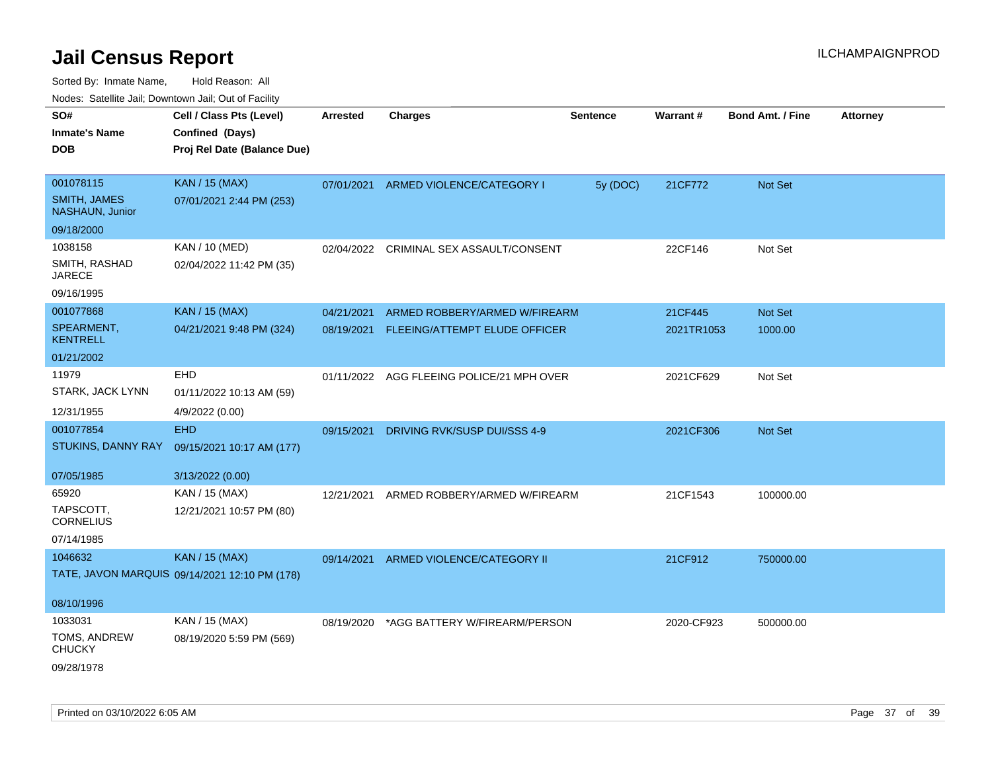| rougs. Calcing Jan, Downtown Jan, Out of Facility<br>SO#<br><b>Inmate's Name</b><br><b>DOB</b> | Cell / Class Pts (Level)<br>Confined (Days)<br>Proj Rel Date (Balance Due) | <b>Arrested</b>          | <b>Charges</b>                                                 | <b>Sentence</b> | <b>Warrant#</b>       | <b>Bond Amt. / Fine</b>   | <b>Attorney</b> |
|------------------------------------------------------------------------------------------------|----------------------------------------------------------------------------|--------------------------|----------------------------------------------------------------|-----------------|-----------------------|---------------------------|-----------------|
| 001078115<br><b>SMITH, JAMES</b><br>NASHAUN, Junior                                            | <b>KAN / 15 (MAX)</b><br>07/01/2021 2:44 PM (253)                          | 07/01/2021               | ARMED VIOLENCE/CATEGORY I                                      | 5y(DOC)         | 21CF772               | Not Set                   |                 |
| 09/18/2000<br>1038158<br>SMITH, RASHAD<br><b>JARECE</b><br>09/16/1995                          | KAN / 10 (MED)<br>02/04/2022 11:42 PM (35)                                 |                          | 02/04/2022 CRIMINAL SEX ASSAULT/CONSENT                        |                 | 22CF146               | Not Set                   |                 |
| 001077868<br>SPEARMENT,<br><b>KENTRELL</b><br>01/21/2002                                       | <b>KAN / 15 (MAX)</b><br>04/21/2021 9:48 PM (324)                          | 04/21/2021<br>08/19/2021 | ARMED ROBBERY/ARMED W/FIREARM<br>FLEEING/ATTEMPT ELUDE OFFICER |                 | 21CF445<br>2021TR1053 | <b>Not Set</b><br>1000.00 |                 |
| 11979<br>STARK, JACK LYNN<br>12/31/1955                                                        | <b>EHD</b><br>01/11/2022 10:13 AM (59)<br>4/9/2022 (0.00)                  | 01/11/2022               | AGG FLEEING POLICE/21 MPH OVER                                 |                 | 2021CF629             | Not Set                   |                 |
| 001077854<br>STUKINS, DANNY RAY<br>07/05/1985                                                  | <b>EHD</b><br>09/15/2021 10:17 AM (177)<br>3/13/2022 (0.00)                | 09/15/2021               | DRIVING RVK/SUSP DUI/SSS 4-9                                   |                 | 2021CF306             | <b>Not Set</b>            |                 |
| 65920<br>TAPSCOTT,<br><b>CORNELIUS</b><br>07/14/1985                                           | KAN / 15 (MAX)<br>12/21/2021 10:57 PM (80)                                 | 12/21/2021               | ARMED ROBBERY/ARMED W/FIREARM                                  |                 | 21CF1543              | 100000.00                 |                 |
| 1046632<br>08/10/1996                                                                          | KAN / 15 (MAX)<br>TATE, JAVON MARQUIS 09/14/2021 12:10 PM (178)            | 09/14/2021               | ARMED VIOLENCE/CATEGORY II                                     |                 | 21CF912               | 750000.00                 |                 |
| 1033031<br>TOMS, ANDREW<br><b>CHUCKY</b><br>09/28/1978                                         | KAN / 15 (MAX)<br>08/19/2020 5:59 PM (569)                                 | 08/19/2020               | *AGG BATTERY W/FIREARM/PERSON                                  |                 | 2020-CF923            | 500000.00                 |                 |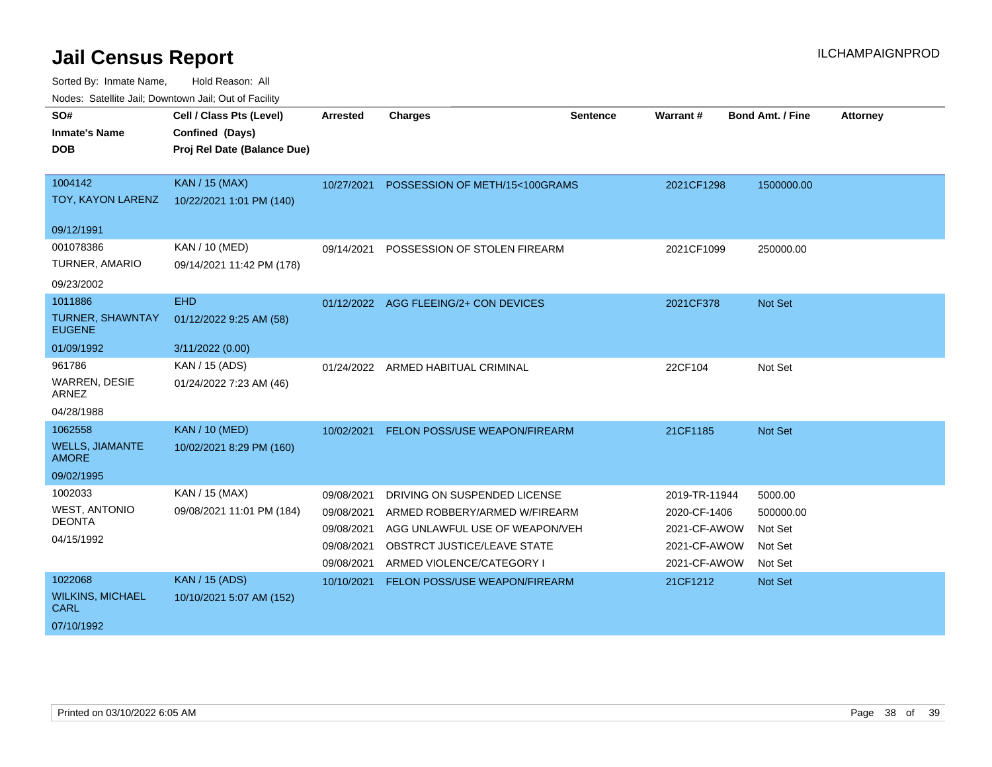| <u>Houco. Catolino dall, Downtown dall, Out of Fuolity</u> |                             |                 |                                           |                 |               |                         |                 |
|------------------------------------------------------------|-----------------------------|-----------------|-------------------------------------------|-----------------|---------------|-------------------------|-----------------|
| SO#                                                        | Cell / Class Pts (Level)    | <b>Arrested</b> | <b>Charges</b>                            | <b>Sentence</b> | Warrant#      | <b>Bond Amt. / Fine</b> | <b>Attorney</b> |
| <b>Inmate's Name</b>                                       | Confined (Days)             |                 |                                           |                 |               |                         |                 |
| <b>DOB</b>                                                 | Proj Rel Date (Balance Due) |                 |                                           |                 |               |                         |                 |
|                                                            |                             |                 |                                           |                 |               |                         |                 |
| 1004142                                                    | <b>KAN / 15 (MAX)</b>       |                 | 10/27/2021 POSSESSION OF METH/15<100GRAMS |                 | 2021CF1298    | 1500000.00              |                 |
| TOY, KAYON LARENZ                                          | 10/22/2021 1:01 PM (140)    |                 |                                           |                 |               |                         |                 |
| 09/12/1991                                                 |                             |                 |                                           |                 |               |                         |                 |
| 001078386                                                  | <b>KAN / 10 (MED)</b>       | 09/14/2021      | POSSESSION OF STOLEN FIREARM              |                 | 2021CF1099    | 250000.00               |                 |
| TURNER, AMARIO                                             | 09/14/2021 11:42 PM (178)   |                 |                                           |                 |               |                         |                 |
| 09/23/2002                                                 |                             |                 |                                           |                 |               |                         |                 |
| 1011886                                                    | <b>EHD</b>                  | 01/12/2022      | AGG FLEEING/2+ CON DEVICES                |                 | 2021CF378     | <b>Not Set</b>          |                 |
| <b>TURNER, SHAWNTAY</b><br><b>EUGENE</b>                   | 01/12/2022 9:25 AM (58)     |                 |                                           |                 |               |                         |                 |
| 01/09/1992                                                 | 3/11/2022 (0.00)            |                 |                                           |                 |               |                         |                 |
| 961786                                                     | KAN / 15 (ADS)              |                 | 01/24/2022 ARMED HABITUAL CRIMINAL        |                 | 22CF104       | Not Set                 |                 |
| WARREN, DESIE<br>ARNEZ                                     | 01/24/2022 7:23 AM (46)     |                 |                                           |                 |               |                         |                 |
| 04/28/1988                                                 |                             |                 |                                           |                 |               |                         |                 |
| 1062558                                                    | <b>KAN / 10 (MED)</b>       | 10/02/2021      | FELON POSS/USE WEAPON/FIREARM             |                 | 21CF1185      | <b>Not Set</b>          |                 |
| <b>WELLS, JIAMANTE</b><br><b>AMORE</b>                     | 10/02/2021 8:29 PM (160)    |                 |                                           |                 |               |                         |                 |
| 09/02/1995                                                 |                             |                 |                                           |                 |               |                         |                 |
| 1002033                                                    | KAN / 15 (MAX)              | 09/08/2021      | DRIVING ON SUSPENDED LICENSE              |                 | 2019-TR-11944 | 5000.00                 |                 |
| <b>WEST, ANTONIO</b>                                       | 09/08/2021 11:01 PM (184)   | 09/08/2021      | ARMED ROBBERY/ARMED W/FIREARM             |                 | 2020-CF-1406  | 500000.00               |                 |
| <b>DEONTA</b>                                              |                             | 09/08/2021      | AGG UNLAWFUL USE OF WEAPON/VEH            |                 | 2021-CF-AWOW  | Not Set                 |                 |
| 04/15/1992                                                 |                             | 09/08/2021      | OBSTRCT JUSTICE/LEAVE STATE               |                 | 2021-CF-AWOW  | Not Set                 |                 |
|                                                            |                             | 09/08/2021      | ARMED VIOLENCE/CATEGORY I                 |                 | 2021-CF-AWOW  | Not Set                 |                 |
| 1022068                                                    | <b>KAN / 15 (ADS)</b>       | 10/10/2021      | FELON POSS/USE WEAPON/FIREARM             |                 | 21CF1212      | Not Set                 |                 |
| <b>WILKINS, MICHAEL</b><br><b>CARL</b>                     | 10/10/2021 5:07 AM (152)    |                 |                                           |                 |               |                         |                 |
| 07/10/1992                                                 |                             |                 |                                           |                 |               |                         |                 |